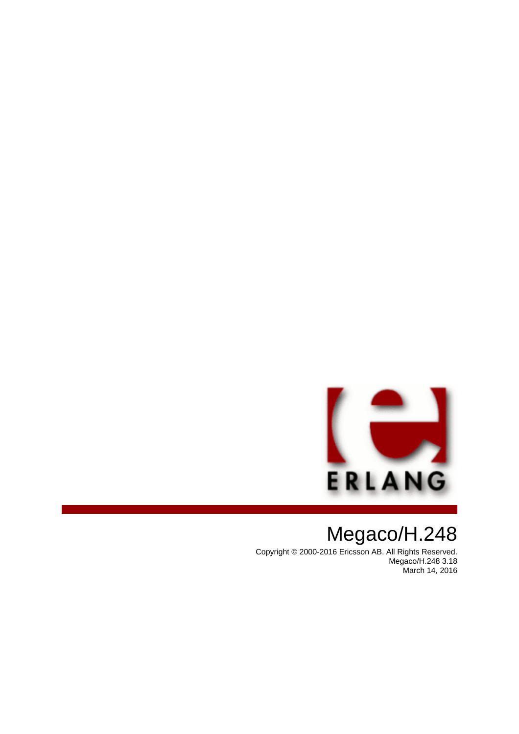

# Megaco/H.248

Copyright © 2000-2016 Ericsson AB. All Rights Reserved. Megaco/H.248 3.18 March 14, 2016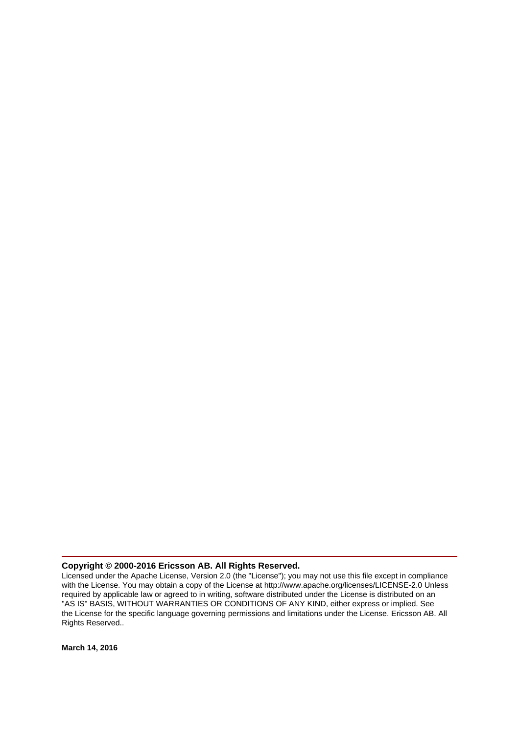#### **Copyright © 2000-2016 Ericsson AB. All Rights Reserved.**

Licensed under the Apache License, Version 2.0 (the "License"); you may not use this file except in compliance with the License. You may obtain a copy of the License at http://www.apache.org/licenses/LICENSE-2.0 Unless required by applicable law or agreed to in writing, software distributed under the License is distributed on an "AS IS" BASIS, WITHOUT WARRANTIES OR CONDITIONS OF ANY KIND, either express or implied. See the License for the specific language governing permissions and limitations under the License. Ericsson AB. All Rights Reserved..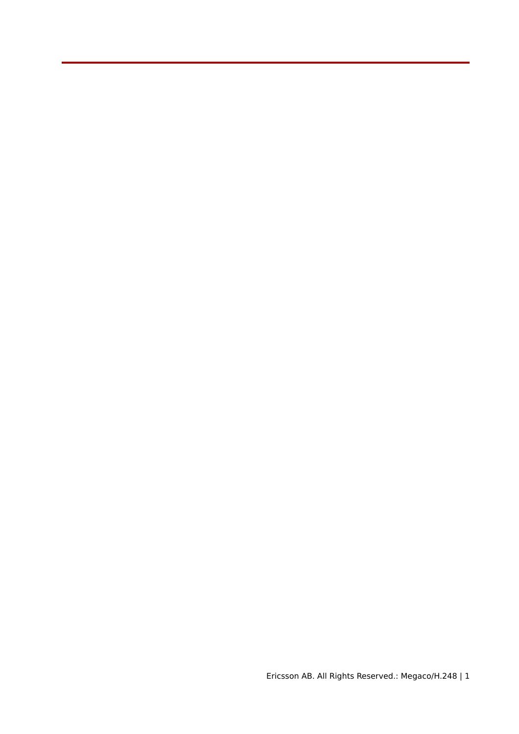Ericsson AB. All Rights Reserved.: Megaco/H.248 | 1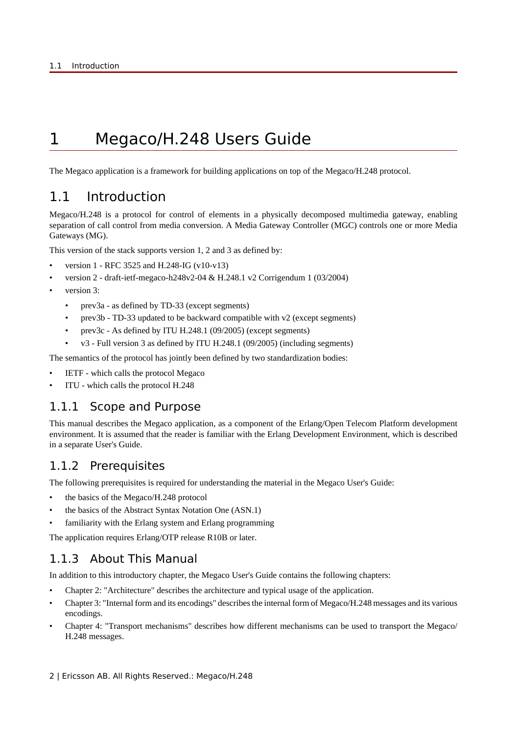# 1 Megaco/H.248 Users Guide

The Megaco application is a framework for building applications on top of the Megaco/H.248 protocol.

# 1.1 Introduction

Megaco/H.248 is a protocol for control of elements in a physically decomposed multimedia gateway, enabling separation of call control from media conversion. A Media Gateway Controller (MGC) controls one or more Media Gateways (MG).

This version of the stack supports version 1, 2 and 3 as defined by:

- version 1 RFC 3525 and H.248-IG (v10-v13)
- version 2 draft-ietf-megaco-h248v2-04 & H.248.1 v2 Corrigendum 1 (03/2004)
- version 3:
	- prev3a as defined by TD-33 (except segments)
	- prev3b TD-33 updated to be backward compatible with v2 (except segments)
	- prev3c As defined by ITU H.248.1 (09/2005) (except segments)
	- v3 Full version 3 as defined by ITU H.248.1 (09/2005) (including segments)

The semantics of the protocol has jointly been defined by two standardization bodies:

- IETF which calls the protocol Megaco
- ITU which calls the protocol H.248

# 1.1.1 Scope and Purpose

This manual describes the Megaco application, as a component of the Erlang/Open Telecom Platform development environment. It is assumed that the reader is familiar with the Erlang Development Environment, which is described in a separate User's Guide.

# 1.1.2 Prerequisites

The following prerequisites is required for understanding the material in the Megaco User's Guide:

- the basics of the Megaco/H.248 protocol
- the basics of the Abstract Syntax Notation One (ASN.1)
- familiarity with the Erlang system and Erlang programming

The application requires Erlang/OTP release R10B or later.

# 1.1.3 About This Manual

In addition to this introductory chapter, the Megaco User's Guide contains the following chapters:

- Chapter 2: "Architecture" describes the architecture and typical usage of the application.
- Chapter 3: "Internal form and its encodings" describes the internal form of Megaco/H.248 messages and its various encodings.
- Chapter 4: "Transport mechanisms" describes how different mechanisms can be used to transport the Megaco/ H.248 messages.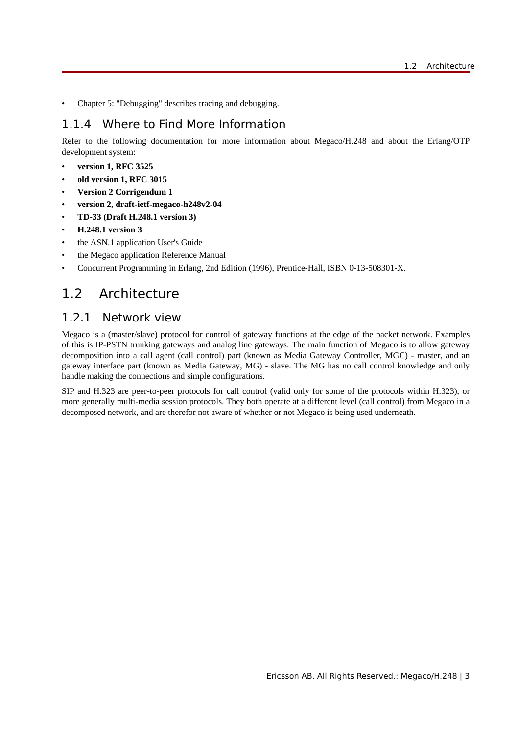• Chapter 5: "Debugging" describes tracing and debugging.

#### 1.1.4 Where to Find More Information

Refer to the following documentation for more information about Megaco/H.248 and about the Erlang/OTP development system:

- **[version 1, RFC 3525](href)**
- **[old version 1, RFC 3015](href)**
- **[Version 2 Corrigendum 1](href)**
- **[version 2, draft-ietf-megaco-h248v2-04](href)**
- **[TD-33 \(Draft H.248.1 version 3\)](href)**
- **[H.248.1 version 3](href)**
- the ASN.1 application User's Guide
- the Megaco application Reference Manual
- Concurrent Programming in Erlang, 2nd Edition (1996), Prentice-Hall, ISBN 0-13-508301-X.

# 1.2 Architecture

#### 1.2.1 Network view

Megaco is a (master/slave) protocol for control of gateway functions at the edge of the packet network. Examples of this is IP-PSTN trunking gateways and analog line gateways. The main function of Megaco is to allow gateway decomposition into a call agent (call control) part (known as Media Gateway Controller, MGC) - master, and an gateway interface part (known as Media Gateway, MG) - slave. The MG has no call control knowledge and only handle making the connections and simple configurations.

SIP and H.323 are peer-to-peer protocols for call control (valid only for some of the protocols within H.323), or more generally multi-media session protocols. They both operate at a different level (call control) from Megaco in a decomposed network, and are therefor not aware of whether or not Megaco is being used underneath.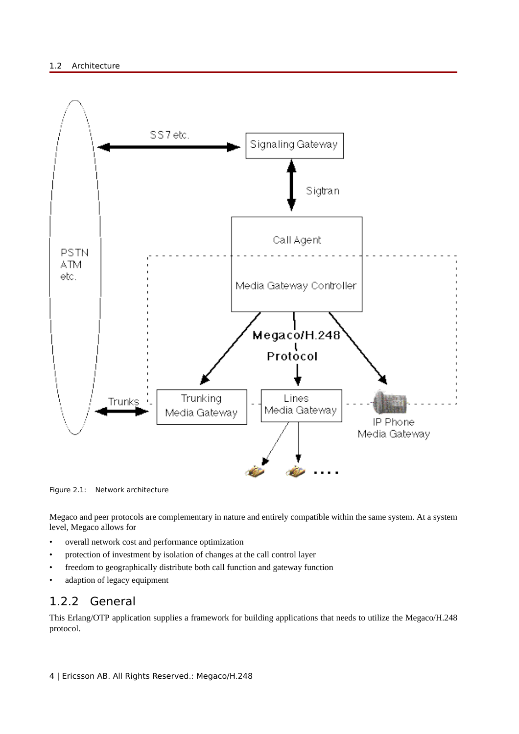

Figure 2.1: Network architecture

Megaco and peer protocols are complementary in nature and entirely compatible within the same system. At a system level, Megaco allows for

- overall network cost and performance optimization
- protection of investment by isolation of changes at the call control layer
- freedom to geographically distribute both call function and gateway function
- adaption of legacy equipment

### 1.2.2 General

This Erlang/OTP application supplies a framework for building applications that needs to utilize the Megaco/H.248 protocol.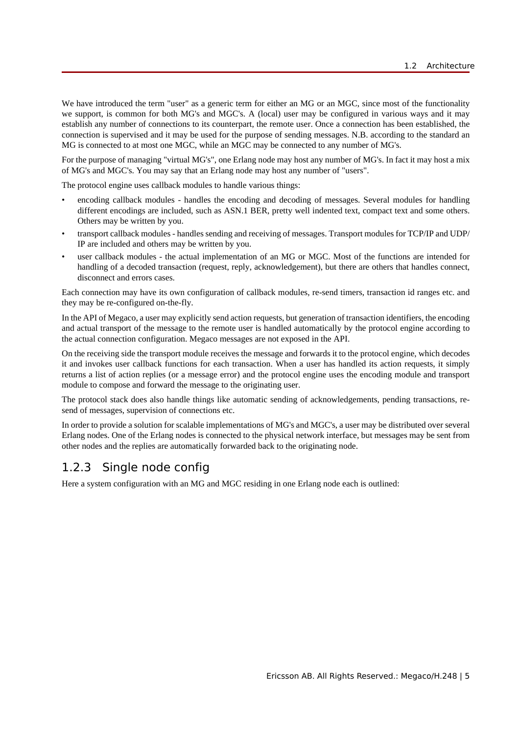We have introduced the term "user" as a generic term for either an MG or an MGC, since most of the functionality we support, is common for both MG's and MGC's. A (local) user may be configured in various ways and it may establish any number of connections to its counterpart, the remote user. Once a connection has been established, the connection is supervised and it may be used for the purpose of sending messages. N.B. according to the standard an MG is connected to at most one MGC, while an MGC may be connected to any number of MG's.

For the purpose of managing "virtual MG's", one Erlang node may host any number of MG's. In fact it may host a mix of MG's and MGC's. You may say that an Erlang node may host any number of "users".

The protocol engine uses callback modules to handle various things:

- encoding callback modules handles the encoding and decoding of messages. Several modules for handling different encodings are included, such as ASN.1 BER, pretty well indented text, compact text and some others. Others may be written by you.
- transport callback modules handles sending and receiving of messages. Transport modules for TCP/IP and UDP/ IP are included and others may be written by you.
- user callback modules the actual implementation of an MG or MGC. Most of the functions are intended for handling of a decoded transaction (request, reply, acknowledgement), but there are others that handles connect, disconnect and errors cases.

Each connection may have its own configuration of callback modules, re-send timers, transaction id ranges etc. and they may be re-configured on-the-fly.

In the API of Megaco, a user may explicitly send action requests, but generation of transaction identifiers, the encoding and actual transport of the message to the remote user is handled automatically by the protocol engine according to the actual connection configuration. Megaco messages are not exposed in the API.

On the receiving side the transport module receives the message and forwards it to the protocol engine, which decodes it and invokes user callback functions for each transaction. When a user has handled its action requests, it simply returns a list of action replies (or a message error) and the protocol engine uses the encoding module and transport module to compose and forward the message to the originating user.

The protocol stack does also handle things like automatic sending of acknowledgements, pending transactions, resend of messages, supervision of connections etc.

In order to provide a solution for scalable implementations of MG's and MGC's, a user may be distributed over several Erlang nodes. One of the Erlang nodes is connected to the physical network interface, but messages may be sent from other nodes and the replies are automatically forwarded back to the originating node.

### 1.2.3 Single node config

Here a system configuration with an MG and MGC residing in one Erlang node each is outlined: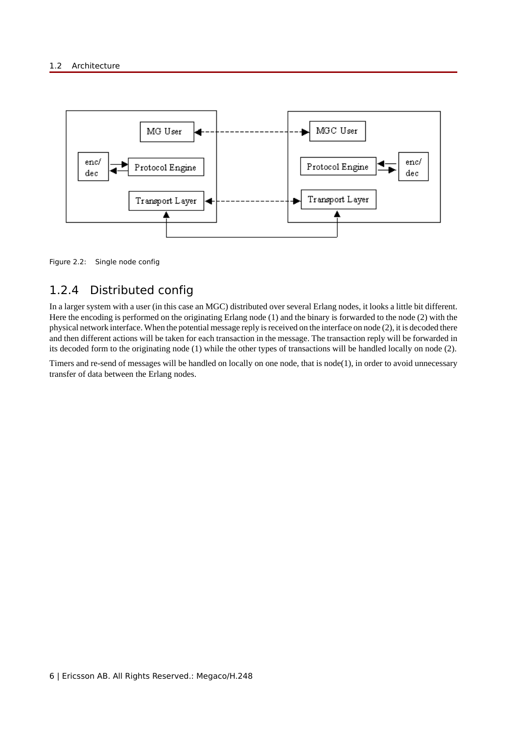

Figure 2.2: Single node config

# 1.2.4 Distributed config

In a larger system with a user (in this case an MGC) distributed over several Erlang nodes, it looks a little bit different. Here the encoding is performed on the originating Erlang node (1) and the binary is forwarded to the node (2) with the physical network interface. When the potential message reply is received on the interface on node (2), it is decoded there and then different actions will be taken for each transaction in the message. The transaction reply will be forwarded in its decoded form to the originating node (1) while the other types of transactions will be handled locally on node (2).

Timers and re-send of messages will be handled on locally on one node, that is node(1), in order to avoid unnecessary transfer of data between the Erlang nodes.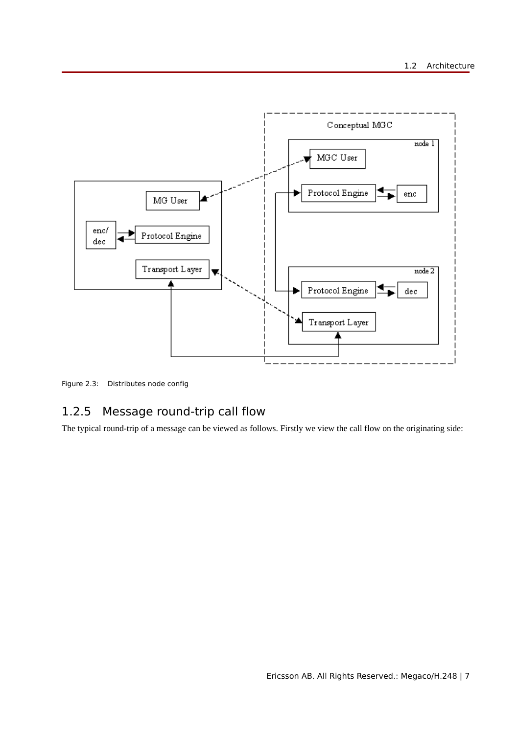

Figure 2.3: Distributes node config

# 1.2.5 Message round-trip call flow

The typical round-trip of a message can be viewed as follows. Firstly we view the call flow on the originating side: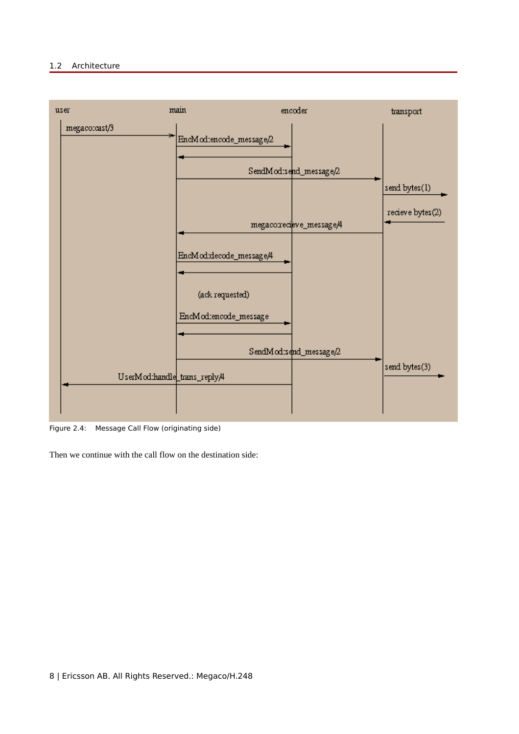#### 1.2 Architecture



Figure 2.4: Message Call Flow (originating side)

Then we continue with the call flow on the destination side: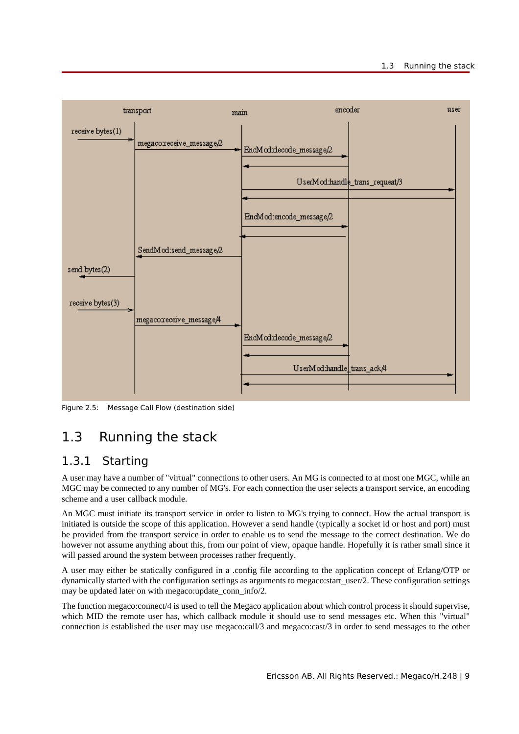

Figure 2.5: Message Call Flow (destination side)

# 1.3 Running the stack

# 1.3.1 Starting

A user may have a number of "virtual" connections to other users. An MG is connected to at most one MGC, while an MGC may be connected to any number of MG's. For each connection the user selects a transport service, an encoding scheme and a user callback module.

An MGC must initiate its transport service in order to listen to MG's trying to connect. How the actual transport is initiated is outside the scope of this application. However a send handle (typically a socket id or host and port) must be provided from the transport service in order to enable us to send the message to the correct destination. We do however not assume anything about this, from our point of view, opaque handle. Hopefully it is rather small since it will passed around the system between processes rather frequently.

A user may either be statically configured in a .config file according to the application concept of Erlang/OTP or dynamically started with the configuration settings as arguments to megaco:start\_user/2. These configuration settings may be updated later on with megaco:update\_conn\_info/2.

The function megaco:connect/4 is used to tell the Megaco application about which control process it should supervise, which MID the remote user has, which callback module it should use to send messages etc. When this "virtual" connection is established the user may use megaco:call/3 and megaco:cast/3 in order to send messages to the other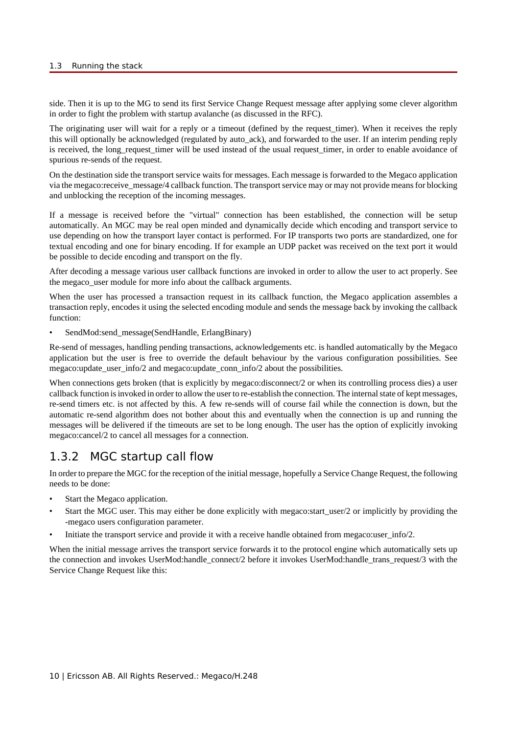side. Then it is up to the MG to send its first Service Change Request message after applying some clever algorithm in order to fight the problem with startup avalanche (as discussed in the RFC).

The originating user will wait for a reply or a timeout (defined by the request\_timer). When it receives the reply this will optionally be acknowledged (regulated by auto\_ack), and forwarded to the user. If an interim pending reply is received, the long\_request\_timer will be used instead of the usual request\_timer, in order to enable avoidance of spurious re-sends of the request.

On the destination side the transport service waits for messages. Each message is forwarded to the Megaco application via the megaco:receive\_message/4 callback function. The transport service may or may not provide means for blocking and unblocking the reception of the incoming messages.

If a message is received before the "virtual" connection has been established, the connection will be setup automatically. An MGC may be real open minded and dynamically decide which encoding and transport service to use depending on how the transport layer contact is performed. For IP transports two ports are standardized, one for textual encoding and one for binary encoding. If for example an UDP packet was received on the text port it would be possible to decide encoding and transport on the fly.

After decoding a message various user callback functions are invoked in order to allow the user to act properly. See the megaco user module for more info about the callback arguments.

When the user has processed a transaction request in its callback function, the Megaco application assembles a transaction reply, encodes it using the selected encoding module and sends the message back by invoking the callback function:

SendMod:send\_message(SendHandle, ErlangBinary)

Re-send of messages, handling pending transactions, acknowledgements etc. is handled automatically by the Megaco application but the user is free to override the default behaviour by the various configuration possibilities. See megaco:update user  $\text{info}/2$  and megaco:update conn  $\text{info}/2$  about the possibilities.

When connections gets broken (that is explicitly by megaco:disconnect/2 or when its controlling process dies) a user callback function is invoked in order to allow the user to re-establish the connection. The internal state of kept messages, re-send timers etc. is not affected by this. A few re-sends will of course fail while the connection is down, but the automatic re-send algorithm does not bother about this and eventually when the connection is up and running the messages will be delivered if the timeouts are set to be long enough. The user has the option of explicitly invoking megaco:cancel/2 to cancel all messages for a connection.

### 1.3.2 MGC startup call flow

In order to prepare the MGC for the reception of the initial message, hopefully a Service Change Request, the following needs to be done:

- Start the Megaco application.
- Start the MGC user. This may either be done explicitly with megaco:start user/2 or implicitly by providing the -megaco users configuration parameter.
- Initiate the transport service and provide it with a receive handle obtained from megaco:user\_info/2.

When the initial message arrives the transport service forwards it to the protocol engine which automatically sets up the connection and invokes UserMod:handle connect/2 before it invokes UserMod:handle trans request/3 with the Service Change Request like this: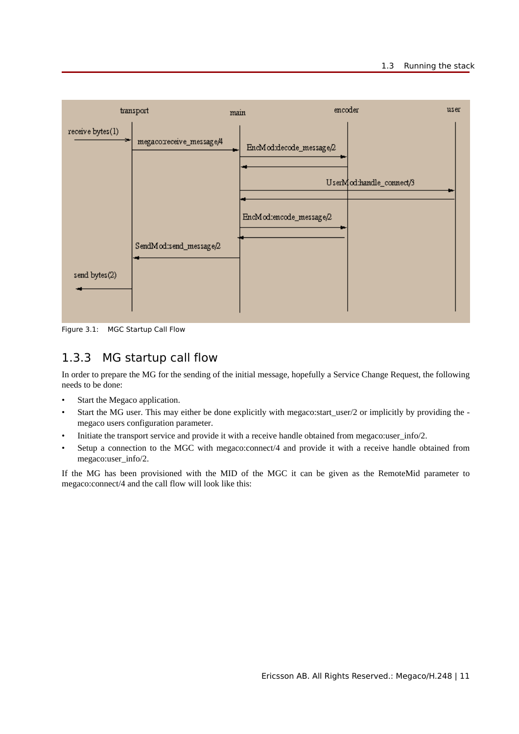

Figure 3.1: MGC Startup Call Flow

# 1.3.3 MG startup call flow

In order to prepare the MG for the sending of the initial message, hopefully a Service Change Request, the following needs to be done:

- Start the Megaco application.
- Start the MG user. This may either be done explicitly with megaco:start\_user/2 or implicitly by providing the megaco users configuration parameter.
- Initiate the transport service and provide it with a receive handle obtained from megaco:user\_info/2.
- Setup a connection to the MGC with megaco:connect/4 and provide it with a receive handle obtained from megaco:user\_info/2.

If the MG has been provisioned with the MID of the MGC it can be given as the RemoteMid parameter to megaco:connect/4 and the call flow will look like this: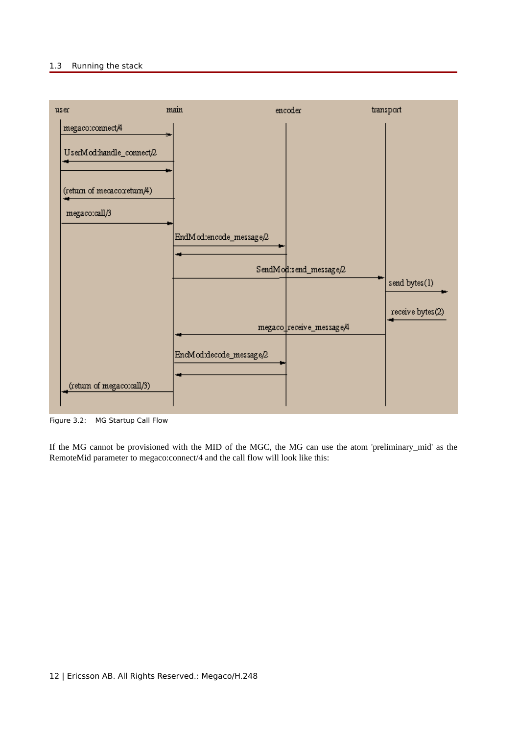

Figure 3.2: MG Startup Call Flow

If the MG cannot be provisioned with the MID of the MGC, the MG can use the atom 'preliminary\_mid' as the RemoteMid parameter to megaco:connect/4 and the call flow will look like this: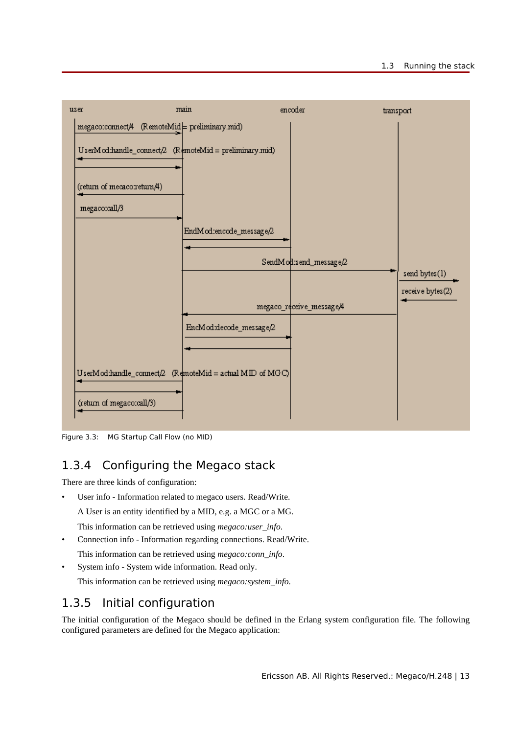

Figure 3.3: MG Startup Call Flow (no MID)

# 1.3.4 Configuring the Megaco stack

There are three kinds of configuration:

- User info Information related to megaco users. Read/Write. A User is an entity identified by a MID, e.g. a MGC or a MG.
- This information can be retrieved using *megaco:user\_info*. • Connection info - Information regarding connections. Read/Write.

This information can be retrieved using *megaco:conn\_info*.

System info - System wide information. Read only. This information can be retrieved using *megaco:system\_info*.

# 1.3.5 Initial configuration

The initial configuration of the Megaco should be defined in the Erlang system configuration file. The following configured parameters are defined for the Megaco application: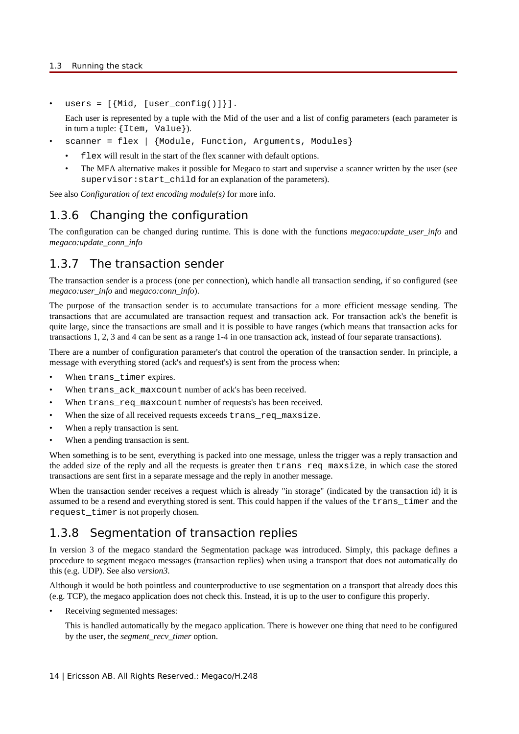users =  $[\{Mid, [user confiq()]\}\].$ 

Each user is represented by a tuple with the Mid of the user and a list of config parameters (each parameter is in turn a tuple: {Item, Value}).

- $scanner = flex \mid \{Module, Function, Arguments, Modules\}$ 
	- flex will result in the start of the flex scanner with default options.
	- The MFA alternative makes it possible for Megaco to start and supervise a scanner written by the user (see supervisor: start child for an explanation of the parameters).

See also *Configuration of text encoding module(s)* for more info.

### 1.3.6 Changing the configuration

The configuration can be changed during runtime. This is done with the functions *megaco:update\_user\_info* and *megaco:update\_conn\_info*

### 1.3.7 The transaction sender

The transaction sender is a process (one per connection), which handle all transaction sending, if so configured (see *megaco:user\_info* and *megaco:conn\_info*).

The purpose of the transaction sender is to accumulate transactions for a more efficient message sending. The transactions that are accumulated are transaction request and transaction ack. For transaction ack's the benefit is quite large, since the transactions are small and it is possible to have ranges (which means that transaction acks for transactions 1, 2, 3 and 4 can be sent as a range 1-4 in one transaction ack, instead of four separate transactions).

There are a number of configuration parameter's that control the operation of the transaction sender. In principle, a message with everything stored (ack's and request's) is sent from the process when:

- When trans timer expires.
- When trans\_ack\_maxcount number of ack's has been received.
- When trans\_req\_maxcount number of requests's has been received.
- When the size of all received requests exceeds trans req maxsize.
- When a reply transaction is sent.
- When a pending transaction is sent.

When something is to be sent, everything is packed into one message, unless the trigger was a reply transaction and the added size of the reply and all the requests is greater then trans\_req\_maxsize, in which case the stored transactions are sent first in a separate message and the reply in another message.

When the transaction sender receives a request which is already "in storage" (indicated by the transaction id) it is assumed to be a resend and everything stored is sent. This could happen if the values of the trans\_timer and the request\_timer is not properly chosen.

### 1.3.8 Segmentation of transaction replies

In version 3 of the megaco standard the Segmentation package was introduced. Simply, this package defines a procedure to segment megaco messages (transaction replies) when using a transport that does not automatically do this (e.g. UDP). See also *version3*.

Although it would be both pointless and counterproductive to use segmentation on a transport that already does this (e.g. TCP), the megaco application does not check this. Instead, it is up to the user to configure this properly.

Receiving segmented messages:

This is handled automatically by the megaco application. There is however one thing that need to be configured by the user, the *segment\_recv\_timer* option.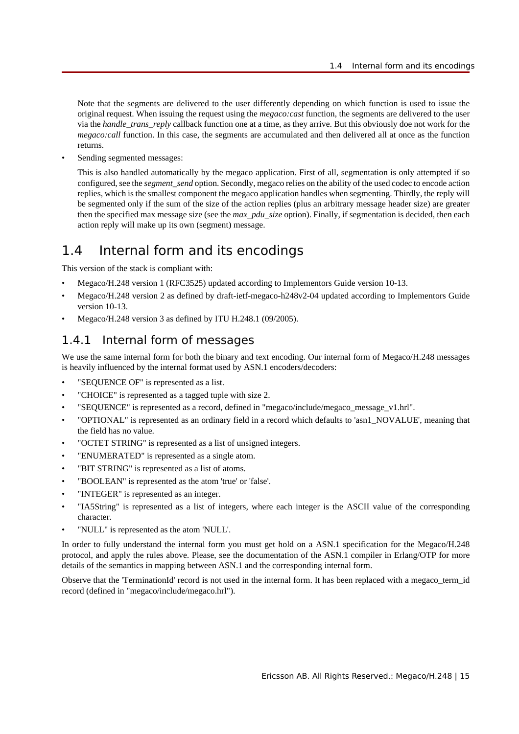Note that the segments are delivered to the user differently depending on which function is used to issue the original request. When issuing the request using the *megaco:cast* function, the segments are delivered to the user via the *handle\_trans\_reply* callback function one at a time, as they arrive. But this obviously doe not work for the *megaco:call* function. In this case, the segments are accumulated and then delivered all at once as the function returns.

Sending segmented messages:

This is also handled automatically by the megaco application. First of all, segmentation is only attempted if so configured, see the *segment\_send* option. Secondly, megaco relies on the ability of the used codec to encode action replies, which is the smallest component the megaco application handles when segmenting. Thirdly, the reply will be segmented only if the sum of the size of the action replies (plus an arbitrary message header size) are greater then the specified max message size (see the *max\_pdu\_size* option). Finally, if segmentation is decided, then each action reply will make up its own (segment) message.

# 1.4 Internal form and its encodings

This version of the stack is compliant with:

- Megaco/H.248 version 1 (RFC3525) updated according to Implementors Guide version 10-13.
- Megaco/H.248 version 2 as defined by draft-ietf-megaco-h248v2-04 updated according to Implementors Guide version 10-13.
- Megaco/H.248 version 3 as defined by ITU H.248.1 (09/2005).

### 1.4.1 Internal form of messages

We use the same internal form for both the binary and text encoding. Our internal form of Megaco/H.248 messages is heavily influenced by the internal format used by ASN.1 encoders/decoders:

- "SEQUENCE OF" is represented as a list.
- "CHOICE" is represented as a tagged tuple with size 2.
- "SEQUENCE" is represented as a record, defined in "megaco/include/megaco\_message\_v1.hrl".
- "OPTIONAL" is represented as an ordinary field in a record which defaults to 'asn1\_NOVALUE', meaning that the field has no value.
- "OCTET STRING" is represented as a list of unsigned integers.
- "ENUMERATED" is represented as a single atom.
- "BIT STRING" is represented as a list of atoms.
- "BOOLEAN" is represented as the atom 'true' or 'false'.
- "INTEGER" is represented as an integer.
- "IA5String" is represented as a list of integers, where each integer is the ASCII value of the corresponding character.
- "NULL" is represented as the atom 'NULL'.

In order to fully understand the internal form you must get hold on a ASN.1 specification for the Megaco/H.248 protocol, and apply the rules above. Please, see the documentation of the ASN.1 compiler in Erlang/OTP for more details of the semantics in mapping between ASN.1 and the corresponding internal form.

Observe that the 'TerminationId' record is not used in the internal form. It has been replaced with a megaco\_term\_id record (defined in "megaco/include/megaco.hrl").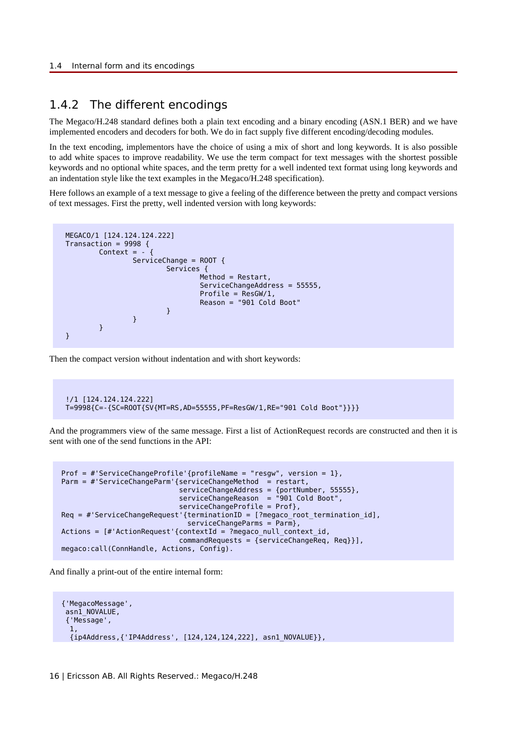### 1.4.2 The different encodings

The Megaco/H.248 standard defines both a plain text encoding and a binary encoding (ASN.1 BER) and we have implemented encoders and decoders for both. We do in fact supply five different encoding/decoding modules.

In the text encoding, implementors have the choice of using a mix of short and long keywords. It is also possible to add white spaces to improve readability. We use the term compact for text messages with the shortest possible keywords and no optional white spaces, and the term pretty for a well indented text format using long keywords and an indentation style like the text examples in the Megaco/H.248 specification).

Here follows an example of a text message to give a feeling of the difference between the pretty and compact versions of text messages. First the pretty, well indented version with long keywords:

```
 MEGACO/1 [124.124.124.222]
    Transaction = 9998 {
             Context = - {
                         ServiceChange = ROOT {
                                    Services {
                                             Method = Restart,
                                             ServiceChangeAddress = 55555,
                                             Profit = ResGW/1.Reason = "901 Cold Boot"<br>}
en and the state of the state of the state of the state of the state of the state of the state of the state of
}}<br>}}
               }
    }
```
Then the compact version without indentation and with short keywords:

```
 !/1 [124.124.124.222]
 T=9998{C=-{SC=ROOT{SV{MT=RS,AD=55555,PF=ResGW/1,RE="901 Cold Boot"}}}}
```
And the programmers view of the same message. First a list of ActionRequest records are constructed and then it is sent with one of the send functions in the API:

```
 Prof = #'ServiceChangeProfile'{profileName = "resgw", version = 1},
  Parm = #'ServiceChangeParm'{serviceChangeMethod = restart,
 serviceChangeAddress = {portNumber, 55555},
 serviceChangeReason = "901 Cold Boot",
                          serviceChangeProfile = Prof},
 Req = # 'ServiceChangeRequest' {terminationID = ['megaco root terminationid],serviceChangeParms = Parm},
 Actions = H^*ActionRequest'{contextId = ?megaco_null_context_id,
                           commandRequests = {serviceChangeReg, Reg}} megaco:call(ConnHandle, Actions, Config).
```
And finally a print-out of the entire internal form:

```
 {'MegacoMessage',
asn1_NOVALUE,
  {'Message',
   1,
   {ip4Address,{'IP4Address', [124,124,124,222], asn1_NOVALUE}},
```
16 | Ericsson AB. All Rights Reserved.: Megaco/H.248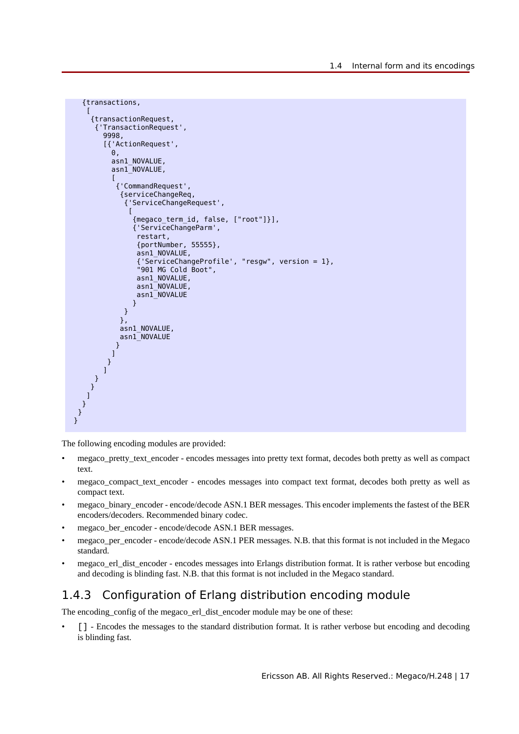```
 {transactions,
\blacksquare {transactionRequest,
       {'TransactionRequest',
        9998,
         [{'ActionRequest',
         \theta,
         asn1_NOVALUE,
         asn1_NOVALUE,
 [
           {'CommandRequest',
            {serviceChangeReq,
             {'ServiceChangeRequest',
 [
               {megaco_term_id, false, ["root"]}],
               {'ServiceChangeParm',
                restart,
                {portNumber, 55555},
               asn1_NOVALUE,
\{ 'ServiceChangeProfile', 'respw", version = 1 \}, "901 MG Cold Boot",
               asn1_NOVALUE,
              asn1<sup>-</sup>NOVALUE,
                asn1_NOVALUE
 }
 }
            },
           asn1_NOVALUE,
           asn1_NOVALUE
 }
 ]
 }
 ]
      }
     }
 ]
    }
   }
 }
```
The following encoding modules are provided:

- megaco\_pretty\_text\_encoder encodes messages into pretty text format, decodes both pretty as well as compact text.
- megaco\_compact\_text\_encoder encodes messages into compact text format, decodes both pretty as well as compact text.
- megaco\_binary\_encoder encode/decode ASN.1 BER messages. This encoder implements the fastest of the BER encoders/decoders. Recommended binary codec.
- megaco\_ber\_encoder encode/decode ASN.1 BER messages.
- megaco per encoder encode/decode ASN.1 PER messages. N.B. that this format is not included in the Megaco standard.
- megaco\_erl\_dist\_encoder encodes messages into Erlangs distribution format. It is rather verbose but encoding and decoding is blinding fast. N.B. that this format is not included in the Megaco standard.

# 1.4.3 Configuration of Erlang distribution encoding module

The encoding\_config of the megaco\_erl\_dist\_encoder module may be one of these:

• [] - Encodes the messages to the standard distribution format. It is rather verbose but encoding and decoding is blinding fast.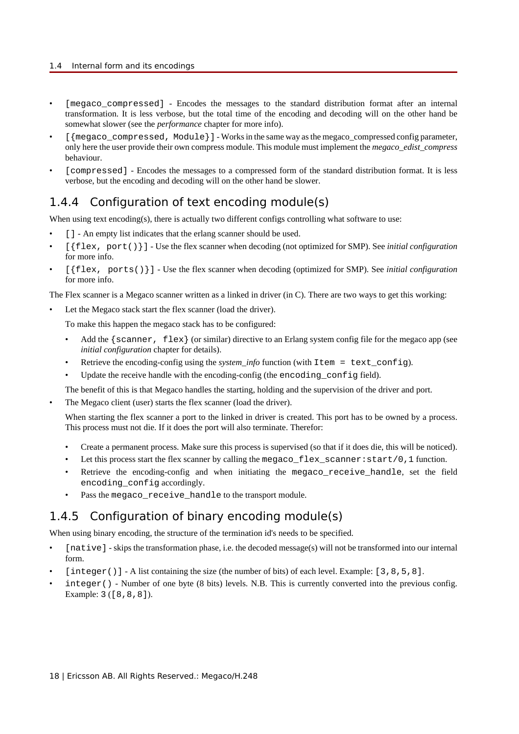- [megaco\_compressed] Encodes the messages to the standard distribution format after an internal transformation. It is less verbose, but the total time of the encoding and decoding will on the other hand be somewhat slower (see the *performance* chapter for more info).
- [{megaco\_compressed, Module}] Works in the same way as the megaco\_compressed config parameter, only here the user provide their own compress module. This module must implement the *megaco\_edist\_compress* behaviour.
- [compressed] Encodes the messages to a compressed form of the standard distribution format. It is less verbose, but the encoding and decoding will on the other hand be slower.

# 1.4.4 Configuration of text encoding module(s)

When using text encoding(s), there is actually two different configs controlling what software to use:

- [] An empty list indicates that the erlang scanner should be used.
- [{flex, port()}] Use the flex scanner when decoding (not optimized for SMP). See *initial configuration* for more info.
- [{flex, ports()}] Use the flex scanner when decoding (optimized for SMP). See *initial configuration* for more info.

The Flex scanner is a Megaco scanner written as a linked in driver (in C). There are two ways to get this working:

Let the Megaco stack start the flex scanner (load the driver).

To make this happen the megaco stack has to be configured:

- Add the  $\{scanner, flex\}$  (or similar) directive to an Erlang system config file for the megaco app (see *initial configuration* chapter for details).
- Retrieve the encoding-config using the *system\_info* function (with Item = text\_config).
- Update the receive handle with the encoding-config (the encoding\_config field).

The benefit of this is that Megaco handles the starting, holding and the supervision of the driver and port.

The Megaco client (user) starts the flex scanner (load the driver).

When starting the flex scanner a port to the linked in driver is created. This port has to be owned by a process. This process must not die. If it does the port will also terminate. Therefor:

- Create a permanent process. Make sure this process is supervised (so that if it does die, this will be noticed).
- Let this process start the flex scanner by calling the megaco\_flex\_scanner: start/0,1 function.
- Retrieve the encoding-config and when initiating the megaco\_receive\_handle, set the field encoding\_config accordingly.
- Pass the megaco\_receive\_handle to the transport module.

# 1.4.5 Configuration of binary encoding module(s)

When using binary encoding, the structure of the termination id's needs to be specified.

- [native] skips the transformation phase, i.e. the decoded message(s) will not be transformed into our internal form.
- [integer()] A list containing the size (the number of bits) of each level. Example: [3,8,5,8].
- integer() Number of one byte (8 bits) levels. N.B. This is currently converted into the previous config. Example: 3 ([8,8,8]).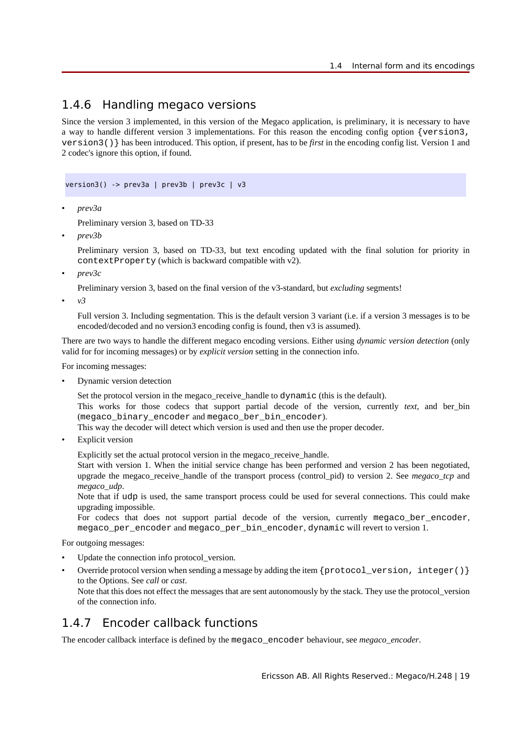# 1.4.6 Handling megaco versions

Since the version 3 implemented, in this version of the Megaco application, is preliminary, it is necessary to have a way to handle different version 3 implementations. For this reason the encoding config option {version3, version3()} has been introduced. This option, if present, has to be *first* in the encoding config list. Version 1 and 2 codec's ignore this option, if found.

version3() -> prev3a | prev3b | prev3c | v3

• *prev3a*

Preliminary version 3, based on TD-33

• *prev3b*

Preliminary version 3, based on TD-33, but text encoding updated with the final solution for priority in contextProperty (which is backward compatible with v2).

• *prev3c*

Preliminary version 3, based on the final version of the v3-standard, but *excluding* segments!

• *v3*

Full version 3. Including segmentation. This is the default version 3 variant (i.e. if a version 3 messages is to be encoded/decoded and no version3 encoding config is found, then v3 is assumed).

There are two ways to handle the different megaco encoding versions. Either using *dynamic version detection* (only valid for for incoming messages) or by *explicit version* setting in the connection info.

For incoming messages:

• Dynamic version detection

Set the protocol version in the megaco\_receive\_handle to dynamic (this is the default).

This works for those codecs that support partial decode of the version, currently *text*, and ber\_bin (megaco\_binary\_encoder and megaco\_ber\_bin\_encoder).

This way the decoder will detect which version is used and then use the proper decoder.

**Explicit version** 

Explicitly set the actual protocol version in the megaco receive handle.

Start with version 1. When the initial service change has been performed and version 2 has been negotiated, upgrade the megaco\_receive\_handle of the transport process (control\_pid) to version 2. See *megaco\_tcp* and *megaco\_udp*.

Note that if udp is used, the same transport process could be used for several connections. This could make upgrading impossible.

For codecs that does not support partial decode of the version, currently megaco\_ber\_encoder, megaco\_per\_encoder and megaco\_per\_bin\_encoder, dynamic will revert to version 1.

For outgoing messages:

of the connection info.

- Update the connection info protocol\_version.
- Override protocol version when sending a message by adding the item { $\text{protocol version}$ , integer() } to the Options. See *call* or *cast*. Note that this does not effect the messages that are sent autonomously by the stack. They use the protocol\_version

# 1.4.7 Encoder callback functions

The encoder callback interface is defined by the megaco\_encoder behaviour, see *megaco\_encoder*.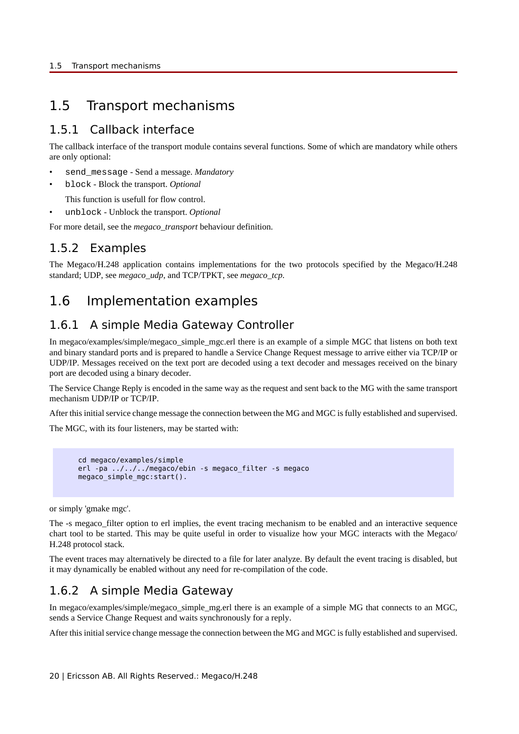# 1.5 Transport mechanisms

### 1.5.1 Callback interface

The callback interface of the transport module contains several functions. Some of which are mandatory while others are only optional:

- send\_message Send a message. *Mandatory*
- block Block the transport. *Optional*
	- This function is usefull for flow control.
- unblock Unblock the transport. *Optional*

For more detail, see the *megaco\_transport* behaviour definition.

# 1.5.2 Examples

The Megaco/H.248 application contains implementations for the two protocols specified by the Megaco/H.248 standard; UDP, see *megaco\_udp*, and TCP/TPKT, see *megaco\_tcp*.

# 1.6 Implementation examples

## 1.6.1 A simple Media Gateway Controller

In megaco/examples/simple/megaco\_simple\_mgc.erl there is an example of a simple MGC that listens on both text and binary standard ports and is prepared to handle a Service Change Request message to arrive either via TCP/IP or UDP/IP. Messages received on the text port are decoded using a text decoder and messages received on the binary port are decoded using a binary decoder.

The Service Change Reply is encoded in the same way as the request and sent back to the MG with the same transport mechanism UDP/IP or TCP/IP.

After this initial service change message the connection between the MG and MGC is fully established and supervised.

The MGC, with its four listeners, may be started with:

```
 cd megaco/examples/simple
 erl -pa ../../../megaco/ebin -s megaco_filter -s megaco
 megaco_simple_mgc:start().
```
or simply 'gmake mgc'.

The -s megaco filter option to erl implies, the event tracing mechanism to be enabled and an interactive sequence chart tool to be started. This may be quite useful in order to visualize how your MGC interacts with the Megaco/ H.248 protocol stack.

The event traces may alternatively be directed to a file for later analyze. By default the event tracing is disabled, but it may dynamically be enabled without any need for re-compilation of the code.

### 1.6.2 A simple Media Gateway

In megaco/examples/simple/megaco\_simple\_mg.erl there is an example of a simple MG that connects to an MGC, sends a Service Change Request and waits synchronously for a reply.

After this initial service change message the connection between the MG and MGC is fully established and supervised.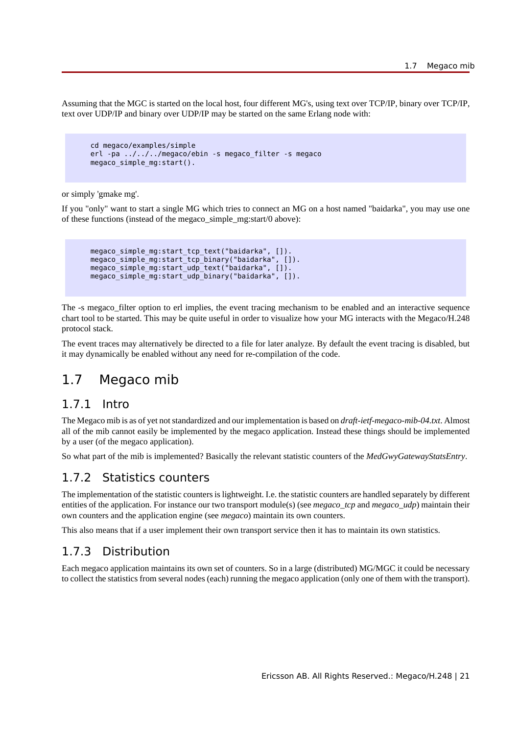Assuming that the MGC is started on the local host, four different MG's, using text over TCP/IP, binary over TCP/IP, text over UDP/IP and binary over UDP/IP may be started on the same Erlang node with:

```
 cd megaco/examples/simple
 erl -pa ../../../megaco/ebin -s megaco_filter -s megaco
 megaco_simple_mg:start().
```
or simply 'gmake mg'.

If you "only" want to start a single MG which tries to connect an MG on a host named "baidarka", you may use one of these functions (instead of the megaco\_simple\_mg:start/0 above):

```
 megaco_simple_mg:start_tcp_text("baidarka", []).
 megaco_simple_mg:start_tcp_binary("baidarka", []).
 megaco_simple_mg:start_udp_text("baidarka", []).
 megaco_simple_mg:start_udp_binary("baidarka", []).
```
The -s megaco filter option to erl implies, the event tracing mechanism to be enabled and an interactive sequence chart tool to be started. This may be quite useful in order to visualize how your MG interacts with the Megaco/H.248 protocol stack.

The event traces may alternatively be directed to a file for later analyze. By default the event tracing is disabled, but it may dynamically be enabled without any need for re-compilation of the code.

# 1.7 Megaco mib

### 1.7.1 Intro

The Megaco mib is as of yet not standardized and our implementation is based on *draft-ietf-megaco-mib-04.txt*. Almost all of the mib cannot easily be implemented by the megaco application. Instead these things should be implemented by a user (of the megaco application).

So what part of the mib is implemented? Basically the relevant statistic counters of the *MedGwyGatewayStatsEntry*.

### 1.7.2 Statistics counters

The implementation of the statistic counters is lightweight. I.e. the statistic counters are handled separately by different entities of the application. For instance our two transport module(s) (see *megaco\_tcp* and *megaco\_udp*) maintain their own counters and the application engine (see *megaco*) maintain its own counters.

This also means that if a user implement their own transport service then it has to maintain its own statistics.

#### 1.7.3 Distribution

Each megaco application maintains its own set of counters. So in a large (distributed) MG/MGC it could be necessary to collect the statistics from several nodes (each) running the megaco application (only one of them with the transport).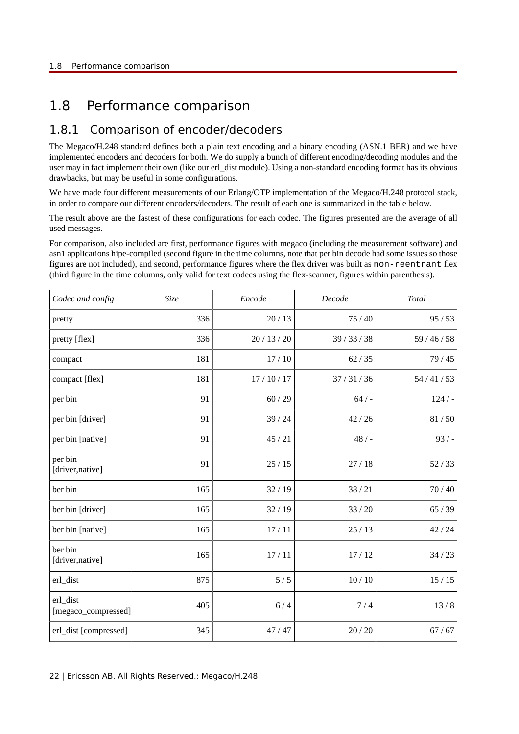# 1.8 Performance comparison

# 1.8.1 Comparison of encoder/decoders

The Megaco/H.248 standard defines both a plain text encoding and a binary encoding (ASN.1 BER) and we have implemented encoders and decoders for both. We do supply a bunch of different encoding/decoding modules and the user may in fact implement their own (like our erl\_dist module). Using a non-standard encoding format has its obvious drawbacks, but may be useful in some configurations.

We have made four different measurements of our Erlang/OTP implementation of the Megaco/H.248 protocol stack, in order to compare our different encoders/decoders. The result of each one is summarized in the table below.

The result above are the fastest of these configurations for each codec. The figures presented are the average of all used messages.

For comparison, also included are first, performance figures with megaco (including the measurement software) and asn1 applications hipe-compiled (second figure in the time columns, note that per bin decode had some issues so those figures are not included), and second, performance figures where the flex driver was built as non-reentrant flex (third figure in the time columns, only valid for text codecs using the flex-scanner, figures within parenthesis).

| Codec and config                | Size | Encode   | Decode   | Total    |
|---------------------------------|------|----------|----------|----------|
| pretty                          | 336  | 20/13    | 75/40    | 95/53    |
| pretty [flex]                   | 336  | 20/13/20 | 39/33/38 | 59/46/58 |
| compact                         | 181  | 17/10    | 62 / 35  | 79 / 45  |
| compact [flex]                  | 181  | 17/10/17 | 37/31/36 | 54/41/53 |
| per bin                         | 91   | 60/29    | 64/      | $124/ -$ |
| per bin [driver]                | 91   | 39/24    | 42/26    | 81/50    |
| per bin [native]                | 91   | 45/21    | 48/      | $93/$ -  |
| per bin<br>[driver,native]      | 91   | 25/15    | 27/18    | 52/33    |
| ber bin                         | 165  | 32/19    | 38/21    | 70/40    |
| ber bin [driver]                | 165  | 32/19    | 33 / 20  | 65/39    |
| ber bin [native]                | 165  | 17/11    | 25/13    | 42/24    |
| ber bin<br>[driver,native]      | 165  | 17/11    | 17/12    | 34/23    |
| erl_dist                        | 875  | 5/5      | $10/10$  | 15/15    |
| erl_dist<br>[megaco_compressed] | 405  | 6/4      | 7/4      | 13/8     |
| erl_dist [compressed]           | 345  | 47 / 47  | 20/20    | $67/67$  |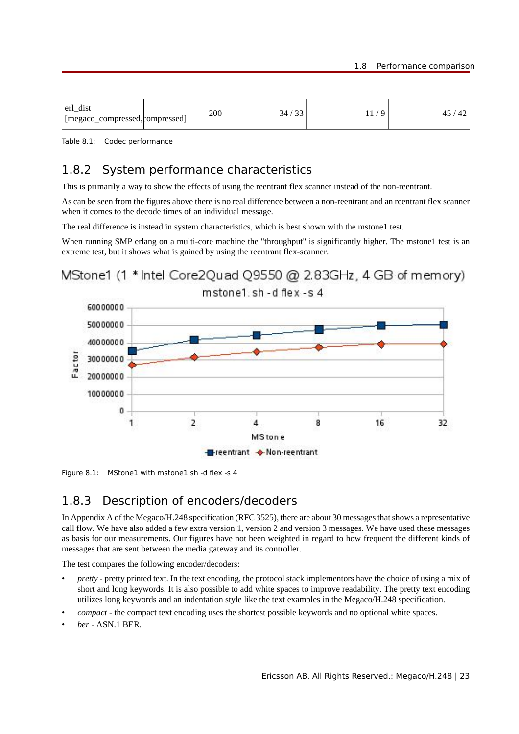| erl dist<br>   megaco_compressed, compressed | 200 | ີ່ |  | 4. |
|----------------------------------------------|-----|----|--|----|
|----------------------------------------------|-----|----|--|----|

Table 8.1: Codec performance

## 1.8.2 System performance characteristics

This is primarily a way to show the effects of using the reentrant flex scanner instead of the non-reentrant.

As can be seen from the figures above there is no real difference between a non-reentrant and an reentrant flex scanner when it comes to the decode times of an individual message.

The real difference is instead in system characteristics, which is best shown with the mstone1 test.

When running SMP erlang on a multi-core machine the "throughput" is significantly higher. The mstone1 test is an extreme test, but it shows what is gained by using the reentrant flex-scanner.

# MStone1 (1 \* Intel Core2Quad Q9550 @ 2.83GHz, 4 GB of memory) mstone1 sh-d flex-s 4



Figure 8.1: MStone1 with mstone1.sh -d flex -s 4

# 1.8.3 Description of encoders/decoders

In Appendix A of the Megaco/H.248 specification (RFC 3525), there are about 30 messages that shows a representative call flow. We have also added a few extra version 1, version 2 and version 3 messages. We have used these messages as basis for our measurements. Our figures have not been weighted in regard to how frequent the different kinds of messages that are sent between the media gateway and its controller.

The test compares the following encoder/decoders:

- *pretty* pretty printed text. In the text encoding, the protocol stack implementors have the choice of using a mix of short and long keywords. It is also possible to add white spaces to improve readability. The pretty text encoding utilizes long keywords and an indentation style like the text examples in the Megaco/H.248 specification.
- *compact* the compact text encoding uses the shortest possible keywords and no optional white spaces.
- *ber* ASN.1 BER.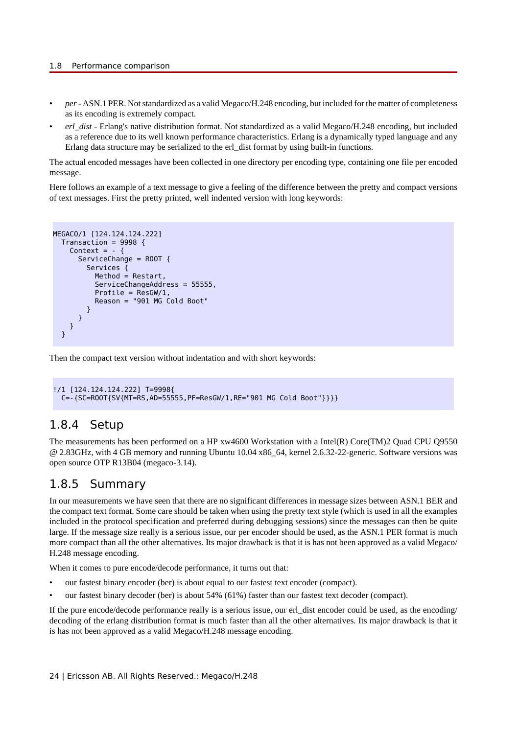- *per* ASN.1 PER. Not standardized as a valid Megaco/H.248 encoding, but included for the matter of completeness as its encoding is extremely compact.
- *erl\_dist* Erlang's native distribution format. Not standardized as a valid Megaco/H.248 encoding, but included as a reference due to its well known performance characteristics. Erlang is a dynamically typed language and any Erlang data structure may be serialized to the erl\_dist format by using built-in functions.

The actual encoded messages have been collected in one directory per encoding type, containing one file per encoded message.

Here follows an example of a text message to give a feeling of the difference between the pretty and compact versions of text messages. First the pretty printed, well indented version with long keywords:

```
MEGACO/1 [124.124.124.222] 
   Transaction = 9998 { 
    Context = - {
       ServiceChange = ROOT { 
          Services { 
            Method = Restart, 
           ServiceChangeAddress = 55555.
           Profile = ResGW/1,
            Reason = "901 MG Cold Boot"
         }
       } 
     }
   }
```
Then the compact text version without indentation and with short keywords:

```
!/1 [124.124.124.222] T=9998{
  C=-{SC=ROOT{SV{MT=RS,AD=55555,PF=ResGW/1,RE="901 MG Cold Boot"}}}}
```
#### 1.8.4 Setup

The measurements has been performed on a HP xw4600 Workstation with a Intel(R) Core(TM)2 Quad CPU Q9550 @ 2.83GHz, with 4 GB memory and running Ubuntu 10.04 x86\_64, kernel 2.6.32-22-generic. Software versions was open source OTP R13B04 (megaco-3.14).

### 1.8.5 Summary

In our measurements we have seen that there are no significant differences in message sizes between ASN.1 BER and the compact text format. Some care should be taken when using the pretty text style (which is used in all the examples included in the protocol specification and preferred during debugging sessions) since the messages can then be quite large. If the message size really is a serious issue, our per encoder should be used, as the ASN.1 PER format is much more compact than all the other alternatives. Its major drawback is that it is has not been approved as a valid Megaco/ H.248 message encoding.

When it comes to pure encode/decode performance, it turns out that:

- our fastest binary encoder (ber) is about equal to our fastest text encoder (compact).
- our fastest binary decoder (ber) is about 54% (61%) faster than our fastest text decoder (compact).

If the pure encode/decode performance really is a serious issue, our erl\_dist encoder could be used, as the encoding/ decoding of the erlang distribution format is much faster than all the other alternatives. Its major drawback is that it is has not been approved as a valid Megaco/H.248 message encoding.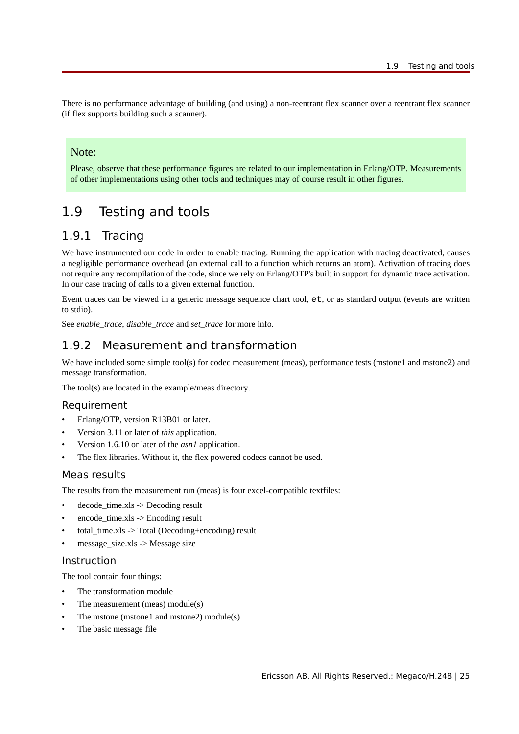There is no performance advantage of building (and using) a non-reentrant flex scanner over a reentrant flex scanner (if flex supports building such a scanner).

#### Note:

Please, observe that these performance figures are related to our implementation in Erlang/OTP. Measurements of other implementations using other tools and techniques may of course result in other figures.

# 1.9 Testing and tools

### 1.9.1 Tracing

We have instrumented our code in order to enable tracing. Running the application with tracing deactivated, causes a negligible performance overhead (an external call to a function which returns an atom). Activation of tracing does not require any recompilation of the code, since we rely on Erlang/OTP's built in support for dynamic trace activation. In our case tracing of calls to a given external function.

Event traces can be viewed in a generic message sequence chart tool, et, or as standard output (events are written to stdio).

See *enable\_trace*, *disable\_trace* and *set\_trace* for more info.

### 1.9.2 Measurement and transformation

We have included some simple tool(s) for codec measurement (meas), performance tests (mstone1 and mstone2) and message transformation.

The tool(s) are located in the example/meas directory.

#### Requirement

- Erlang/OTP, version R13B01 or later.
- Version 3.11 or later of *this* application.
- Version 1.6.10 or later of the *asn1* application.
- The flex libraries. Without it, the flex powered codecs cannot be used.

#### Meas results

The results from the measurement run (meas) is four excel-compatible textfiles:

- decode\_time.xls -> Decoding result
- encode\_time.xls -> Encoding result
- total  $time.xls$  -> Total (Decoding+encoding) result
- message\_size.xls -> Message size

#### Instruction

The tool contain four things:

- The transformation module
- The measurement (meas) module(s)
- The mstone (mstone1 and mstone2) module(s)
- The basic message file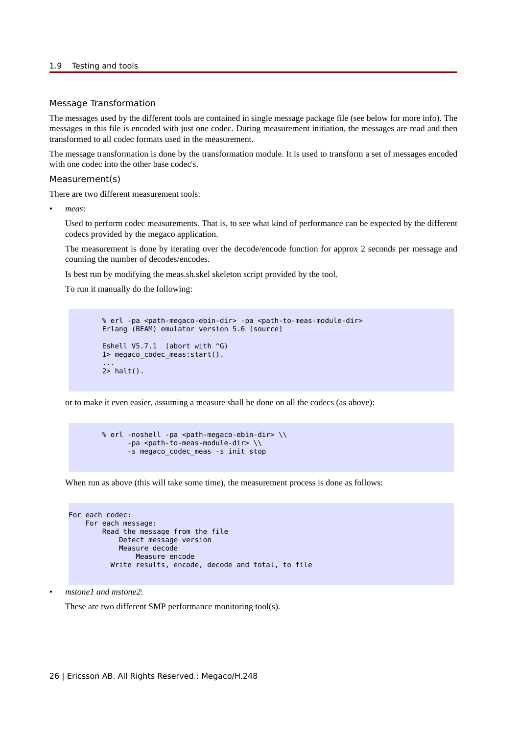#### Message Transformation

The messages used by the different tools are contained in single message package file (see below for more info). The messages in this file is encoded with just one codec. During measurement initiation, the messages are read and then transformed to all codec formats used in the measurement.

The message transformation is done by the transformation module. It is used to transform a set of messages encoded with one codec into the other base codec's.

#### Measurement(s)

There are two different measurement tools:

• *meas*:

Used to perform codec measurements. That is, to see what kind of performance can be expected by the different codecs provided by the megaco application.

The measurement is done by iterating over the decode/encode function for approx 2 seconds per message and counting the number of decodes/encodes.

Is best run by modifying the meas.sh.skel skeleton script provided by the tool.

To run it manually do the following:

```
% erl -pa <path-megaco-ebin-dir> -pa <path-to-meas-module-dir>
        Erlang (BEAM) emulator version 5.6 [source]
       Eshell V5.7.1 (abort with \hat{G})
        1> megaco_codec_meas:start().
 ...
       2> halt().
```
or to make it even easier, assuming a measure shall be done on all the codecs (as above):

```
% erl -noshell -pa <path-megaco-ebin-dir> \\
      -pa \leq path-to-meas-module-dir> \\
       -s megaco_codec_meas -s init stop
```
When run as above (this will take some time), the measurement process is done as follows:

```
For each codec:
     For each message:
         Read the message from the file
             Detect message version
             Measure decode
                 Measure encode
           Write results, encode, decode and total, to file
```
• *mstone1 and mstone2*:

These are two different SMP performance monitoring tool(s).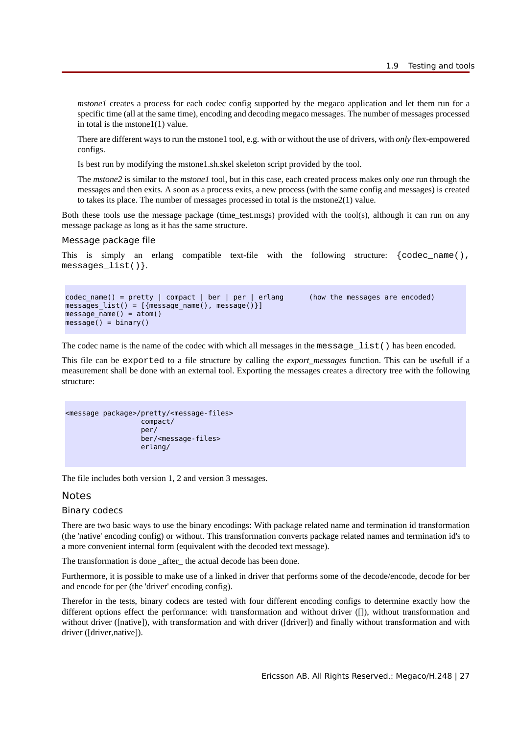*mstonel* creates a process for each codec config supported by the megaco application and let them run for a specific time (all at the same time), encoding and decoding megaco messages. The number of messages processed in total is the mstone1 $(1)$  value.

There are different ways to run the mstone1 tool, e.g. with or without the use of drivers, with *only* flex-empowered configs.

Is best run by modifying the mstone1.sh.skel skeleton script provided by the tool.

The *mstone2* is similar to the *mstone1* tool, but in this case, each created process makes only *one* run through the messages and then exits. A soon as a process exits, a new process (with the same config and messages) is created to takes its place. The number of messages processed in total is the mstone2(1) value.

Both these tools use the message package (time\_test.msgs) provided with the tool(s), although it can run on any message package as long as it has the same structure.

#### Message package file

This is simply an erlang compatible text-file with the following structure: {codec\_name(), messages\_list()}.

```
codec_name() = pretty | compact | ber | per | erlang (how the messages are encoded)
messages_list() = [{message_name(), message()}]
message name() = atom()message() = binary()
```
The codec name is the name of the codec with which all messages in the message  $list()$  has been encoded.

This file can be exported to a file structure by calling the *export\_messages* function. This can be usefull if a measurement shall be done with an external tool. Exporting the messages creates a directory tree with the following structure:

```
<message package>/pretty/<message-files>
                    compact/
                    per/
                    ber/<message-files>
                    erlang/
```
The file includes both version 1, 2 and version 3 messages.

#### Notes

#### Binary codecs

There are two basic ways to use the binary encodings: With package related name and termination id transformation (the 'native' encoding config) or without. This transformation converts package related names and termination id's to a more convenient internal form (equivalent with the decoded text message).

The transformation is done \_after\_ the actual decode has been done.

Furthermore, it is possible to make use of a linked in driver that performs some of the decode/encode, decode for ber and encode for per (the 'driver' encoding config).

Therefor in the tests, binary codecs are tested with four different encoding configs to determine exactly how the different options effect the performance: with transformation and without driver ([]), without transformation and without driver ([native]), with transformation and with driver ([driver]) and finally without transformation and with driver ([driver,native]).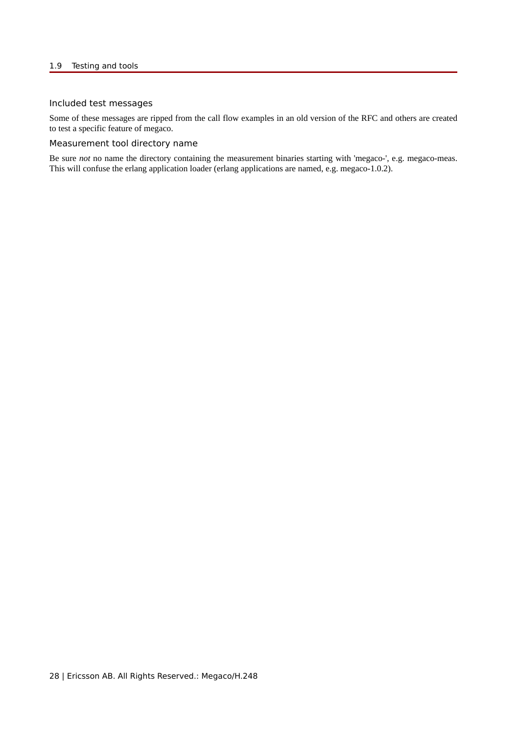#### Included test messages

Some of these messages are ripped from the call flow examples in an old version of the RFC and others are created to test a specific feature of megaco.

#### Measurement tool directory name

Be sure *not* no name the directory containing the measurement binaries starting with 'megaco-', e.g. megaco-meas. This will confuse the erlang application loader (erlang applications are named, e.g. megaco-1.0.2).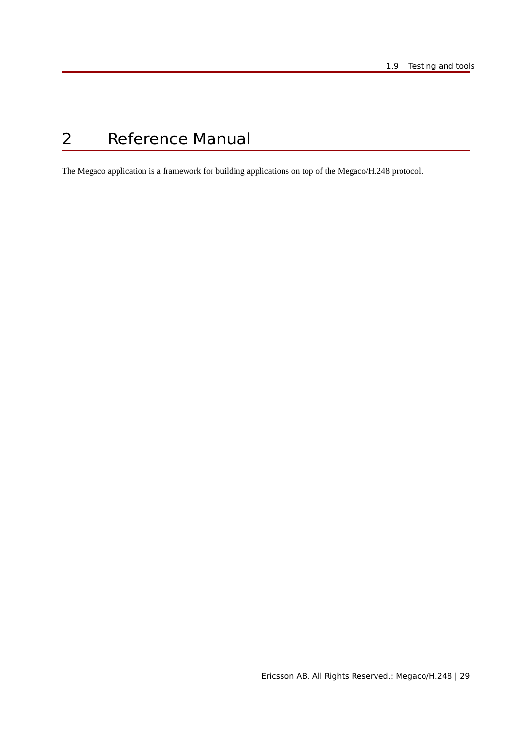# 2 Reference Manual

The Megaco application is a framework for building applications on top of the Megaco/H.248 protocol.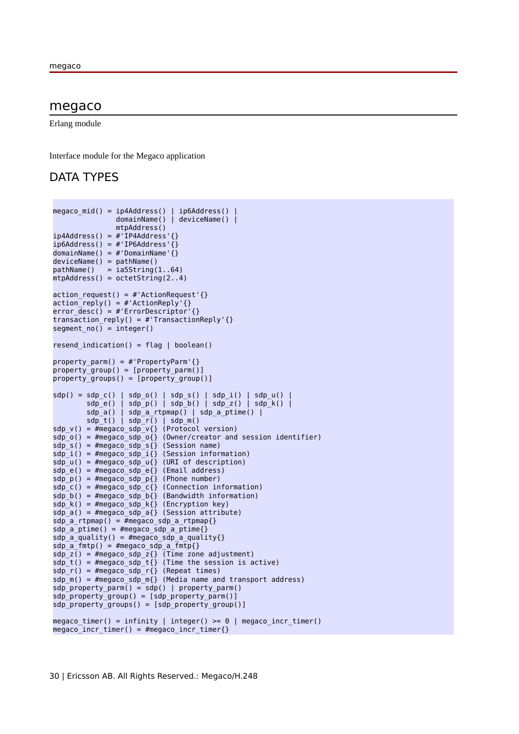```
megaco
```
#### megaco

Erlang module

Interface module for the Megaco application

#### DATA TYPES

```
megaco_mid() = ip4Address() | ip6Address() | 
 domainName() | deviceName() | 
                mtpAddress() 
ip4Address() = #'IP4Address'{}
ip6Address() = #'IP6Address'{}domainName() = #'DomainName'{}
deviceName() = pathName()<br>pathName() = i a 5 String()= ia5String(1..64)
mtpAddress() = octetString(2..4)action_request() = #'ActionRequest'{}
\arctan\text{-} reply() = #'ActionReply'{}
error\_desc() = #'ErrorDescription'{}
transaction reply() = #'TransactionReply'{}
segment no(\bar{)} = integer()
resend\_indication() = flag | boolean()property parm() = #'PropertyParm'{}
property_group() = [property_parm()]
property groups() = [property\ group()]sdp() = sdp_c() | sdp_o() | sdp_s() | sdp_i() | sdp_u() | 
 sdp_e() | sdp_p() | sdp_b() | sdp_z() | sdp_k() | 
         sdp_a() | sdp_a_rtpmap() | sdp_a_ptime() | 
        sdp_t() | sdp_r() | sdp_m()sdp_v() = #megaco_sdp_v{} (Protocol version)
sdp_o() = #megaco_sdp_o{} (Owner/creator and session identifier)
sdp_s() = #megaco_sdp_s{} (Session name)
sdp_i() = #megaco_sdp_i{} (Session information)
sdp_u() = #megaco_sdp_u{}' (URI of description)
sdp_e() = #megaco_sdp_e{} (Email address)
sdp_p() = #megaco_sdp_p{} (Phone number)
sdp_c() = #megaco_sdp_c{} (Connection information)
sdp_b() = #megaco_sdp_b{} (Bandwidth information)
sdp_k() = #megaco_sdp_k{} (Encryption key)
sdp_a() = #megaco_sdp_a{} (Session attribute)
sdp_a_rtpmap() = \frac{1}{4}megaco sdp a rtpmap{}
sdp a_ptime() = #megaco_sdp_a_ptime{}
sdp_a_quality() = #megaco_sdp_a_quality{}
sdp_a_fmtp() = #megaco_sdp_a_fmtp{}sdp_z() = #megaco_sdp_z{} (Time zone adjustment)
sdp_t() = #megaco_sdp_t{} (Time the session is active)
sdp_r() = #megaco_sdp_r{} (Repeat times)
sdp m() = #megaco sdp m{}} (Media name and transport address)
sdp\_property\_parm() = sdp() | property\_parm()sdp property group() = [sdp property parm()]
sdp_property_groups() = [sdp_property_group()]
megaco timer() = infinity | integer() >= 0 | megaco incr timer()
megaco_incr_timer() = #megaco_incr_timer{}
```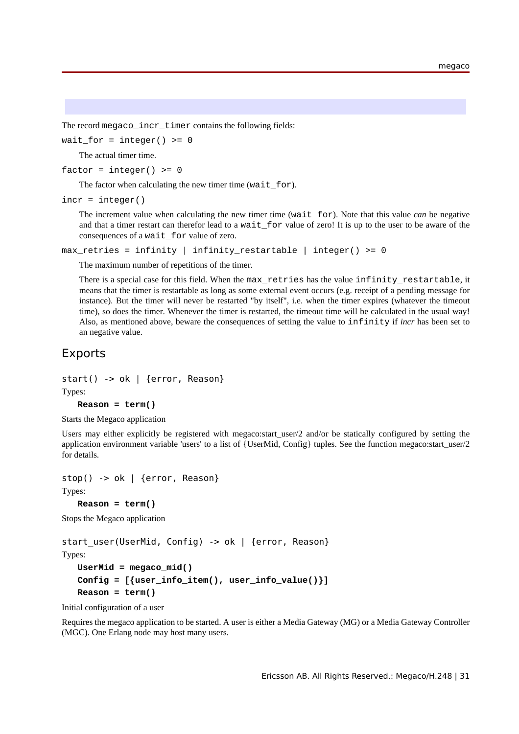megaco

The record megaco\_incr\_timer contains the following fields:

wait\_for = integer()  $>= 0$ 

The actual timer time.

```
factor = integer() >= 0
```
The factor when calculating the new timer time (wait\_for).

```
incr = integer()
```
The increment value when calculating the new timer time (wait\_for). Note that this value *can* be negative and that a timer restart can therefor lead to a wait\_for value of zero! It is up to the user to be aware of the consequences of a wait\_for value of zero.

```
max_retries = infinity | infinity_restartable | integer() >= 0
```
The maximum number of repetitions of the timer.

There is a special case for this field. When the max\_retries has the value infinity\_restartable, it means that the timer is restartable as long as some external event occurs (e.g. receipt of a pending message for instance). But the timer will never be restarted "by itself", i.e. when the timer expires (whatever the timeout time), so does the timer. Whenever the timer is restarted, the timeout time will be calculated in the usual way! Also, as mentioned above, beware the consequences of setting the value to infinity if *incr* has been set to an negative value.

#### Exports

```
start() -> ok | {error, Reason}
Types:
```
**Reason = term()**

Starts the Megaco application

Users may either explicitly be registered with megaco:start\_user/2 and/or be statically configured by setting the application environment variable 'users' to a list of {UserMid, Config} tuples. See the function megaco:start\_user/2 for details.

```
stop() -> ok | {error, Reason}
```
Types:

```
Reason = term()
```
Stops the Megaco application

```
start user(UserMid, Config) -> ok | {error, Reason}
Types:
```

```
UserMid = megaco_mid()
Config = [{user_info_item(), user_info_value()}]
Reason = term()
```
Initial configuration of a user

Requires the megaco application to be started. A user is either a Media Gateway (MG) or a Media Gateway Controller (MGC). One Erlang node may host many users.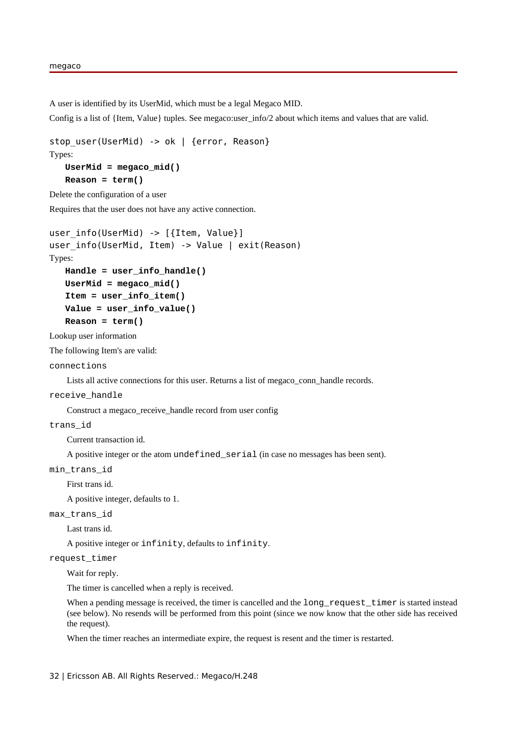A user is identified by its UserMid, which must be a legal Megaco MID.

Config is a list of {Item, Value} tuples. See megaco:user\_info/2 about which items and values that are valid.

```
stop user(UserMid) -> ok | {error, Reason}
Types:
   UserMid = megaco_mid()
   Reason = term()
```
Delete the configuration of a user

Requires that the user does not have any active connection.

```
user_info(UserMid) -> [{Item, Value}]
user info(UserMid, Item) -> Value | exit(Reason)
Types:
   Handle = user_info_handle()
   UserMid = megaco_mid()
   Item = user_info_item()
   Value = user_info_value()
   Reason = term()
```
Lookup user information

The following Item's are valid:

connections

Lists all active connections for this user. Returns a list of megaco\_conn\_handle records.

receive\_handle

Construct a megaco\_receive\_handle record from user config

trans\_id

Current transaction id.

A positive integer or the atom undefined\_serial (in case no messages has been sent).

min\_trans\_id

First trans id.

A positive integer, defaults to 1.

max\_trans\_id

Last trans id.

A positive integer or infinity, defaults to infinity.

```
request_timer
```
Wait for reply.

The timer is cancelled when a reply is received.

When a pending message is received, the timer is cancelled and the long\_request\_timer is started instead (see below). No resends will be performed from this point (since we now know that the other side has received the request).

When the timer reaches an intermediate expire, the request is resent and the timer is restarted.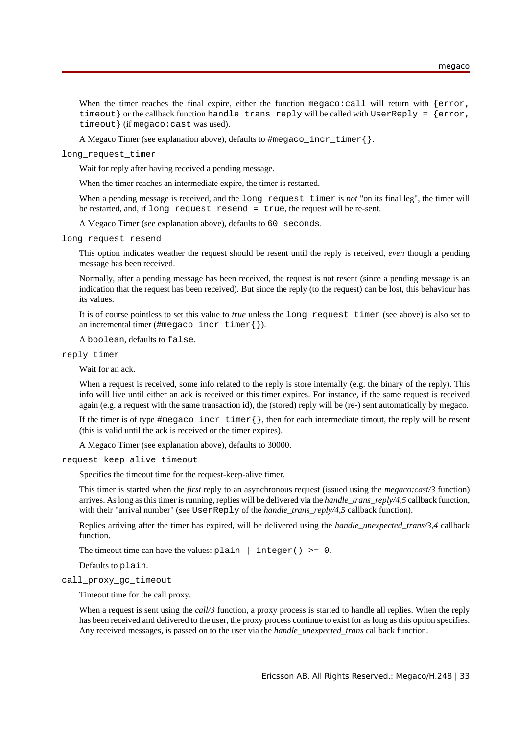When the timer reaches the final expire, either the function megaco:call will return with  $\{\text{error}\}$ , timeout or the callback function handle trans reply will be called with UserReply =  $\{error,$ timeout { (if megaco: cast was used).

A Megaco Timer (see explanation above), defaults to  $\text{Im} \text{erg} \geq \text{Im} \text{cm}$  timer { }.

long\_request\_timer

Wait for reply after having received a pending message.

When the timer reaches an intermediate expire, the timer is restarted.

When a pending message is received, and the long\_request\_timer is *not* "on its final leg", the timer will be restarted, and, if long\_request\_resend = true, the request will be re-sent.

A Megaco Timer (see explanation above), defaults to 60 seconds.

long\_request\_resend

This option indicates weather the request should be resent until the reply is received, *even* though a pending message has been received.

Normally, after a pending message has been received, the request is not resent (since a pending message is an indication that the request has been received). But since the reply (to the request) can be lost, this behaviour has its values.

It is of course pointless to set this value to *true* unless the long\_request\_timer (see above) is also set to an incremental timer (#megaco\_incr\_timer{}).

A boolean, defaults to false.

reply\_timer

Wait for an ack.

When a request is received, some info related to the reply is store internally (e.g. the binary of the reply). This info will live until either an ack is received or this timer expires. For instance, if the same request is received again (e.g. a request with the same transaction id), the (stored) reply will be (re-) sent automatically by megaco.

If the timer is of type #megaco\_incr\_timer{}, then for each intermediate timout, the reply will be resent (this is valid until the ack is received or the timer expires).

A Megaco Timer (see explanation above), defaults to 30000.

request\_keep\_alive\_timeout

Specifies the timeout time for the request-keep-alive timer.

This timer is started when the *first* reply to an asynchronous request (issued using the *megaco:cast/3* function) arrives. As long as this timer is running, replies will be delivered via the *handle\_trans\_reply/4,5* callback function, with their "arrival number" (see UserReply of the *handle trans\_reply/4,5* callback function).

Replies arriving after the timer has expired, will be delivered using the *handle\_unexpected\_trans/3,4* callback function.

The timeout time can have the values:  $\nu$ lain | integer() >= 0.

Defaults to plain.

call\_proxy\_gc\_timeout

Timeout time for the call proxy.

When a request is sent using the *call/3* function, a proxy process is started to handle all replies. When the reply has been received and delivered to the user, the proxy process continue to exist for as long as this option specifies. Any received messages, is passed on to the user via the *handle unexpected trans* callback function.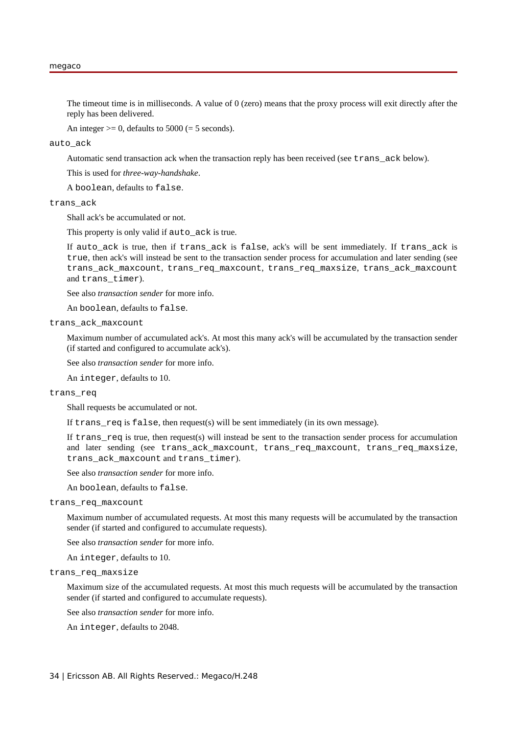#### megaco

The timeout time is in milliseconds. A value of 0 (zero) means that the proxy process will exit directly after the reply has been delivered.

An integer  $>= 0$ , defaults to 5000 (= 5 seconds).

auto\_ack

Automatic send transaction ack when the transaction reply has been received (see trans\_ack below).

This is used for *three-way-handshake*.

A boolean, defaults to false.

trans\_ack

Shall ack's be accumulated or not.

This property is only valid if auto ack is true.

If auto\_ack is true, then if trans\_ack is false, ack's will be sent immediately. If trans\_ack is true, then ack's will instead be sent to the transaction sender process for accumulation and later sending (see trans\_ack\_maxcount, trans\_req\_maxcount, trans\_req\_maxsize, trans\_ack\_maxcount and trans\_timer).

See also *transaction sender* for more info.

An boolean, defaults to false.

trans\_ack\_maxcount

Maximum number of accumulated ack's. At most this many ack's will be accumulated by the transaction sender (if started and configured to accumulate ack's).

See also *transaction sender* for more info.

An integer, defaults to 10.

trans\_req

Shall requests be accumulated or not.

If trans\_req is false, then request(s) will be sent immediately (in its own message).

If trans  $r = q$  is true, then request(s) will instead be sent to the transaction sender process for accumulation and later sending (see trans ack maxcount, trans req maxcount, trans req maxsize, trans ack maxcount and trans timer).

See also *transaction sender* for more info.

An boolean, defaults to false.

trans\_req\_maxcount

Maximum number of accumulated requests. At most this many requests will be accumulated by the transaction sender (if started and configured to accumulate requests).

See also *transaction sender* for more info.

An integer, defaults to 10.

#### trans\_req\_maxsize

Maximum size of the accumulated requests. At most this much requests will be accumulated by the transaction sender (if started and configured to accumulate requests).

See also *transaction sender* for more info.

An integer, defaults to 2048.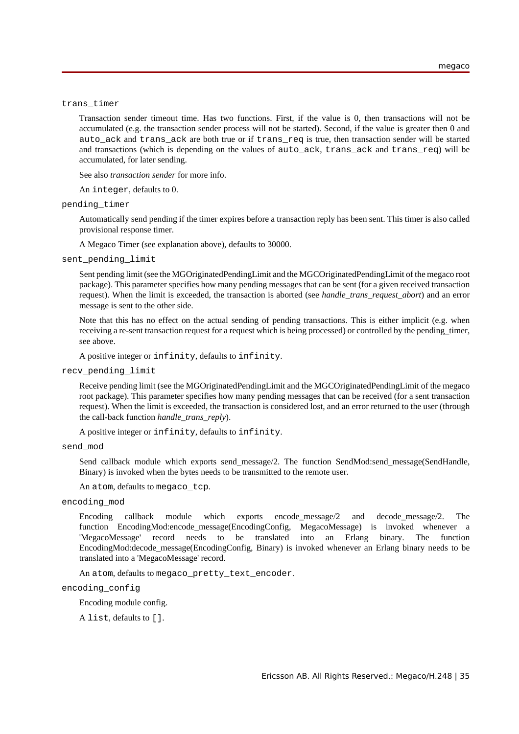#### trans\_timer

Transaction sender timeout time. Has two functions. First, if the value is 0, then transactions will not be accumulated (e.g. the transaction sender process will not be started). Second, if the value is greater then 0 and auto ack and trans ack are both true or if trans req is true, then transaction sender will be started and transactions (which is depending on the values of auto\_ack, trans\_ack and trans\_req) will be accumulated, for later sending.

See also *transaction sender* for more info.

An integer, defaults to 0.

### pending\_timer

Automatically send pending if the timer expires before a transaction reply has been sent. This timer is also called provisional response timer.

A Megaco Timer (see explanation above), defaults to 30000.

sent pending limit

Sent pending limit (see the MGOriginatedPendingLimit and the MGCOriginatedPendingLimit of the megaco root package). This parameter specifies how many pending messages that can be sent (for a given received transaction request). When the limit is exceeded, the transaction is aborted (see *handle\_trans\_request\_abort*) and an error message is sent to the other side.

Note that this has no effect on the actual sending of pending transactions. This is either implicit (e.g. when receiving a re-sent transaction request for a request which is being processed) or controlled by the pending\_timer, see above.

A positive integer or infinity, defaults to infinity.

recv\_pending\_limit

Receive pending limit (see the MGOriginatedPendingLimit and the MGCOriginatedPendingLimit of the megaco root package). This parameter specifies how many pending messages that can be received (for a sent transaction request). When the limit is exceeded, the transaction is considered lost, and an error returned to the user (through the call-back function *handle\_trans\_reply*).

A positive integer or infinity, defaults to infinity.

send\_mod

Send callback module which exports send\_message/2. The function SendMod:send\_message(SendHandle, Binary) is invoked when the bytes needs to be transmitted to the remote user.

An atom, defaults to megaco\_tcp.

## encoding\_mod

Encoding callback module which exports encode\_message/2 and decode\_message/2. The function EncodingMod:encode\_message(EncodingConfig, MegacoMessage) is invoked whenever a 'MegacoMessage' record needs to be translated into an Erlang binary. The function EncodingMod:decode\_message(EncodingConfig, Binary) is invoked whenever an Erlang binary needs to be translated into a 'MegacoMessage' record.

An atom, defaults to megaco\_pretty\_text\_encoder.

encoding\_config

Encoding module config.

A list, defaults to [].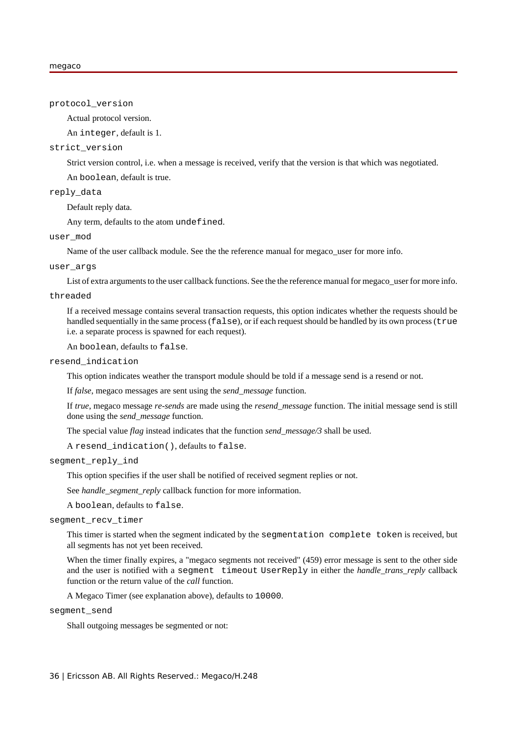### protocol\_version

Actual protocol version.

An integer, default is 1.

## strict\_version

Strict version control, i.e. when a message is received, verify that the version is that which was negotiated.

An boolean, default is true.

#### reply\_data

Default reply data.

Any term, defaults to the atom undefined.

#### user\_mod

Name of the user callback module. See the the reference manual for megaco\_user for more info.

#### user\_args

List of extra arguments to the user callback functions. See the the reference manual for megaco\_user for more info.

### threaded

If a received message contains several transaction requests, this option indicates whether the requests should be handled sequentially in the same process (false), or if each request should be handled by its own process (true i.e. a separate process is spawned for each request).

An boolean, defaults to false.

## resend\_indication

This option indicates weather the transport module should be told if a message send is a resend or not.

If *false*, megaco messages are sent using the *send\_message* function.

If *true*, megaco message *re-sends* are made using the *resend\_message* function. The initial message send is still done using the *send\_message* function.

The special value *flag* instead indicates that the function *send\_message/3* shall be used.

A resend\_indication(), defaults to false.

#### segment reply ind

This option specifies if the user shall be notified of received segment replies or not.

See *handle\_segment\_reply* callback function for more information.

A boolean, defaults to false.

## segment\_recv\_timer

This timer is started when the segment indicated by the segmentation complete token is received, but all segments has not yet been received.

When the timer finally expires, a "megaco segments not received" (459) error message is sent to the other side and the user is notified with a segment timeout UserReply in either the *handle trans reply* callback function or the return value of the *call* function.

A Megaco Timer (see explanation above), defaults to 10000.

segment\_send

Shall outgoing messages be segmented or not: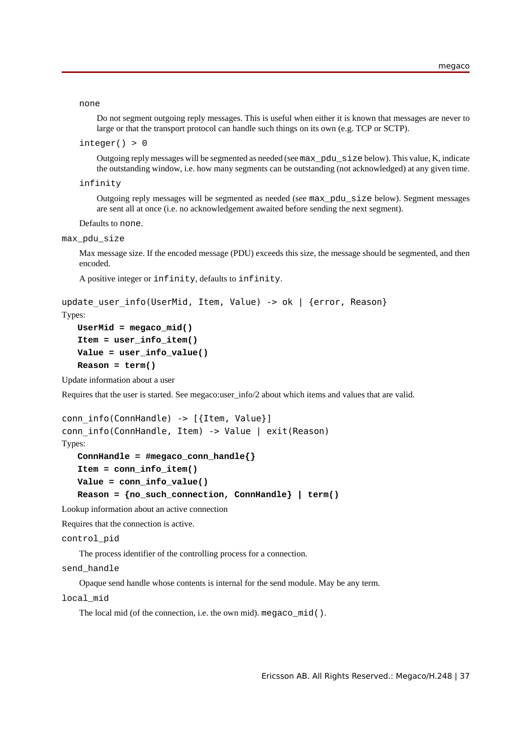none

Do not segment outgoing reply messages. This is useful when either it is known that messages are never to large or that the transport protocol can handle such things on its own (e.g. TCP or SCTP).

```
integer() > 0
```
Outgoing reply messages will be segmented as needed (see max  $pdu$  size below). This value, K, indicate the outstanding window, i.e. how many segments can be outstanding (not acknowledged) at any given time.

infinity

Outgoing reply messages will be segmented as needed (see max\_pdu\_size below). Segment messages are sent all at once (i.e. no acknowledgement awaited before sending the next segment).

Defaults to none.

```
max_pdu_size
```
Max message size. If the encoded message (PDU) exceeds this size, the message should be segmented, and then encoded.

A positive integer or infinity, defaults to infinity.

update user info(UserMid, Item, Value) -> ok | {error, Reason}

#### Types:

```
UserMid = megaco_mid()
Item = user_info_item()
Value = user_info_value()
Reason = term()
```
Update information about a user

Requires that the user is started. See megaco:user\_info/2 about which items and values that are valid.

```
conn info(ConnHandle) -> [{Item, Value}]
conn info(ConnHandle, Item) -> Value | exit(Reason)
Types:
   ConnHandle = #megaco_conn_handle{}
   Item = conn_info_item()
   Value = conn_info_value()
```
**Reason = {no\_such\_connection, ConnHandle} | term()**

Lookup information about an active connection

Requires that the connection is active.

control\_pid

The process identifier of the controlling process for a connection.

send handle

Opaque send handle whose contents is internal for the send module. May be any term.

local\_mid

The local mid (of the connection, i.e. the own mid). megaco\_mid().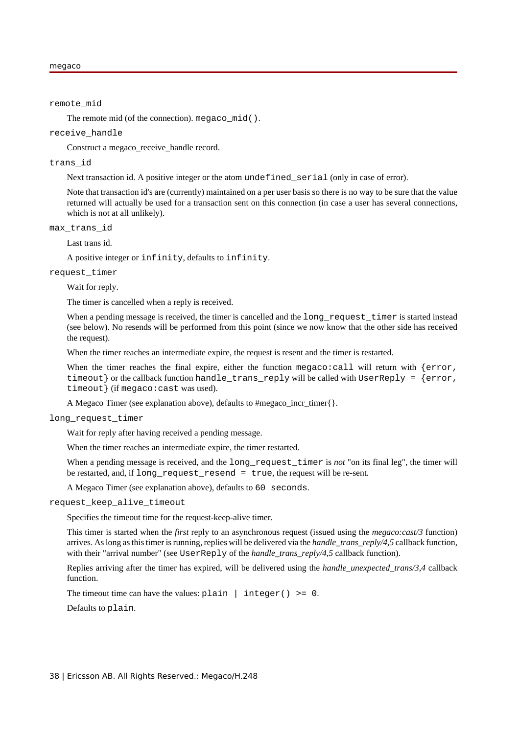## remote\_mid

The remote mid (of the connection). megaco\_mid().

### receive\_handle

Construct a megaco\_receive\_handle record.

#### trans\_id

Next transaction id. A positive integer or the atom undefined\_serial (only in case of error).

Note that transaction id's are (currently) maintained on a per user basis so there is no way to be sure that the value returned will actually be used for a transaction sent on this connection (in case a user has several connections, which is not at all unlikely).

max\_trans\_id

Last trans id.

A positive integer or infinity, defaults to infinity.

request\_timer

Wait for reply.

The timer is cancelled when a reply is received.

When a pending message is received, the timer is cancelled and the long\_request\_timer is started instead (see below). No resends will be performed from this point (since we now know that the other side has received the request).

When the timer reaches an intermediate expire, the request is resent and the timer is restarted.

When the timer reaches the final expire, either the function megaco:call will return with  $\{error,$ timeout} or the callback function handle\_trans\_reply will be called with UserReply = {error, timeout} (if megaco:cast was used).

A Megaco Timer (see explanation above), defaults to #megaco\_incr\_timer{}.

long request timer

Wait for reply after having received a pending message.

When the timer reaches an intermediate expire, the timer restarted.

When a pending message is received, and the long\_request\_timer is *not* "on its final leg", the timer will be restarted, and, if long\_request\_resend = true, the request will be re-sent.

A Megaco Timer (see explanation above), defaults to 60 seconds.

## request\_keep\_alive\_timeout

Specifies the timeout time for the request-keep-alive timer.

This timer is started when the *first* reply to an asynchronous request (issued using the *megaco:cast/3* function) arrives. As long as this timer is running, replies will be delivered via the *handle\_trans\_reply/4,5* callback function, with their "arrival number" (see UserReply of the *handle\_trans\_reply/4,5* callback function).

Replies arriving after the timer has expired, will be delivered using the *handle unexpected trans/3,4* callback function.

The timeout time can have the values:  $\nu$ lain | integer() >= 0.

Defaults to plain.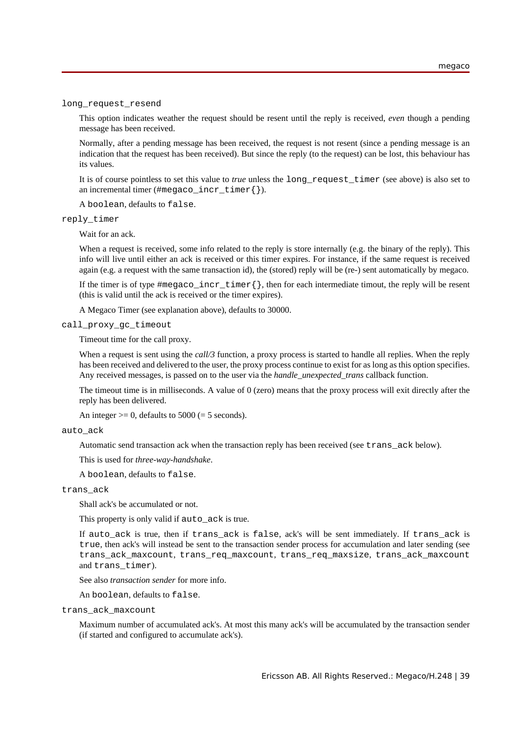### long request resend

This option indicates weather the request should be resent until the reply is received, *even* though a pending message has been received.

Normally, after a pending message has been received, the request is not resent (since a pending message is an indication that the request has been received). But since the reply (to the request) can be lost, this behaviour has its values.

It is of course pointless to set this value to *true* unless the long\_request\_timer (see above) is also set to an incremental timer (#megaco\_incr\_timer{}).

A boolean, defaults to false.

```
reply_timer
```
Wait for an ack.

When a request is received, some info related to the reply is store internally (e.g. the binary of the reply). This info will live until either an ack is received or this timer expires. For instance, if the same request is received again (e.g. a request with the same transaction id), the (stored) reply will be (re-) sent automatically by megaco.

If the timer is of type #megaco\_incr\_timer{}, then for each intermediate timout, the reply will be resent (this is valid until the ack is received or the timer expires).

A Megaco Timer (see explanation above), defaults to 30000.

call\_proxy\_gc\_timeout

Timeout time for the call proxy.

When a request is sent using the *call/3* function, a proxy process is started to handle all replies. When the reply has been received and delivered to the user, the proxy process continue to exist for as long as this option specifies. Any received messages, is passed on to the user via the *handle\_unexpected\_trans* callback function.

The timeout time is in milliseconds. A value of 0 (zero) means that the proxy process will exit directly after the reply has been delivered.

An integer  $> = 0$ , defaults to 5000 (= 5 seconds).

```
auto_ack
```
Automatic send transaction ack when the transaction reply has been received (see trans\_ack below).

This is used for *three-way-handshake*.

A boolean, defaults to false.

## trans\_ack

Shall ack's be accumulated or not.

This property is only valid if auto\_ack is true.

If auto ack is true, then if trans ack is false, ack's will be sent immediately. If trans ack is true, then ack's will instead be sent to the transaction sender process for accumulation and later sending (see trans\_ack\_maxcount, trans\_req\_maxcount, trans\_req\_maxsize, trans\_ack\_maxcount and trans\_timer).

See also *transaction sender* for more info.

An boolean, defaults to false.

trans\_ack\_maxcount

Maximum number of accumulated ack's. At most this many ack's will be accumulated by the transaction sender (if started and configured to accumulate ack's).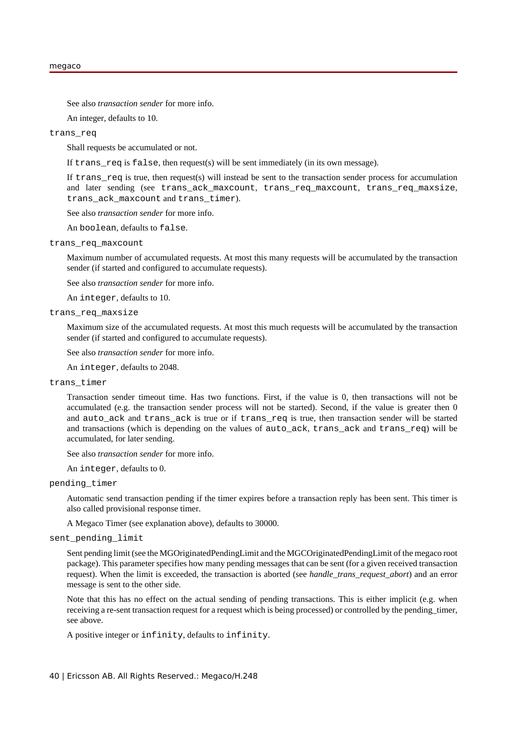See also *transaction sender* for more info.

An integer, defaults to 10.

#### trans\_req

Shall requests be accumulated or not.

If trans\_req is false, then request(s) will be sent immediately (in its own message).

If trans  $r = q$  is true, then request(s) will instead be sent to the transaction sender process for accumulation and later sending (see trans ack maxcount, trans req maxcount, trans req maxsize, trans\_ack\_maxcount and trans\_timer).

See also *transaction sender* for more info.

An boolean, defaults to false.

trans\_req\_maxcount

Maximum number of accumulated requests. At most this many requests will be accumulated by the transaction sender (if started and configured to accumulate requests).

See also *transaction sender* for more info.

An integer, defaults to 10.

### trans\_req\_maxsize

Maximum size of the accumulated requests. At most this much requests will be accumulated by the transaction sender (if started and configured to accumulate requests).

See also *transaction sender* for more info.

An integer, defaults to 2048.

trans\_timer

Transaction sender timeout time. Has two functions. First, if the value is 0, then transactions will not be accumulated (e.g. the transaction sender process will not be started). Second, if the value is greater then 0 and auto ack and trans ack is true or if trans req is true, then transaction sender will be started and transactions (which is depending on the values of auto\_ack, trans\_ack and trans\_req) will be accumulated, for later sending.

See also *transaction sender* for more info.

An integer, defaults to 0.

#### pending\_timer

Automatic send transaction pending if the timer expires before a transaction reply has been sent. This timer is also called provisional response timer.

A Megaco Timer (see explanation above), defaults to 30000.

## sent\_pending\_limit

Sent pending limit (see the MGOriginatedPendingLimit and the MGCOriginatedPendingLimit of the megaco root package). This parameter specifies how many pending messages that can be sent (for a given received transaction request). When the limit is exceeded, the transaction is aborted (see *handle\_trans\_request\_abort*) and an error message is sent to the other side.

Note that this has no effect on the actual sending of pending transactions. This is either implicit (e.g. when receiving a re-sent transaction request for a request which is being processed) or controlled by the pending timer, see above.

A positive integer or infinity, defaults to infinity.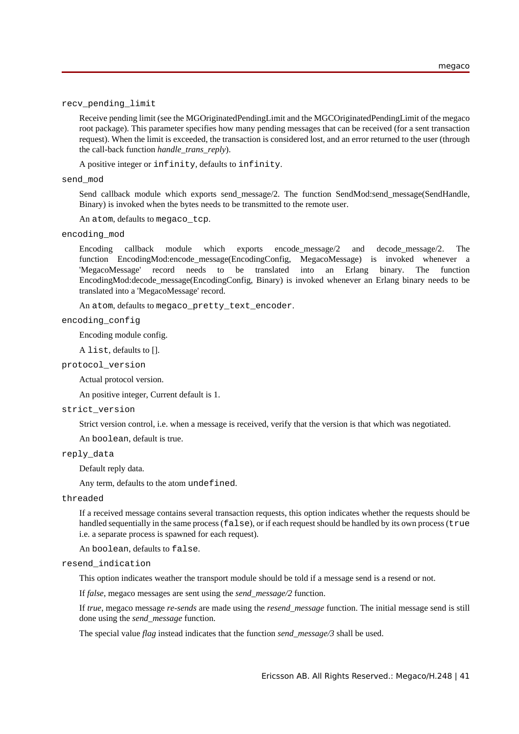#### recv\_pending\_limit

Receive pending limit (see the MGOriginatedPendingLimit and the MGCOriginatedPendingLimit of the megaco root package). This parameter specifies how many pending messages that can be received (for a sent transaction request). When the limit is exceeded, the transaction is considered lost, and an error returned to the user (through the call-back function *handle\_trans\_reply*).

A positive integer or infinity, defaults to infinity.

### send\_mod

Send callback module which exports send\_message/2. The function SendMod:send\_message(SendHandle, Binary) is invoked when the bytes needs to be transmitted to the remote user.

An atom, defaults to megaco\_tcp.

### encoding\_mod

Encoding callback module which exports encode\_message/2 and decode\_message/2. The function EncodingMod:encode\_message(EncodingConfig, MegacoMessage) is invoked whenever a 'MegacoMessage' record needs to be translated into an Erlang binary. The function EncodingMod:decode\_message(EncodingConfig, Binary) is invoked whenever an Erlang binary needs to be translated into a 'MegacoMessage' record.

An atom, defaults to megaco\_pretty\_text\_encoder.

### encoding\_config

Encoding module config.

A list, defaults to [].

## protocol\_version

Actual protocol version.

An positive integer, Current default is 1.

#### strict\_version

Strict version control, i.e. when a message is received, verify that the version is that which was negotiated.

An boolean, default is true.

## reply\_data

Default reply data.

Any term, defaults to the atom undefined.

#### threaded

If a received message contains several transaction requests, this option indicates whether the requests should be handled sequentially in the same process (false), or if each request should be handled by its own process (true i.e. a separate process is spawned for each request).

An boolean, defaults to false.

resend\_indication

This option indicates weather the transport module should be told if a message send is a resend or not.

If *false*, megaco messages are sent using the *send\_message/2* function.

If *true*, megaco message *re-sends* are made using the *resend\_message* function. The initial message send is still done using the *send\_message* function.

The special value *flag* instead indicates that the function *send\_message/3* shall be used.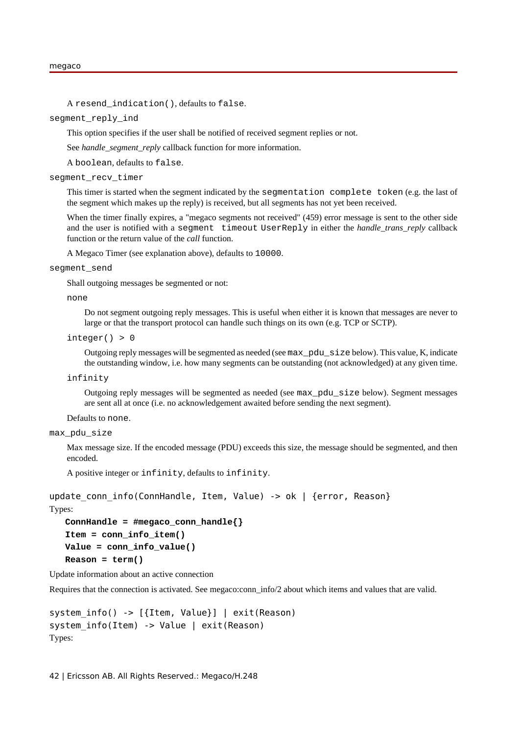A resend indication(), defaults to false.

### segment\_reply\_ind

This option specifies if the user shall be notified of received segment replies or not.

See *handle\_segment\_reply* callback function for more information.

A boolean, defaults to false.

### segment\_recv\_timer

This timer is started when the segment indicated by the segmentation complete token (e.g. the last of the segment which makes up the reply) is received, but all segments has not yet been received.

When the timer finally expires, a "megaco segments not received" (459) error message is sent to the other side and the user is notified with a segment timeout UserReply in either the *handle\_trans\_reply* callback function or the return value of the *call* function.

A Megaco Timer (see explanation above), defaults to 10000.

## segment\_send

Shall outgoing messages be segmented or not:

none

Do not segment outgoing reply messages. This is useful when either it is known that messages are never to large or that the transport protocol can handle such things on its own (e.g. TCP or SCTP).

```
integer() > 0
```
Outgoing reply messages will be segmented as needed (see max\_pdu\_size below). This value, K, indicate the outstanding window, i.e. how many segments can be outstanding (not acknowledged) at any given time.

## infinity

Outgoing reply messages will be segmented as needed (see max\_pdu\_size below). Segment messages are sent all at once (i.e. no acknowledgement awaited before sending the next segment).

Defaults to none.

## max\_pdu\_size

Max message size. If the encoded message (PDU) exceeds this size, the message should be segmented, and then encoded.

A positive integer or infinity, defaults to infinity.

```
update conn info(ConnHandle, Item, Value) -> ok | {error, Reason}
```
Types:

```
ConnHandle = #megaco_conn_handle{}
Item = conn_info_item()
Value = conn_info_value()
Reason = term()
```
Update information about an active connection

Requires that the connection is activated. See megaco:conn\_info/2 about which items and values that are valid.

```
system info() -> [{Item, Value}] | exit(Reason)
system info(Item) -> Value | exit(Reason)
Types:
```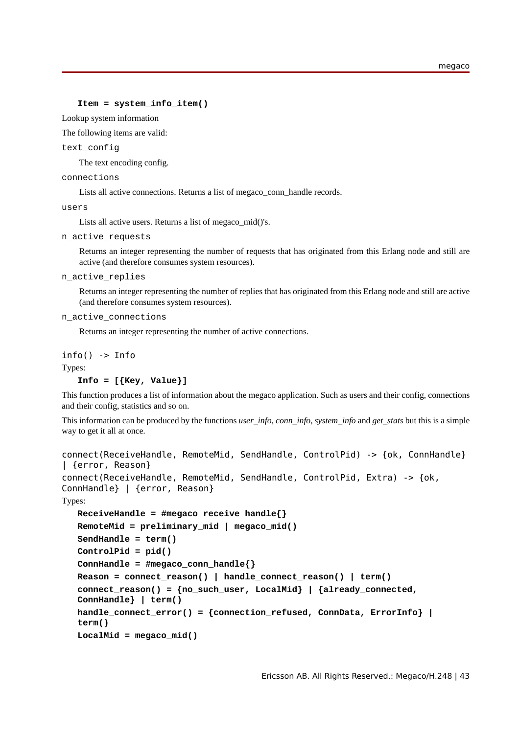megaco

## **Item = system\_info\_item()**

Lookup system information

The following items are valid:

## text\_config

The text encoding config.

## connections

Lists all active connections. Returns a list of megaco\_conn\_handle records.

users

Lists all active users. Returns a list of megaco\_mid()'s.

```
n_active_requests
```
Returns an integer representing the number of requests that has originated from this Erlang node and still are active (and therefore consumes system resources).

```
n_active_replies
```
Returns an integer representing the number of replies that has originated from this Erlang node and still are active (and therefore consumes system resources).

n\_active\_connections

Returns an integer representing the number of active connections.

 $info()$  ->  $Info$ 

Types:

```
Info = [{Key, Value}]
```
This function produces a list of information about the megaco application. Such as users and their config, connections and their config, statistics and so on.

This information can be produced by the functions *user\_info*, *conn\_info*, *system\_info* and *get\_stats* but this is a simple way to get it all at once.

```
connect(ReceiveHandle, RemoteMid, SendHandle, ControlPid) -> {ok, ConnHandle}
| {error, Reason}
connect(ReceiveHandle, RemoteMid, SendHandle, ControlPid, Extra) -> {ok,
ConnHandle} | {error, Reason}
Types:
   ReceiveHandle = #megaco_receive_handle{}
  RemoteMid = preliminary_mid | megaco_mid()
   SendHandle = term()
   ControlPid = pid()
   ConnHandle = #megaco_conn_handle{}
   Reason = connect_reason() | handle_connect_reason() | term()
   connect_reason() = {no_such_user, LocalMid} | {already_connected,
   ConnHandle} | term()
  handle_connect_error() = {connection_refused, ConnData, ErrorInfo} |
   term()
   LocalMid = megaco_mid()
```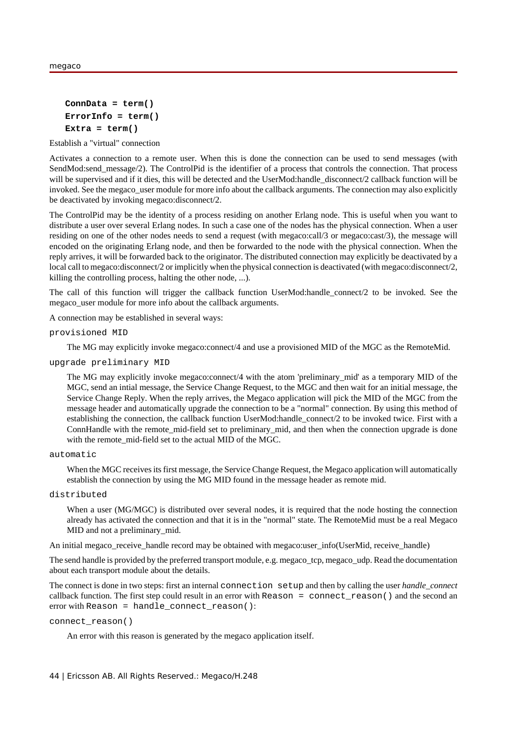```
ConnData = term()
ErrorInfo = term()
Extra = term()
```
Establish a "virtual" connection

Activates a connection to a remote user. When this is done the connection can be used to send messages (with SendMod:send\_message/2). The ControlPid is the identifier of a process that controls the connection. That process will be supervised and if it dies, this will be detected and the UserMod:handle\_disconnect/2 callback function will be invoked. See the megaco\_user module for more info about the callback arguments. The connection may also explicitly be deactivated by invoking megaco:disconnect/2.

The ControlPid may be the identity of a process residing on another Erlang node. This is useful when you want to distribute a user over several Erlang nodes. In such a case one of the nodes has the physical connection. When a user residing on one of the other nodes needs to send a request (with megaco:call/3 or megaco:cast/3), the message will encoded on the originating Erlang node, and then be forwarded to the node with the physical connection. When the reply arrives, it will be forwarded back to the originator. The distributed connection may explicitly be deactivated by a local call to megaco:disconnect/2 or implicitly when the physical connection is deactivated (with megaco:disconnect/2, killing the controlling process, halting the other node, ...).

The call of this function will trigger the callback function UserMod:handle\_connect/2 to be invoked. See the megaco user module for more info about the callback arguments.

A connection may be established in several ways:

#### provisioned MID

The MG may explicitly invoke megaco:connect/4 and use a provisioned MID of the MGC as the RemoteMid.

### upgrade preliminary MID

The MG may explicitly invoke megaco:connect/4 with the atom 'preliminary mid' as a temporary MID of the MGC, send an intial message, the Service Change Request, to the MGC and then wait for an initial message, the Service Change Reply. When the reply arrives, the Megaco application will pick the MID of the MGC from the message header and automatically upgrade the connection to be a "normal" connection. By using this method of establishing the connection, the callback function UserMod:handle\_connect/2 to be invoked twice. First with a ConnHandle with the remote mid-field set to preliminary mid, and then when the connection upgrade is done with the remote mid-field set to the actual MID of the MGC.

### automatic

When the MGC receives its first message, the Service Change Request, the Megaco application will automatically establish the connection by using the MG MID found in the message header as remote mid.

## distributed

When a user (MG/MGC) is distributed over several nodes, it is required that the node hosting the connection already has activated the connection and that it is in the "normal" state. The RemoteMid must be a real Megaco MID and not a preliminary mid.

An initial megaco\_receive\_handle record may be obtained with megaco:user\_info(UserMid, receive\_handle)

The send handle is provided by the preferred transport module, e.g. megaco tcp, megaco udp. Read the documentation about each transport module about the details.

The connect is done in two steps: first an internal connection setup and then by calling the user *handle\_connect* callback function. The first step could result in an error with Reason = connect\_reason() and the second an error with Reason = handle connect reason():

#### connect\_reason()

An error with this reason is generated by the megaco application itself.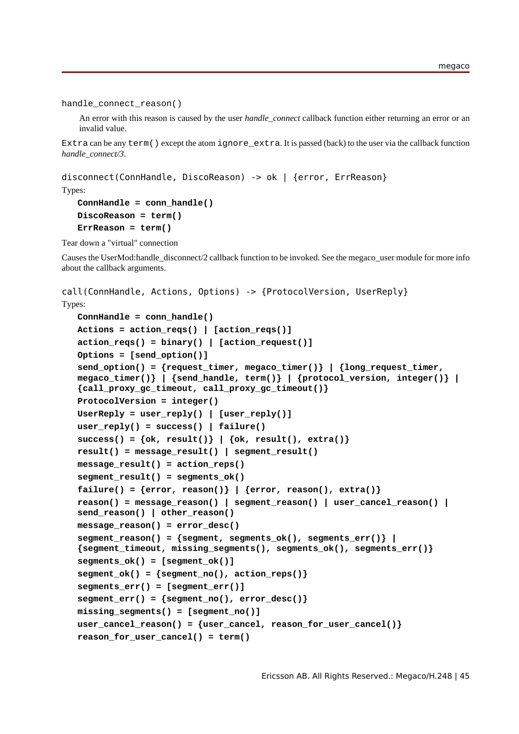handle\_connect\_reason()

An error with this reason is caused by the user *handle\_connect* callback function either returning an error or an invalid value.

Extra can be any term() except the atom ignore\_extra. It is passed (back) to the user via the callback function *handle\_connect/3*.

disconnect(ConnHandle, DiscoReason) -> ok | {error, ErrReason}

Types:

```
ConnHandle = conn_handle()
DiscoReason = term()
ErrReason = term()
```
Tear down a "virtual" connection

Causes the UserMod:handle\_disconnect/2 callback function to be invoked. See the megaco\_user module for more info about the callback arguments.

```
call(ConnHandle, Actions, Options) -> {ProtocolVersion, UserReply}
Types:
   ConnHandle = conn_handle()
   Actions = action_reqs() | [action_reqs()]
   action_reqs() = binary() | [action_request()]
   Options = [send_option()]
   send_option() = {request_timer, megaco_timer()} | {long_request_timer,
  megaco_timer()} | {send_handle, term()} | {protocol_version, integer()} |
   {call_proxy_gc_timeout, call_proxy_gc_timeout()}
   ProtocolVersion = integer()
  UserReply = user_reply() | [user_reply()]
   user_reply() = success() | failure()
   success() = {ok, result() } | {ok, result()}, x = sresult() = message_result() | segment_result()
  message_result() = action_reps()
   segment_result() = segments_ok()
   failure() = {error, reason()} | {error, reason(), extra()}reason() = message_reason() | segment_reason() | user_cancel_reason() |
   send_reason() | other_reason()
  message_reason() = error_desc()
   segment_reason() = {segment, segments_ok(), segments_err()} |
   {segment_timeout, missing_segments(), segments_ok(), segments_err()}
   segments_ok() = [segment_ok()]
   segment_ok() = {segment_no(), action_reps()}
   segments_err() = [segment_err()]
   segment err() = {segment no(), error desc()}missing_segments() = [segment_no()]
   user_cancel_reason() = {user_cancel, reason_for_user_cancel()}
  reason_for_user_cancel() = term()
```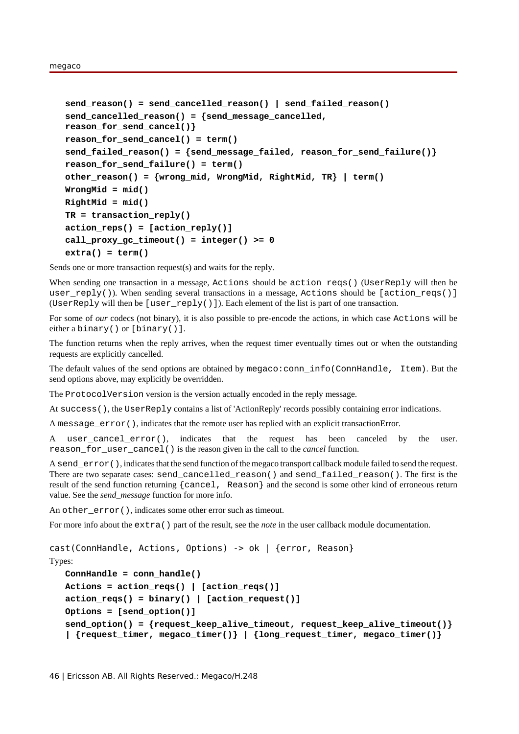```
send_reason() = send_cancelled_reason() | send_failed_reason()
send_cancelled_reason() = {send_message_cancelled,
reason_for_send_cancel()}
reason_for_send_cancel() = term()
send_failed_reason() = {send_message_failed, reason_for_send_failure()}
reason_for_send_failure() = term()
other_reason() = {wrong_mid, WrongMid, RightMid, TR} | term()
WrongMid = mid()
RightMid = mid()
TR = transaction_reply()
action_reps() = [action_reply()]
call_proxy_gc_timeout() = integer() >= 0
extra() = term()
```
Sends one or more transaction request(s) and waits for the reply.

When sending one transaction in a message, Actions should be action\_reqs() (UserReply will then be user  $reply()$ . When sending several transactions in a message, Actions should be [action reqs()] (UserReply will then be [user\_reply()]). Each element of the list is part of one transaction.

For some of *our* codecs (not binary), it is also possible to pre-encode the actions, in which case Actions will be either a binary() or [binary()].

The function returns when the reply arrives, when the request timer eventually times out or when the outstanding requests are explicitly cancelled.

The default values of the send options are obtained by megaco:conn\_info(ConnHandle, Item). But the send options above, may explicitly be overridden.

The ProtocolVersion version is the version actually encoded in the reply message.

At success(), the UserReply contains a list of 'ActionReply' records possibly containing error indications.

A message\_error(), indicates that the remote user has replied with an explicit transactionError.

A user cancel error(), indicates that the request has been canceled by the user. reason\_for\_user\_cancel() is the reason given in the call to the *cancel* function.

A send\_error(), indicates that the send function of the megaco transport callback module failed to send the request. There are two separate cases: send\_cancelled\_reason() and send\_failed\_reason(). The first is the result of the send function returning {cancel, Reason} and the second is some other kind of erroneous return value. See the *send\_message* function for more info.

An other\_error(), indicates some other error such as timeout.

For more info about the extra() part of the result, see the *note* in the user callback module documentation.

```
cast(ConnHandle, Actions, Options) -> ok | {error, Reason}
Types:
  ConnHandle = conn_handle()
  Actions = action_reqs() | [action_reqs()]
  action_reqs() = binary() | [action_request()]
  Options = [send_option()]
   send_option() = {request_keep_alive_timeout, request_keep_alive_timeout()}
   | {request_timer, megaco_timer()} | {long_request_timer, megaco_timer()}
```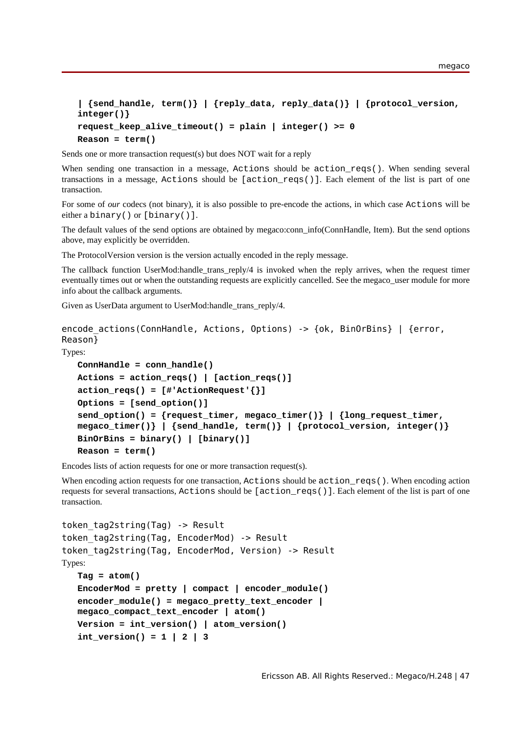```
| {send_handle, term()} | {reply_data, reply_data()} | {protocol_version,
integer()}
request_keep_alive_timeout() = plain | integer() >= 0
Reason = term()
```
Sends one or more transaction request(s) but does NOT wait for a reply

When sending one transaction in a message, Actions should be action\_reqs(). When sending several transactions in a message, Actions should be [action\_reqs()]. Each element of the list is part of one transaction.

For some of *our* codecs (not binary), it is also possible to pre-encode the actions, in which case Actions will be either a binary() or [binary()].

The default values of the send options are obtained by megaco:conn\_info(ConnHandle, Item). But the send options above, may explicitly be overridden.

The ProtocolVersion version is the version actually encoded in the reply message.

The callback function UserMod:handle\_trans\_reply/4 is invoked when the reply arrives, when the request timer eventually times out or when the outstanding requests are explicitly cancelled. See the megaco\_user module for more info about the callback arguments.

Given as UserData argument to UserMod:handle\_trans\_reply/4.

```
encode actions(ConnHandle, Actions, Options) -> {ok, BinOrBins} | {error,
Reason}
```
Types:

```
ConnHandle = conn_handle()
Actions = action_reqs() | [action_reqs()]
action_reqs() = [#'ActionRequest'{}]
Options = [send_option()]
send_option() = {request_timer, megaco_timer()} | {long_request_timer,
megaco_timer()} | {send_handle, term()} | {protocol_version, integer()}
BinOrBins = binary() | [binary()]
Reason = term()
```
Encodes lists of action requests for one or more transaction request(s).

When encoding action requests for one transaction, Actions should be action\_reqs(). When encoding action requests for several transactions, Actions should be [action\_reqs()]. Each element of the list is part of one transaction.

```
token tag2string(Tag) -> Result
token_tag2string(Tag, EncoderMod) -> Result
token_tag2string(Tag, EncoderMod, Version) -> Result
Types:
   Tag = atom()
   EncoderMod = pretty | compact | encoder_module()
   encoder_module() = megaco_pretty_text_encoder |
  megaco_compact_text_encoder | atom()
  Version = int_version() | atom_version()
   int_version() = 1 | 2 | 3
```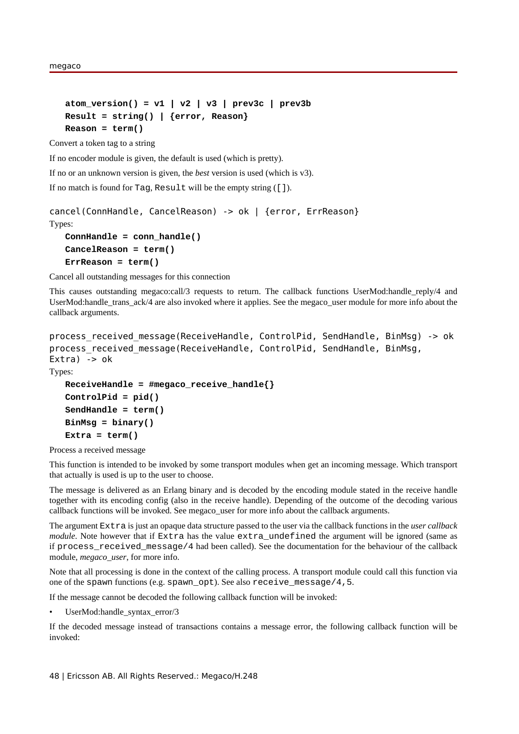```
atom_version() = v1 | v2 | v3 | prev3c | prev3b
Result = string() | {error, Reason}
Reason = term()
```
Convert a token tag to a string

If no encoder module is given, the default is used (which is pretty).

If no or an unknown version is given, the *best* version is used (which is v3).

If no match is found for Tag, Result will be the empty string ([]).

cancel(ConnHandle, CancelReason) -> ok | {error, ErrReason} Types:

```
ConnHandle = conn_handle()
CancelReason = term()
ErrReason = term()
```
Cancel all outstanding messages for this connection

This causes outstanding megaco:call/3 requests to return. The callback functions UserMod:handle\_reply/4 and UserMod:handle\_trans\_ack/4 are also invoked where it applies. See the megaco\_user module for more info about the callback arguments.

```
process_received_message(ReceiveHandle, ControlPid, SendHandle, BinMsg) -> ok
process_received_message(ReceiveHandle, ControlPid, SendHandle, BinMsg,
Extra) -> ok
```
Types:

```
ReceiveHandle = #megaco_receive_handle{}
ControlPid = pid()
SendHandle = term()
BinMsg = binary()
Extra = term()
```
Process a received message

This function is intended to be invoked by some transport modules when get an incoming message. Which transport that actually is used is up to the user to choose.

The message is delivered as an Erlang binary and is decoded by the encoding module stated in the receive handle together with its encoding config (also in the receive handle). Depending of the outcome of the decoding various callback functions will be invoked. See megaco\_user for more info about the callback arguments.

The argument Extra is just an opaque data structure passed to the user via the callback functions in the *user callback module*. Note however that if Extra has the value extra\_undefined the argument will be ignored (same as if process\_received\_message/4 had been called). See the documentation for the behaviour of the callback module, *megaco\_user*, for more info.

Note that all processing is done in the context of the calling process. A transport module could call this function via one of the spawn functions (e.g. spawn\_opt). See also receive\_message/4,5.

If the message cannot be decoded the following callback function will be invoked:

• UserMod:handle\_syntax\_error/3

If the decoded message instead of transactions contains a message error, the following callback function will be invoked: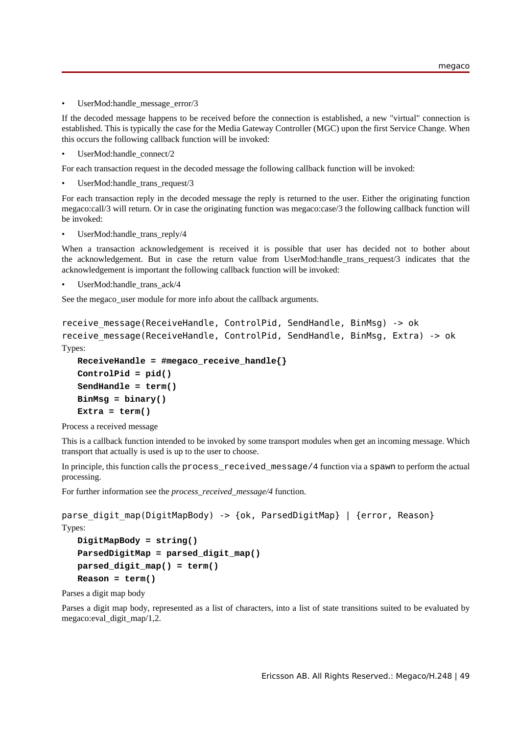UserMod:handle\_message\_error/3

If the decoded message happens to be received before the connection is established, a new "virtual" connection is established. This is typically the case for the Media Gateway Controller (MGC) upon the first Service Change. When this occurs the following callback function will be invoked:

UserMod:handle\_connect/2

For each transaction request in the decoded message the following callback function will be invoked:

• UserMod:handle\_trans\_request/3

For each transaction reply in the decoded message the reply is returned to the user. Either the originating function megaco:call/3 will return. Or in case the originating function was megaco:case/3 the following callback function will be invoked:

UserMod:handle\_trans\_reply/4

When a transaction acknowledgement is received it is possible that user has decided not to bother about the acknowledgement. But in case the return value from UserMod:handle\_trans\_request/3 indicates that the acknowledgement is important the following callback function will be invoked:

• UserMod:handle\_trans\_ack/4

See the megaco\_user module for more info about the callback arguments.

```
receive message(ReceiveHandle, ControlPid, SendHandle, BinMsg) -> ok
receive message(ReceiveHandle, ControlPid, SendHandle, BinMsg, Extra) -> ok
Types:
```

```
ReceiveHandle = #megaco_receive_handle{}
ControlPid = pid()
SendHandle = term()
BinMsg = binary()
Extra = term()
```
Process a received message

This is a callback function intended to be invoked by some transport modules when get an incoming message. Which transport that actually is used is up to the user to choose.

In principle, this function calls the process\_received\_message/4 function via a spawn to perform the actual processing.

For further information see the *process received message/4* function.

```
parse digit map(DigitMapBody) -> {ok, ParsedDigitMap} | {error, Reason}
Types:
   DigitMapBody = string()
   ParsedDigitMap = parsed_digit_map()
  parsed_digit_map() = term()
  Reason = term()
```
Parses a digit map body

Parses a digit map body, represented as a list of characters, into a list of state transitions suited to be evaluated by megaco:eval\_digit\_map/1,2.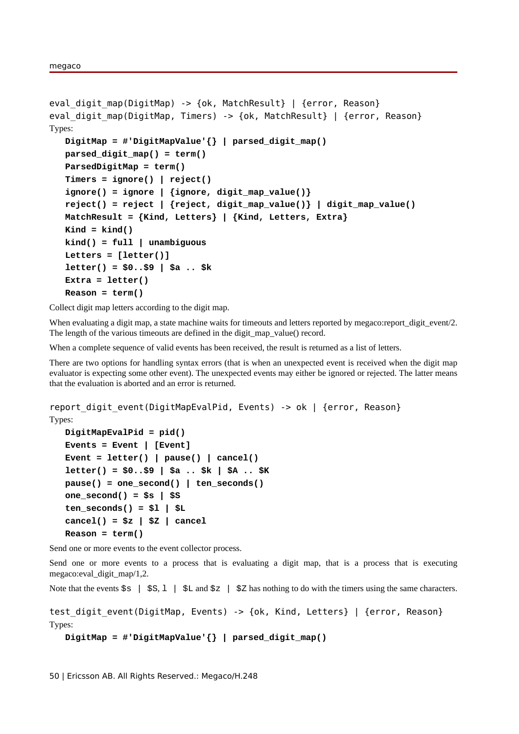```
eval digit map(DigitMap) -> {ok, MatchResult} | {error, Reason}
eval digit map(DigitMap, Timers) -> {ok, MatchResult} | {error, Reason}
Types:
   DigitMap = #'DigitMapValue'{} | parsed_digit_map()
   parsed_digit_map() = term()
   ParsedDigitMap = term()
   Timers = ignore() | reject()
   ignore() = ignore | {ignore, digit_map_value()}
   reject() = reject | {reject, digit_map_value()} | digit_map_value()
   MatchResult = {Kind, Letters} | {Kind, Letters, Extra}
   Kind = kind()
   kind() = full | unambiguous
   Letters = [letter()]
   letter() = $0..$9 | $a .. $k
   Extra = letter()
   Reason = term()
```
Collect digit map letters according to the digit map.

When evaluating a digit map, a state machine waits for timeouts and letters reported by megaco:report  $\text{digit event}/2$ . The length of the various timeouts are defined in the digit\_map\_value() record.

When a complete sequence of valid events has been received, the result is returned as a list of letters.

There are two options for handling syntax errors (that is when an unexpected event is received when the digit map evaluator is expecting some other event). The unexpected events may either be ignored or rejected. The latter means that the evaluation is aborted and an error is returned.

```
report digit event(DigitMapEvalPid, Events) -> ok | {error, Reason}
Types:
```

```
DigitMapEvalPid = pid()
Events = Event | [Event]
Event = letter() | pause() | cancel()
letter() = $0..$9 | $a .. $k | $A .. $K
pause() = one second() ten seconds()one_second() = $s | $S
ten_seconds() = $l | $L
cancel() = $z | $Z | cancel
Reason = term()
```
Send one or more events to the event collector process.

Send one or more events to a process that is evaluating a digit map, that is a process that is executing megaco:eval\_digit\_map/1,2.

Note that the events  $\frac{1}{5}$   $\frac{1}{5}$   $\frac{1}{5}$   $\frac{1}{5}$   $\frac{1}{5}$   $\frac{1}{5}$   $\frac{1}{5}$   $\frac{1}{5}$   $\frac{1}{5}$   $\frac{1}{5}$   $\frac{1}{5}$   $\frac{1}{5}$   $\frac{1}{5}$   $\frac{1}{5}$   $\frac{1}{5}$   $\frac{1}{5}$   $\frac{1}{5}$   $\frac{1}{5}$   $\frac{1}{5}$   $\frac{1}{5}$ 

```
test digit event(DigitMap, Events) -> {ok, Kind, Letters} | {error, Reason}
Types:
```

```
DigitMap = #'DigitMapValue'{} | parsed_digit_map()
```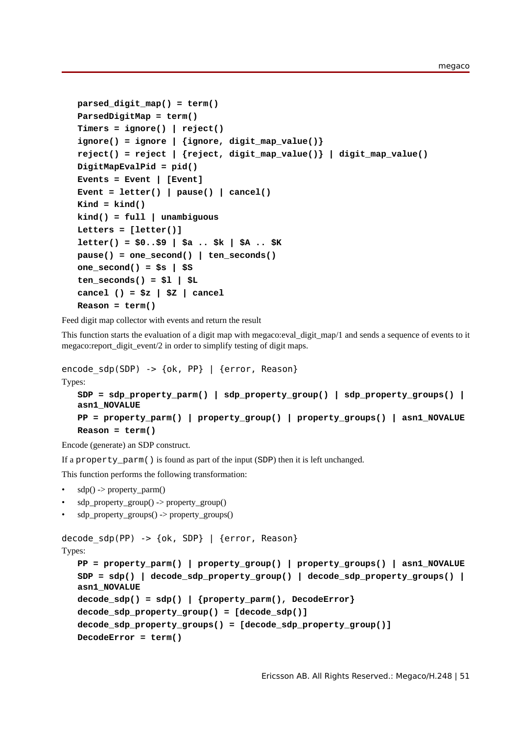```
parsed_digit_map() = term()
ParsedDigitMap = term()
Timers = ignore() | reject()
ignore() = ignore | {ignore, digit_map_value()}
reject() = reject | {reject, digit_map_value()} | digit_map_value()
DigitMapEvalPid = pid()
Events = Event | [Event]
Event = letter() | pause() | cancel()
Kind = kind()
kind() = full | unambiguous
Letters = [letter()]
letter() = $0..$9 | $a .. $k | $A .. $K
pause() = one_second() | ten_seconds()
one_second() = $s | $S
ten_seconds() = $l | $L
cancel () = $z | $Z | cancel
Reason = term()
```
Feed digit map collector with events and return the result

This function starts the evaluation of a digit map with megaco:eval digit map/1 and sends a sequence of events to it megaco:report\_digit\_event/2 in order to simplify testing of digit maps.

```
encode sdp(SDP) -> \{ok, PP\} | \{error, Reason\}Types:
   SDP = sdp_property_parm() | sdp_property_group() | sdp_property_groups() |
   asn1_NOVALUE
   PP = property_parm() | property_group() | property_groups() | asn1_NOVALUE
   Reason = term()
```
Encode (generate) an SDP construct.

If a property\_parm() is found as part of the input (SDP) then it is left unchanged.

This function performs the following transformation:

- $sdp() \rightarrow property\_parm()$
- sdp\_property\_group() -> property\_group()
- sdp\_property\_groups() -> property\_groups()

```
decode sdp(PP) -> {ok, SDP} | {error, Reason}
```

```
Types:
```

```
PP = property_parm() | property_group() | property_groups() | asn1_NOVALUE
SDP = sdp() | decode_sdp_property_group() | decode_sdp_property_groups() |
asn1_NOVALUE
decode_sdp() = sdp() | {property_parm(), DecodeError}
decode_sdp_property_group() = [decode_sdp()]
decode_sdp_property_groups() = [decode_sdp_property_group()]
DecodeError = term()
```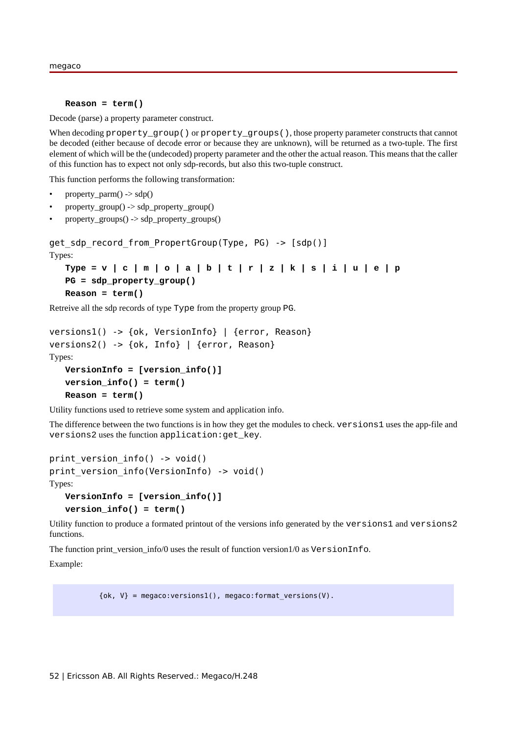#### **Reason = term()**

Decode (parse) a property parameter construct.

When decoding property\_group() or property\_groups(), those property parameter constructs that cannot be decoded (either because of decode error or because they are unknown), will be returned as a two-tuple. The first element of which will be the (undecoded) property parameter and the other the actual reason. This means that the caller of this function has to expect not only sdp-records, but also this two-tuple construct.

This function performs the following transformation:

- property\_parm()  $\rightarrow$  sdp()
- property\_group() -> sdp\_property\_group()
- property\_groups() -> sdp\_property\_groups()

```
get sdp record from PropertGroup(Type, PG) -> [sdp()]
Types:
   Type = v | c | m | o | a | b | t | r | z | k | s | i | u | e | p
   PG = sdp_property_group()
   Reason = term()
```
Retreive all the sdp records of type Type from the property group PG.

```
versions1() -> {ok, VersionInfo} | {error, Reason}
versions2() -> {ok, Info} | {error, Reason}
Types:
   VersionInfo = [version_info()]
   version\ info() = term()Reason = term()
```
Utility functions used to retrieve some system and application info.

The difference between the two functions is in how they get the modules to check. versions1 uses the app-file and versions2 uses the function application: get key.

```
print version info() -> void()
print version info(VersionInfo) -> void()
Types:
   VersionInfo = [version_info()]
   version_info() = term()
```
Utility function to produce a formated printout of the versions info generated by the versions1 and versions2 functions.

The function print\_version\_info/0 uses the result of function version1/0 as VersionInfo.

Example:

{ok, V} = megaco:versions1(), megaco:format\_versions(V).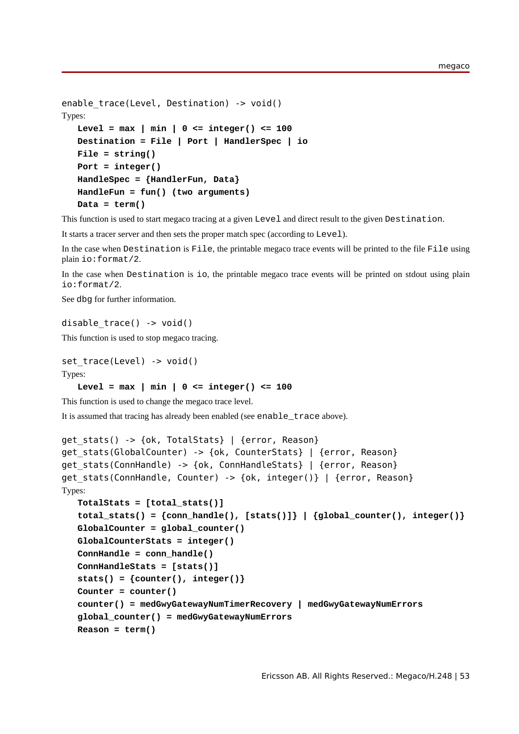```
enable trace(Level, Destination) -> void()
Types:
  Level = max | min | 0 <= integer() <= 100
  Destination = File | Port | HandlerSpec | io
  File = string()
  Port = integer()
  HandleSpec = {HandlerFun, Data}
  HandleFun = fun() (two arguments)
   Data = term()
```
This function is used to start megaco tracing at a given Level and direct result to the given Destination.

It starts a tracer server and then sets the proper match spec (according to Level).

In the case when Destination is File, the printable megaco trace events will be printed to the file File using plain io:format/2.

In the case when Destination is io, the printable megaco trace events will be printed on stdout using plain io:format/2.

See dbg for further information.

disable  $trace() \rightarrow void()$ 

This function is used to stop megaco tracing.

set trace(Level) -> void() Types:

```
Level = max | min | 0 <= integer() <= 100
```
This function is used to change the megaco trace level.

It is assumed that tracing has already been enabled (see enable trace above).

```
get stats() -> \{ok, TotalStats\} | \{error, Reason\}get stats(GlobalCounter) -> {ok, CounterStats} | {error, Reason}
get_stats(ConnHandle) -> {ok, ConnHandleStats} | {error, Reason}
get_stats(ConnHandle, Counter) -> {ok, integer()} | {error, Reason}
Types:
   TotalStats = [total_stats()]
   total\_stats() = {conn\_handle(), [stats()]} | {global\_counter(), integer()}GlobalCounter = global_counter()
   GlobalCounterStats = integer()
   ConnHandle = conn_handle()
   ConnHandleStats = [stats()]
   stats() = {counter(), integer()}Counter = counter()
   counter() = medGwyGatewayNumTimerRecovery | medGwyGatewayNumErrors
   global_counter() = medGwyGatewayNumErrors
   Reason = term()
```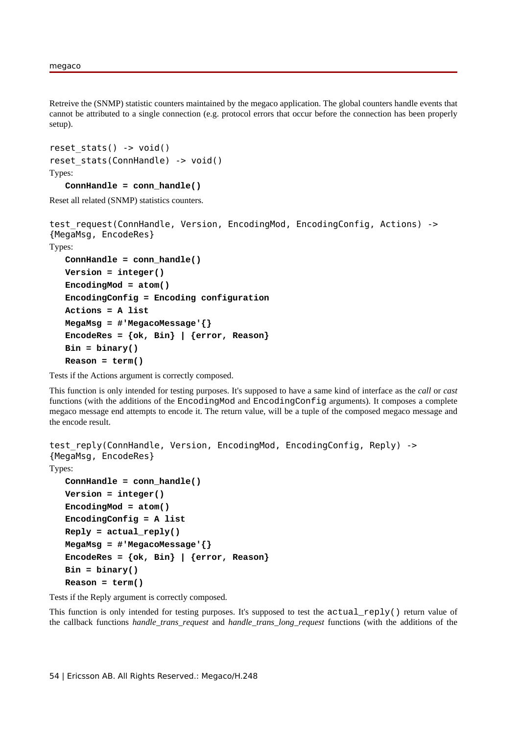Retreive the (SNMP) statistic counters maintained by the megaco application. The global counters handle events that cannot be attributed to a single connection (e.g. protocol errors that occur before the connection has been properly setup).

```
reset stats() \rightarrow void()
reset stats(ConnHandle) -> void()
Types:
```
**ConnHandle = conn\_handle()**

Reset all related (SNMP) statistics counters.

```
test request(ConnHandle, Version, EncodingMod, EncodingConfig, Actions) ->
{MegaMsg, EncodeRes}
Types:
   ConnHandle = conn_handle()
   Version = integer()
   EncodingMod = atom()
   EncodingConfig = Encoding configuration
   Actions = A list
   MegaMsg = #'MegacoMessage'{}
   EncodeRes = {ok, Bin} | {error, Reason}
   Bin = binary()
   Reason = term()
```
Tests if the Actions argument is correctly composed.

This function is only intended for testing purposes. It's supposed to have a same kind of interface as the *call* or *cast* functions (with the additions of the EncodingMod and EncodingConfig arguments). It composes a complete megaco message end attempts to encode it. The return value, will be a tuple of the composed megaco message and the encode result.

```
test reply(ConnHandle, Version, EncodingMod, EncodingConfig, Reply) ->
{MegaMsg, EncodeRes}
Types:
   ConnHandle = conn_handle()
   Version = integer()
   EncodingMod = atom()
   EncodingConfig = A list
   Reply = actual_reply()
   MegaMsg = #'MegacoMessage'{}
   EncodeRes = {ok, Bin} | {error, Reason}
   Bin = binary()
   Reason = term()
```
Tests if the Reply argument is correctly composed.

This function is only intended for testing purposes. It's supposed to test the  $actual\_reply()$  return value of the callback functions *handle\_trans\_request* and *handle\_trans\_long\_request* functions (with the additions of the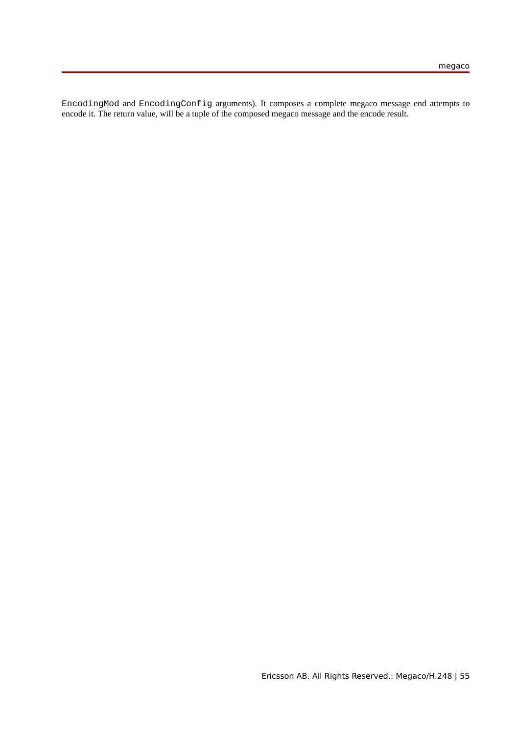EncodingMod and EncodingConfig arguments). It composes a complete megaco message end attempts to encode it. The return value, will be a tuple of the composed megaco message and the encode result.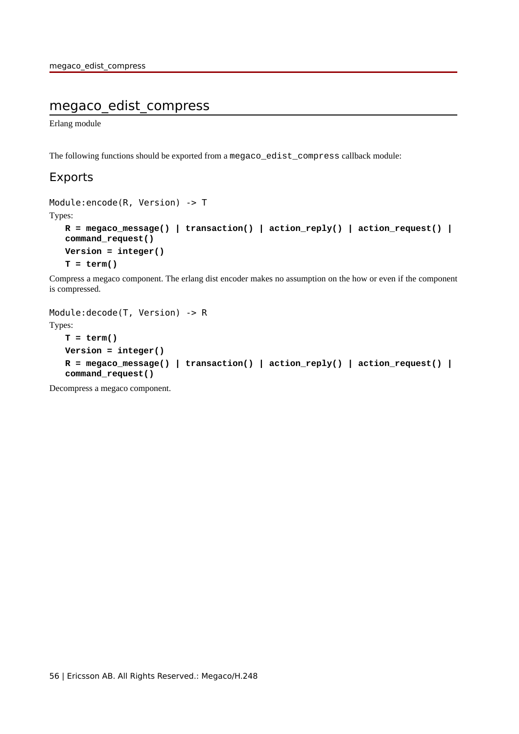# megaco\_edist\_compress

Erlang module

The following functions should be exported from a megaco\_edist\_compress callback module:

## Exports

```
Module:encode(R, Version) -> T
Types:
  R = megaco_message() | transaction() | action_reply() | action_request() |
  command_request()
  Version = integer()
   T = term()
```
Compress a megaco component. The erlang dist encoder makes no assumption on the how or even if the component is compressed.

```
Module:decode(T, Version) -> R
Types:
   T = term()
   Version = integer()
   R = megaco_message() | transaction() | action_reply() | action_request() |
   command_request()
```
Decompress a megaco component.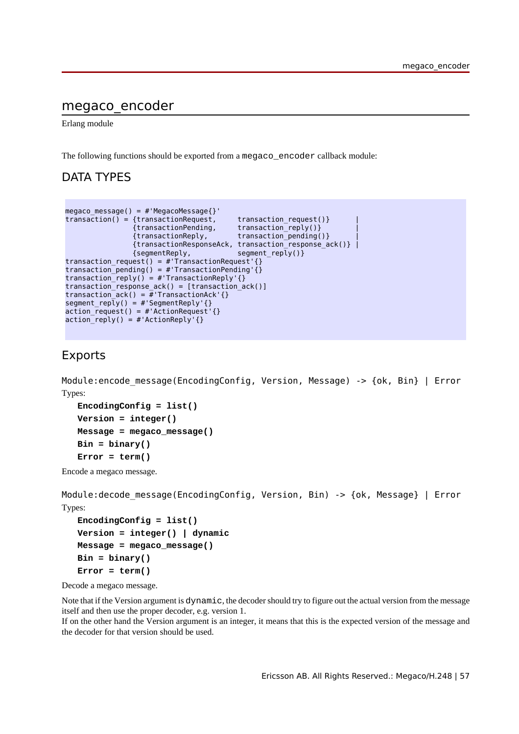## megaco\_encoder

Erlang module

The following functions should be exported from a megaco\_encoder callback module:

## DATA TYPES

```
megaco message() = #'MegacoMessage{}'
transaction() = {transactionRequest, transaction_request()}<br>{transactionPending, transaction_reply()}
                                            transaction reply()}
                 {transactionReply, transaction_pending()}
                  {transactionResponseAck, transaction_response_ack()} |
                  {segmentReply, segment_reply()}
transaction_request() = #'TransactionRequest'{}transaction\_pending() = #'TransactionPending'{}transaction_{reply()} = #'TransactionReply'{}transaction response ack() = [transactionack()]transaction ack() = #'TransactionAck'{}segment_rep\overline{ly}() = #'SegmentReply'\action_request() = #'ActionRequest'{}
\arctan reply() = #'ActionReply'{}
```
## Exports

Module:encode message(EncodingConfig, Version, Message) -> {ok, Bin} | Error Types:

```
EncodingConfig = list()
Version = integer()
Message = megaco_message()
Bin = binary()
Error = term()
```
Encode a megaco message.

Module:decode message(EncodingConfig, Version, Bin) -> {ok, Message} | Error Types:

```
EncodingConfig = list()
Version = integer() | dynamic
Message = megaco_message()
Bin = binary()
Error = term()
```
Decode a megaco message.

Note that if the Version argument is dynamic, the decoder should try to figure out the actual version from the message itself and then use the proper decoder, e.g. version 1.

If on the other hand the Version argument is an integer, it means that this is the expected version of the message and the decoder for that version should be used.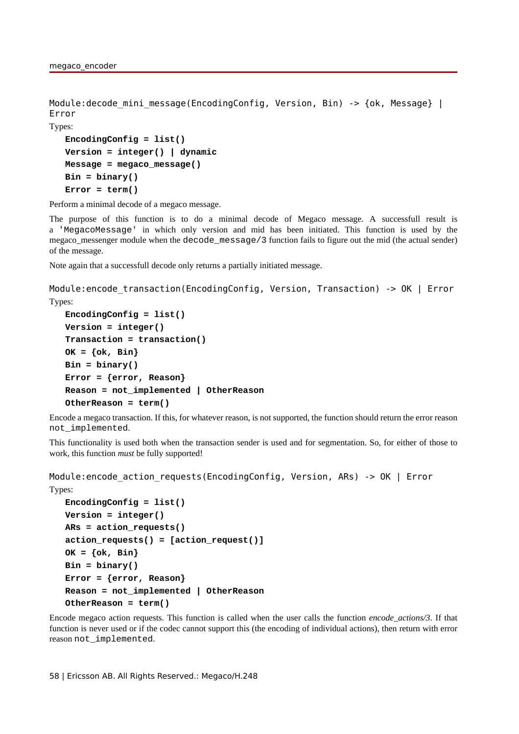Module:decode mini message(EncodingConfig, Version, Bin) -> {ok, Message} | Error

Types:

```
EncodingConfig = list()
Version = integer() | dynamic
Message = megaco_message()
Bin = binary()
Error = term()
```
Perform a minimal decode of a megaco message.

The purpose of this function is to do a minimal decode of Megaco message. A successfull result is a 'MegacoMessage' in which only version and mid has been initiated. This function is used by the megaco\_messenger module when the decode\_message/3 function fails to figure out the mid (the actual sender) of the message.

Note again that a successfull decode only returns a partially initiated message.

Module: encode transaction(EncodingConfig, Version, Transaction) -> OK | Error Types:

```
EncodingConfig = list()
Version = integer()
Transaction = transaction()
OK = \{ok, Bin\}Bin = binary()
Error = {error, Reason}
Reason = not_implemented | OtherReason
OtherReason = term()
```
Encode a megaco transaction. If this, for whatever reason, is not supported, the function should return the error reason not\_implemented.

This functionality is used both when the transaction sender is used and for segmentation. So, for either of those to work, this function *must* be fully supported!

```
Module: encode action requests (EncodingConfig, Version, ARs) -> OK | Error
Types:
```

```
EncodingConfig = list()
Version = integer()
ARs = action_requests()
action_requests() = [action_request()]
OK = {ok, Bin}
Bin = binary()
Error = {error, Reason}
Reason = not_implemented | OtherReason
OtherReason = term()
```
Encode megaco action requests. This function is called when the user calls the function *encode\_actions/3*. If that function is never used or if the codec cannot support this (the encoding of individual actions), then return with error reason not\_implemented.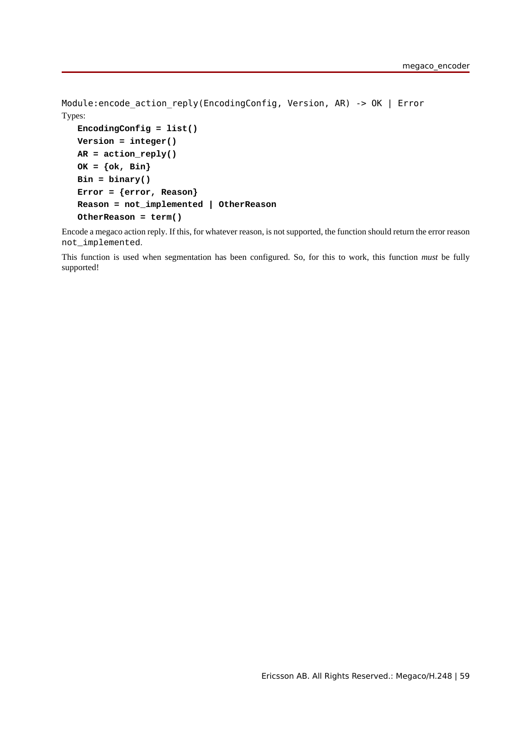Module:encode\_action\_reply(EncodingConfig, Version, AR) -> OK | Error Types:

```
EncodingConfig = list()
Version = integer()
AR = action_reply()
OK = {ok, Bin}
Bin = binary()
Error = {error, Reason}
Reason = not_implemented | OtherReason
OtherReason = term()
```
Encode a megaco action reply. If this, for whatever reason, is not supported, the function should return the error reason not\_implemented.

This function is used when segmentation has been configured. So, for this to work, this function *must* be fully supported!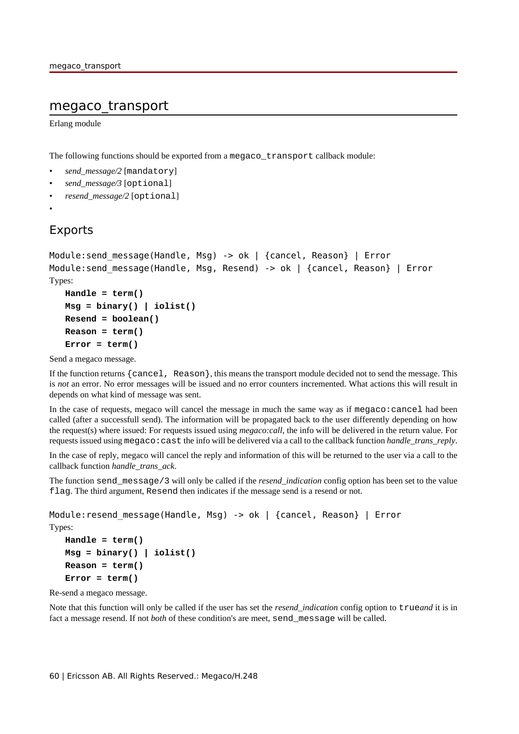## megaco\_transport

Erlang module

The following functions should be exported from a megaco\_transport callback module:

- send message/2 [mandatory]
- *send\_message/3* [optional]
- *resend\_message/2* [optional]
- •

## Exports

```
Module:send message(Handle, Msg) -> ok | {cancel, Reason} | Error
Module:send message(Handle, Msg, Resend) -> ok | {cancel, Reason} | Error
Types:
   Handle = term()
```

```
Msg = binary() | iolist()
Resend = boolean()
Reason = term()
Error = term()
```
Send a megaco message.

If the function returns {cancel, Reason}, this means the transport module decided not to send the message. This is *not* an error. No error messages will be issued and no error counters incremented. What actions this will result in depends on what kind of message was sent.

In the case of requests, megaco will cancel the message in much the same way as if megaco:cancel had been called (after a successfull send). The information will be propagated back to the user differently depending on how the request(s) where issued: For requests issued using *megaco:call*, the info will be delivered in the return value. For requests issued using megaco:cast the info will be delivered via a call to the callback function *handle\_trans\_reply*.

In the case of reply, megaco will cancel the reply and information of this will be returned to the user via a call to the callback function *handle\_trans\_ack*.

The function send\_message/3 will only be called if the *resend\_indication* config option has been set to the value flag. The third argument, Resend then indicates if the message send is a resend or not.

```
Module: resend message(Handle, Msg) -> ok | {cancel, Reason} | Error
Types:
   Handle = term()
   Msg = binary() | iolist()
   Reason = term()
   Error = term()
```
Re-send a megaco message.

Note that this function will only be called if the user has set the *resend\_indication* config option to true*and* it is in fact a message resend. If not *both* of these condition's are meet, send\_message will be called.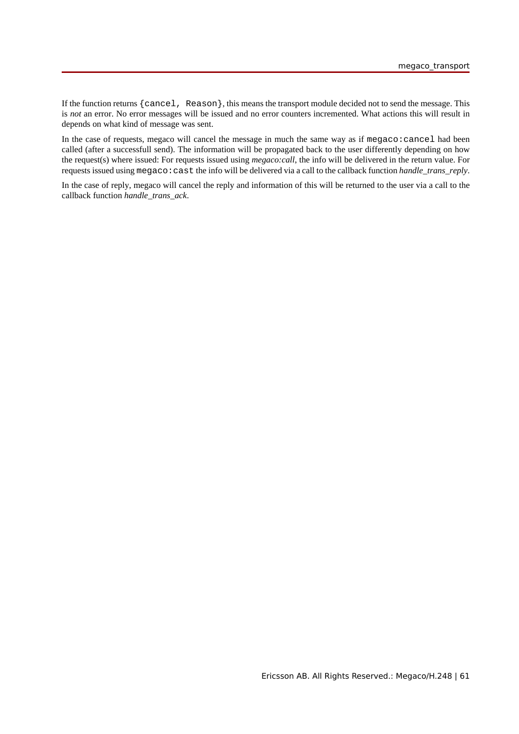If the function returns {cancel, Reason}, this means the transport module decided not to send the message. This is *not* an error. No error messages will be issued and no error counters incremented. What actions this will result in depends on what kind of message was sent.

In the case of requests, megaco will cancel the message in much the same way as if megaco:cancel had been called (after a successfull send). The information will be propagated back to the user differently depending on how the request(s) where issued: For requests issued using *megaco:call*, the info will be delivered in the return value. For requests issued using megaco:cast the info will be delivered via a call to the callback function *handle\_trans\_reply*.

In the case of reply, megaco will cancel the reply and information of this will be returned to the user via a call to the callback function *handle\_trans\_ack*.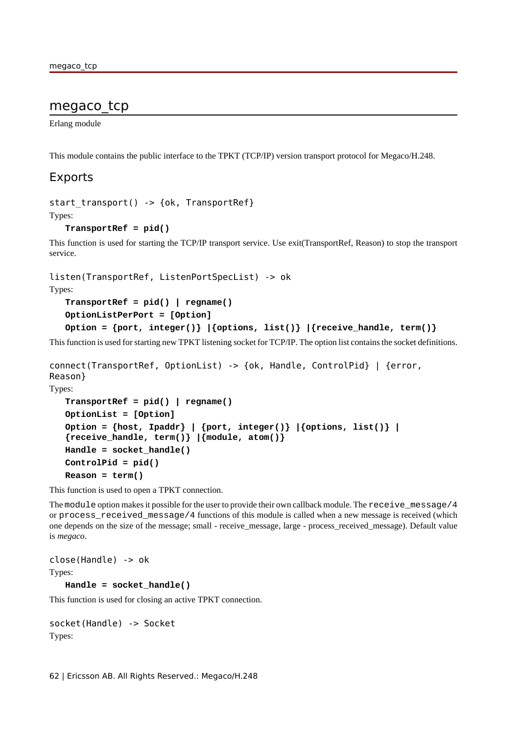## megaco\_tcp

Erlang module

This module contains the public interface to the TPKT (TCP/IP) version transport protocol for Megaco/H.248.

## Exports

start transport() -> {ok, TransportRef} Types:

```
TransportRef = pid()
```
This function is used for starting the TCP/IP transport service. Use exit(TransportRef, Reason) to stop the transport service.

```
listen(TransportRef, ListenPortSpecList) -> ok
```
Types:

```
TransportRef = pid() | regname()
OptionListPerPort = [Option]
Option = {port, integer()} |{options, list()} |{receive_handle, term()}
```
This function is used for starting new TPKT listening socket for TCP/IP. The option list contains the socket definitions.

```
connect(TransportRef, OptionList) -> {ok, Handle, ControlPid} | {error,
Reason}
```
Types:

```
TransportRef = pid() | regname()
OptionList = [Option]
Option = {host, Ipaddr} | {port, integer()} |{options, list()} |
{receive_handle, term()} |{module, atom()}
Handle = socket_handle()
ControlPid = pid()
Reason = term()
```
This function is used to open a TPKT connection.

The module option makes it possible for the user to provide their own callback module. The receive\_message/4 or process\_received\_message/4 functions of this module is called when a new message is received (which one depends on the size of the message; small - receive\_message, large - process\_received\_message). Default value is *megaco*.

```
close(Handle) -> ok
Types:
```
**Handle = socket\_handle()**

This function is used for closing an active TPKT connection.

```
socket(Handle) -> Socket
Types:
```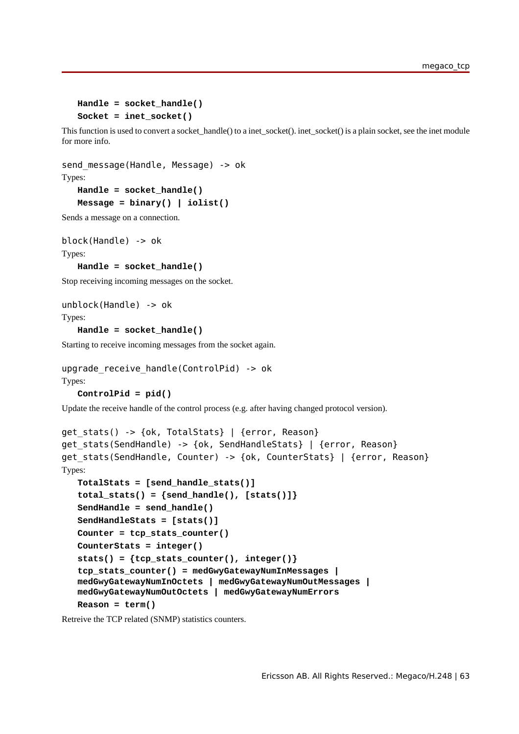```
Handle = socket_handle()
Socket = inet_socket()
```
This function is used to convert a socket handle() to a inet socket(). inet socket() is a plain socket, see the inet module for more info.

```
send message(Handle, Message) -> ok
Types:
```

```
Handle = socket_handle()
Message = binary() | iolist()
```
Sends a message on a connection.

```
block(Handle) -> ok
Types:
```

```
Handle = socket_handle()
```
Stop receiving incoming messages on the socket.

```
unblock(Handle) -> ok
```
Types:

```
Handle = socket_handle()
```
Starting to receive incoming messages from the socket again.

```
upgrade receive handle(ControlPid) -> ok
Types:
```
**ControlPid = pid()**

Update the receive handle of the control process (e.g. after having changed protocol version).

```
get_stats() -> {ok, TotalStats} | {error, Reason}
get_stats(SendHandle) -> {ok, SendHandleStats} | {error, Reason}
get_stats(SendHandle, Counter) -> {ok, CounterStats} | {error, Reason}
Types:
```

```
TotalStats = [send_handle_stats()]
total\_stats() = {send\_handle(), [stats()]}SendHandle = send_handle()
SendHandleStats = [stats()]
Counter = tcp_stats_counter()
CounterStats = integer()
stats() = {tcp_stats_counter(), integer()}
tcp_stats_counter() = medGwyGatewayNumInMessages |
medGwyGatewayNumInOctets | medGwyGatewayNumOutMessages |
medGwyGatewayNumOutOctets | medGwyGatewayNumErrors
Reason = term()
```
Retreive the TCP related (SNMP) statistics counters.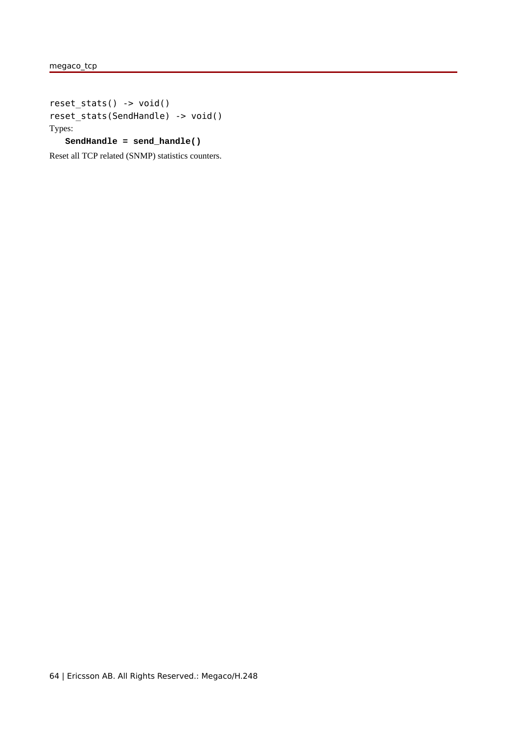```
reset_stats() -> void()
reset_stats(SendHandle) -> void()
Types:
```
## **SendHandle = send\_handle()**

Reset all TCP related (SNMP) statistics counters.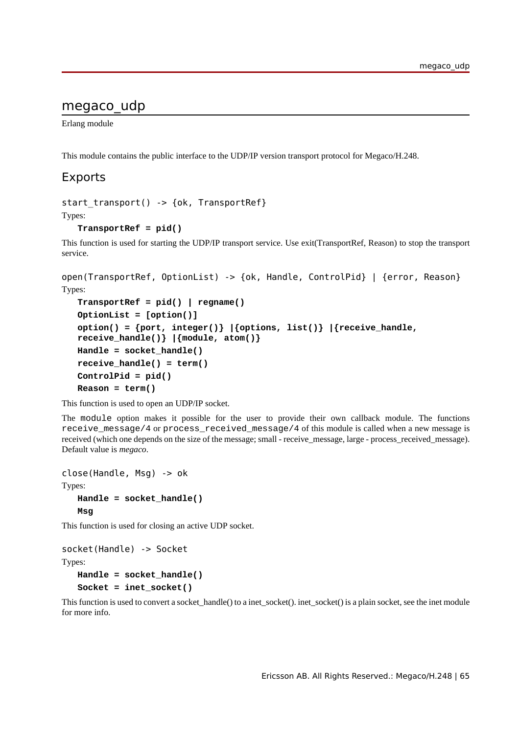## megaco\_udp

Erlang module

This module contains the public interface to the UDP/IP version transport protocol for Megaco/H.248.

## Exports

start transport() -> {ok, TransportRef} Types:

```
TransportRef = pid()
```
This function is used for starting the UDP/IP transport service. Use exit(TransportRef, Reason) to stop the transport service.

open(TransportRef, OptionList) -> {ok, Handle, ControlPid} | {error, Reason} Types:

```
TransportRef = pid() | regname()
OptionList = [option()]
option() = {port, integer()} |{options, list()} |{receive_handle,
receive_handle()} |{module, atom()}
Handle = socket_handle()
receive_handle() = term()
ControlPid = pid()
Reason = term()
```
This function is used to open an UDP/IP socket.

The module option makes it possible for the user to provide their own callback module. The functions receive\_message/4 or process\_received\_message/4 of this module is called when a new message is received (which one depends on the size of the message; small - receive\_message, large - process\_received\_message). Default value is *megaco*.

```
close(Handle, Msg) -> ok
Types:
   Handle = socket_handle()
   Msg
```
This function is used for closing an active UDP socket.

```
socket(Handle) -> Socket
Types:
   Handle = socket_handle()
   Socket = inet_socket()
```
This function is used to convert a socket\_handle() to a inet\_socket(). inet\_socket() is a plain socket, see the inet module for more info.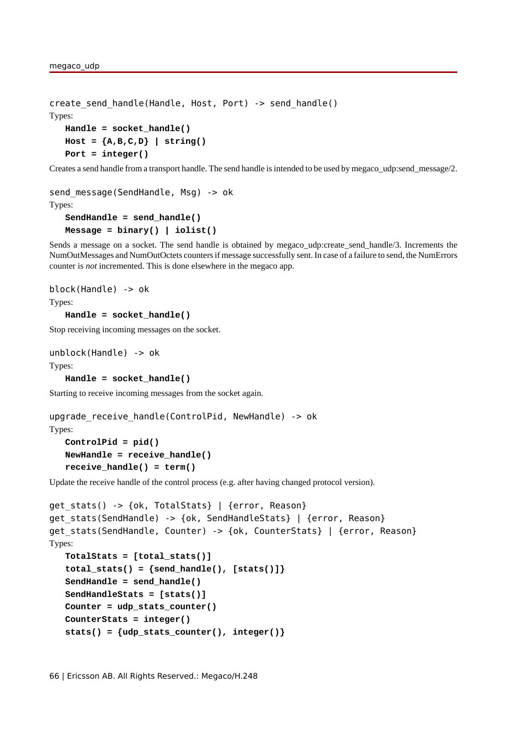```
create send handle(Handle, Host, Port) -> send handle()
Types:
   Handle = socket_handle()
   Host = \{A, B, C, D\} | string()
   Port = integer()
```
Creates a send handle from a transport handle. The send handle is intended to be used by megaco\_udp:send\_message/2.

```
send message(SendHandle, Msg) -> ok
Types:
```

```
SendHandle = send_handle()
Message = binary() | iolist()
```
Sends a message on a socket. The send handle is obtained by megaco udp:create send handle/3. Increments the NumOutMessages and NumOutOctets counters if message successfully sent. In case of a failure to send, the NumErrors counter is *not* incremented. This is done elsewhere in the megaco app.

```
block(Handle) -> ok
Types:
```

```
Handle = socket_handle()
```
Stop receiving incoming messages on the socket.

```
unblock(Handle) -> ok
Types:
   Handle = socket_handle()
```
Starting to receive incoming messages from the socket again.

```
upgrade receive handle(ControlPid, NewHandle) -> ok
Types:
   ControlPid = pid()
   NewHandle = receive_handle()
```

```
receive_handle() = term()
```
Update the receive handle of the control process (e.g. after having changed protocol version).

```
get stats() -> \{ok, TotalStats\} | \{error, Reason\}get_stats(SendHandle) -> {ok, SendHandleStats} | {error, Reason}
get_stats(SendHandle, Counter) -> {ok, CounterStats} | {error, Reason}
Types:
   TotalStats = [total_stats()]
   total\_stats() = {send\_handle(), [stats()]}SendHandle = send_handle()
   SendHandleStats = [stats()]
   Counter = udp_stats_counter()
   CounterStats = integer()
   stats() = {udp_stats_counter(), integer()}
```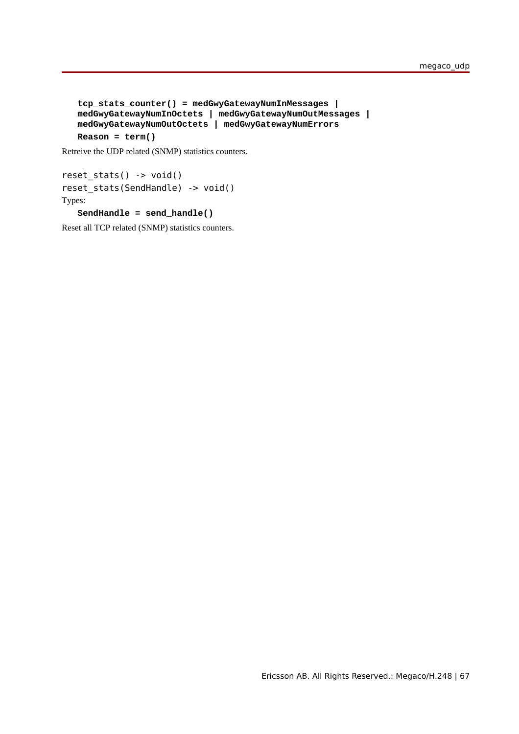```
tcp_stats_counter() = medGwyGatewayNumInMessages |
medGwyGatewayNumInOctets | medGwyGatewayNumOutMessages |
medGwyGatewayNumOutOctets | medGwyGatewayNumErrors
Reason = term()
```
Retreive the UDP related (SNMP) statistics counters.

```
reset_stats() -> void()
reset_stats(SendHandle) -> void()
Types:
```

```
SendHandle = send_handle()
```
Reset all TCP related (SNMP) statistics counters.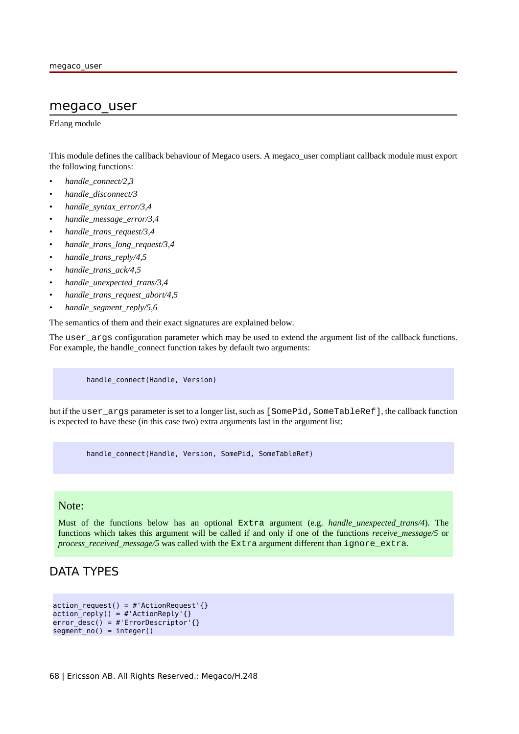## megaco\_user

Erlang module

This module defines the callback behaviour of Megaco users. A megaco\_user compliant callback module must export the following functions:

- *handle\_connect/2,3*
- *handle\_disconnect/3*
- *handle\_syntax\_error/3,4*
- *handle\_message\_error/3,4*
- *handle\_trans\_request/3,4*
- *handle\_trans\_long\_request/3,4*
- *handle\_trans\_reply/4,5*
- *handle\_trans\_ack/4,5*
- *handle\_unexpected\_trans/3,4*
- *handle\_trans\_request\_abort/4,5*
- *handle\_segment\_reply/5,6*

The semantics of them and their exact signatures are explained below.

The user\_args configuration parameter which may be used to extend the argument list of the callback functions. For example, the handle\_connect function takes by default two arguments:

handle connect(Handle, Version)

but if the user\_args parameter is set to a longer list, such as [SomePid,SomeTableRef], the callback function is expected to have these (in this case two) extra arguments last in the argument list:

handle connect(Handle, Version, SomePid, SomeTableRef)

## Note:

Must of the functions below has an optional Extra argument (e.g. *handle\_unexpected\_trans/4*). The functions which takes this argument will be called if and only if one of the functions *receive message/5* or *process\_received\_message/5* was called with the Extra argument different than ignore\_extra.

## DATA TYPES

```
action_request() = #'ActionRequest'{}action_reply() = #'ActionReply'{}
error_desc() = #'ErrorDescriptor'{}
segment no() = integer()
```
68 | Ericsson AB. All Rights Reserved.: Megaco/H.248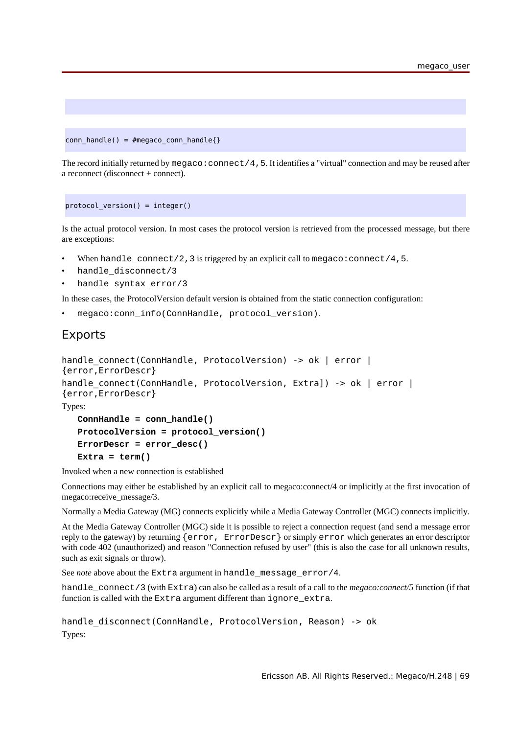```
conn_handle() = #megaco_conn_handle{}
```
The record initially returned by megaco: connect/4,5. It identifies a "virtual" connection and may be reused after a reconnect (disconnect + connect).

```
protocol version() = integer()
```
Is the actual protocol version. In most cases the protocol version is retrieved from the processed message, but there are exceptions:

- When handle\_connect/2, 3 is triggered by an explicit call to megaco: connect/4, 5.
- handle\_disconnect/3
- handle\_syntax\_error/3

In these cases, the ProtocolVersion default version is obtained from the static connection configuration:

• megaco:conn\_info(ConnHandle, protocol\_version).

## Exports

```
handle connect(ConnHandle, ProtocolVersion) -> ok | error |
{error,ErrorDescr}
handle connect(ConnHandle, ProtocolVersion, Extra]) -> ok | error |
{error,ErrorDescr}
Types:
   ConnHandle = conn_handle()
   ProtocolVersion = protocol_version()
   ErrorDescr = error_desc()
   Extra = term()
```
Invoked when a new connection is established

Connections may either be established by an explicit call to megaco:connect/4 or implicitly at the first invocation of megaco:receive\_message/3.

Normally a Media Gateway (MG) connects explicitly while a Media Gateway Controller (MGC) connects implicitly.

At the Media Gateway Controller (MGC) side it is possible to reject a connection request (and send a message error reply to the gateway) by returning {error, ErrorDescr} or simply error which generates an error descriptor with code 402 (unauthorized) and reason "Connection refused by user" (this is also the case for all unknown results, such as exit signals or throw).

See *note* above about the Extra argument in handle\_message\_error/4.

handle\_connect/3 (with Extra) can also be called as a result of a call to the *megaco:connect/5* function (if that function is called with the Extra argument different than ignore\_extra.

```
handle disconnect(ConnHandle, ProtocolVersion, Reason) -> ok
Types:
```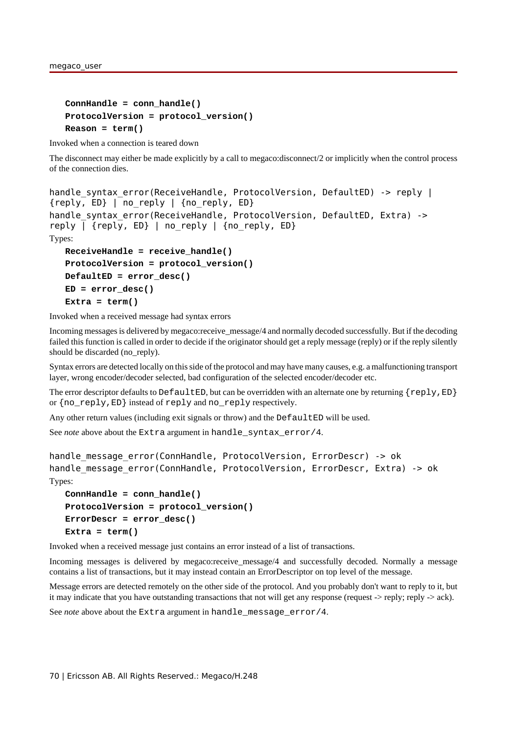```
ConnHandle = conn_handle()
ProtocolVersion = protocol_version()
Reason = term()
```
Invoked when a connection is teared down

The disconnect may either be made explicitly by a call to megaco:disconnect/2 or implicitly when the control process of the connection dies.

```
handle syntax error(ReceiveHandle, ProtocolVersion, DefaultED) -> reply |
{reply, ED} | no_reply | {no_reply, ED}
handle syntax error(ReceiveHandle, ProtocolVersion, DefaultED, Extra) ->
reply | {reply, ED} | no reply | {no reply, ED}
Types:
   ReceiveHandle = receive_handle()
   ProtocolVersion = protocol_version()
```

```
DefaultED = error_desc()
ED = error_desc()
Extra = term()
```
Invoked when a received message had syntax errors

Incoming messages is delivered by megaco:receive message/4 and normally decoded successfully. But if the decoding failed this function is called in order to decide if the originator should get a reply message (reply) or if the reply silently should be discarded (no\_reply).

Syntax errors are detected locally on this side of the protocol and may have many causes, e.g. a malfunctioning transport layer, wrong encoder/decoder selected, bad configuration of the selected encoder/decoder etc.

The error descriptor defaults to DefaultED, but can be overridden with an alternate one by returning  $\{reply, ED\}$ or {no\_reply,ED} instead of reply and no\_reply respectively.

Any other return values (including exit signals or throw) and the DefaultED will be used.

See *note* above about the Extra argument in handle\_syntax\_error/4.

```
handle message error(ConnHandle, ProtocolVersion, ErrorDescr) -> ok
handle message error(ConnHandle, ProtocolVersion, ErrorDescr, Extra) -> ok
Types:
```

```
ConnHandle = conn_handle()
ProtocolVersion = protocol_version()
ErrorDescr = error_desc()
Extra = term()
```
Invoked when a received message just contains an error instead of a list of transactions.

Incoming messages is delivered by megaco:receive message/4 and successfully decoded. Normally a message contains a list of transactions, but it may instead contain an ErrorDescriptor on top level of the message.

Message errors are detected remotely on the other side of the protocol. And you probably don't want to reply to it, but it may indicate that you have outstanding transactions that not will get any response (request -> reply; reply -> ack).

See *note* above about the Extra argument in handle\_message\_error/4.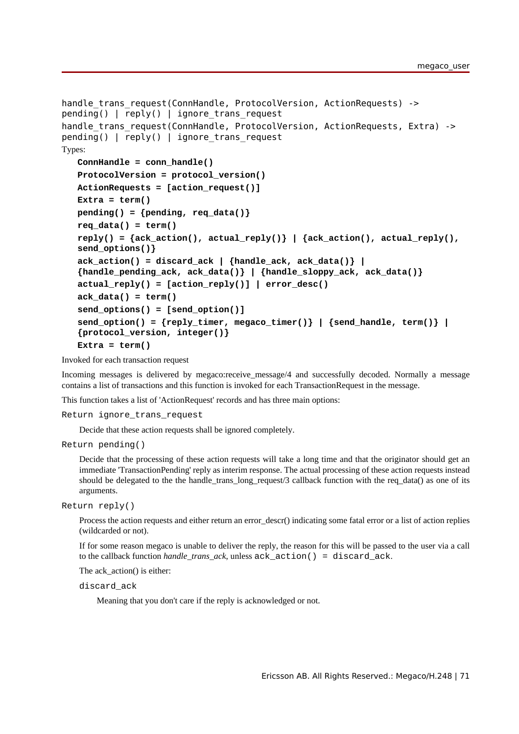```
handle trans request(ConnHandle, ProtocolVersion, ActionRequests) ->
pending() | reply() | ignore trans requesthandle trans request(ConnHandle, ProtocolVersion, ActionRequests, Extra) ->
pending() | reply() | ignore_trans_request
Types:
   ConnHandle = conn_handle()
   ProtocolVersion = protocol_version()
   ActionRequests = [action_request()]
   Extra = term()
  pending() = {pending, req_data()}
   req_data() = term()
   reply() = {ack\_action(), actual\_reply() | {ack\_action()}, actual\_reply(),
   send_options()}
   ack_action() = discard_ack | {handle_ack, ack_data()} |
   {handle_pending_ack, ack_data()} | {handle_sloppy_ack, ack_data()}
   actual_reply() = [action_reply()] | error_desc()
   ack_data() = term()
   send_options() = [send_option()]
   send option() = {reply timer, megaco timer() } | {send handle, term() } |{protocol_version, integer()}
   Extra = term()
```
Invoked for each transaction request

Incoming messages is delivered by megaco:receive\_message/4 and successfully decoded. Normally a message contains a list of transactions and this function is invoked for each TransactionRequest in the message.

This function takes a list of 'ActionRequest' records and has three main options:

Return ignore\_trans\_request

Decide that these action requests shall be ignored completely.

```
Return pending()
```
Decide that the processing of these action requests will take a long time and that the originator should get an immediate 'TransactionPending' reply as interim response. The actual processing of these action requests instead should be delegated to the the handle trans long request/3 callback function with the req\_data() as one of its arguments.

```
Return reply()
```
Process the action requests and either return an error  $\text{ descr}()$  indicating some fatal error or a list of action replies (wildcarded or not).

If for some reason megaco is unable to deliver the reply, the reason for this will be passed to the user via a call to the callback function *handle\_trans\_ack*, unless ack\_action() = discard\_ack.

The ack action() is either:

discard\_ack

Meaning that you don't care if the reply is acknowledged or not.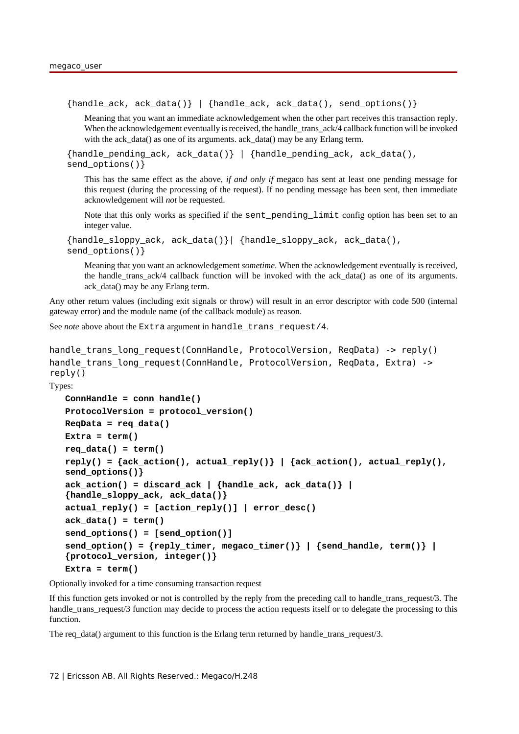{handle ack, ack data()} | {handle ack, ack data(), send options()}

Meaning that you want an immediate acknowledgement when the other part receives this transaction reply. When the acknowledgement eventually is received, the handle\_trans\_ack/4 callback function will be invoked with the ack data() as one of its arguments. ack data() may be any Erlang term.

```
{handle_pending_ack, ack_data()} | {handle_pending_ack, ack_data(),
send_options()}
```
This has the same effect as the above, *if and only if* megaco has sent at least one pending message for this request (during the processing of the request). If no pending message has been sent, then immediate acknowledgement will *not* be requested.

Note that this only works as specified if the sent\_pending\_limit config option has been set to an integer value.

```
{handle_sloppy_ack, ack_data()}| {handle_sloppy_ack, ack_data(),
send_options()}
```
Meaning that you want an acknowledgement *sometime*. When the acknowledgement eventually is received, the handle\_trans\_ack/4 callback function will be invoked with the ack\_data() as one of its arguments. ack\_data() may be any Erlang term.

Any other return values (including exit signals or throw) will result in an error descriptor with code 500 (internal gateway error) and the module name (of the callback module) as reason.

See *note* above about the Extra argument in handle\_trans\_request/4.

```
handle trans long request(ConnHandle, ProtocolVersion, ReqData) -> reply()
handle trans long request(ConnHandle, ProtocolVersion, ReqData, Extra) ->
reply()
```
Types:

```
ConnHandle = conn_handle()
ProtocolVersion = protocol_version()
ReqData = req_data()
Extra = term()
req_data() = term()
reply() = {ack\_action(), actual\_reply() } | {ack\_action(), actual\_reply(),}send_options()}
ack_action() = discard_ack | {handle_ack, ack_data()} |
{handle_sloppy_ack, ack_data()}
actual_reply() = [action_reply()] | error_desc()
ack_data() = term()
send_options() = [send_option()]
send option() = {reply timer, megaco timer() } | {send handle, term() } |{protocol_version, integer()}
Extra = term()
```
Optionally invoked for a time consuming transaction request

If this function gets invoked or not is controlled by the reply from the preceding call to handle\_trans\_request/3. The handle trans request/3 function may decide to process the action requests itself or to delegate the processing to this function.

The req\_data() argument to this function is the Erlang term returned by handle\_trans\_request/3.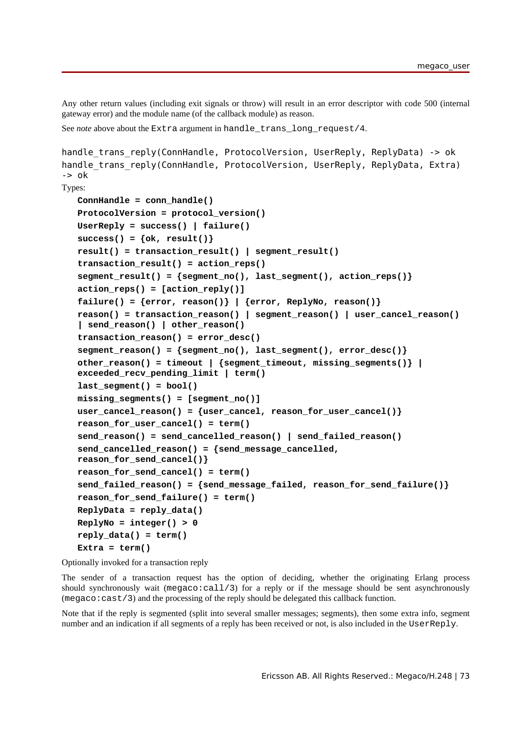Any other return values (including exit signals or throw) will result in an error descriptor with code 500 (internal gateway error) and the module name (of the callback module) as reason.

```
See note above about the Extra argument in handle_trans_long_request/4.
```

```
handle trans reply(ConnHandle, ProtocolVersion, UserReply, ReplyData) -> ok
handle trans reply(ConnHandle, ProtocolVersion, UserReply, ReplyData, Extra)
-> ok
Types:
   ConnHandle = conn_handle()
   ProtocolVersion = protocol_version()
  UserReply = success() | failure()
   success() = {ok, result()}result() = transaction_result() | segment_result()
   transaction_result() = action_reps()
   segment result() = \{segment no(), last segment(), action reps()\}action_reps() = [action_reply()]
   failure() = {error, reason()} | {error, ReplyNo, reason()}
   reason() = transaction reason() | segment reason() | user cancel reason()
   | send_reason() | other_reason()
   transaction_reason() = error_desc()
   segment_reason() = {segment_no(), last_segment(), error_desc()}
   other reason() = timeout | {segment timeout, missing segments() |exceeded_recv_pending_limit | term()
   last_segment() = bool()
  missing segments() = [segment no()]user cancel reason() = \{user\ cancel, reason\ for\ user\ cancel()\}reason_for_user_cancel() = term()
   send_reason() = send_cancelled_reason() | send_failed_reason()
   send cancelled reason() = \{ send message cancelled,
   reason_for_send_cancel()}
   reason_for_send_cancel() = term()
   send failed reason() = {send message failed, reason for send failure()}
  reason_for_send_failure() = term()
  ReplyData = reply_data()
   ReplyNo = integer() > 0
   reply_data() = term()
   Extra = term()
```
Optionally invoked for a transaction reply

The sender of a transaction request has the option of deciding, whether the originating Erlang process should synchronously wait (megaco:call/3) for a reply or if the message should be sent asynchronously  $(megaco:cast/3)$  and the processing of the reply should be delegated this callback function.

Note that if the reply is segmented (split into several smaller messages; segments), then some extra info, segment number and an indication if all segments of a reply has been received or not, is also included in the UserReply.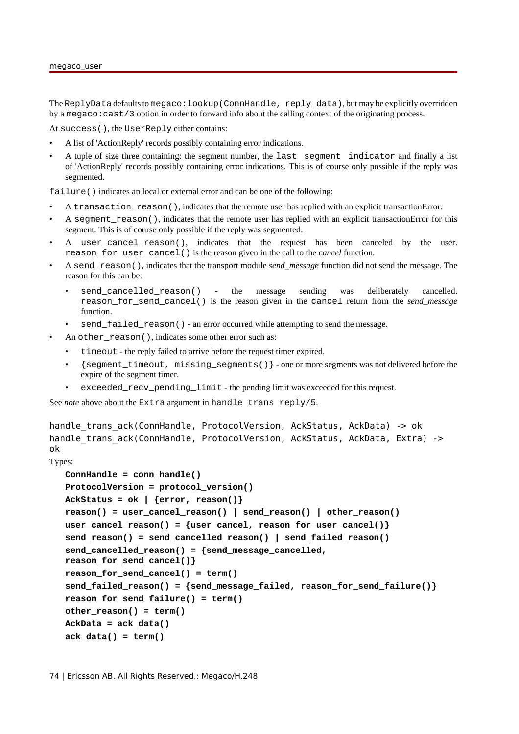#### megaco\_user

The ReplyData defaults to megaco: lookup (ConnHandle, reply data), but may be explicitly overridden by a megaco:cast/3 option in order to forward info about the calling context of the originating process.

At success(), the UserReply either contains:

- A list of 'ActionReply' records possibly containing error indications.
- A tuple of size three containing: the segment number, the last segment indicator and finally a list of 'ActionReply' records possibly containing error indications. This is of course only possible if the reply was segmented.

failure() indicates an local or external error and can be one of the following:

- A transaction\_reason(), indicates that the remote user has replied with an explicit transactionError.
- A segment\_reason(), indicates that the remote user has replied with an explicit transactionError for this segment. This is of course only possible if the reply was segmented.
- A user cancel reason(), indicates that the request has been canceled by the user. reason\_for\_user\_cancel() is the reason given in the call to the *cancel* function.
- A send\_reason(), indicates that the transport module *send\_message* function did not send the message. The reason for this can be:
	- send\_cancelled\_reason() the message sending was deliberately cancelled. reason\_for\_send\_cancel() is the reason given in the cancel return from the *send\_message* function.
	- send\_failed\_reason() an error occurred while attempting to send the message.
- An other\_reason(), indicates some other error such as:
	- timeout the reply failed to arrive before the request timer expired.
	- $\{segment_timeout, missing\_segments() \}$  one or more segments was not delivered before the expire of the segment timer.
	- exceeded\_recv\_pending\_limit the pending limit was exceeded for this request.

See *note* above about the Extra argument in handle\_trans\_reply/5.

```
handle trans ack(ConnHandle, ProtocolVersion, AckStatus, AckData) -> ok
handle trans ack(ConnHandle, ProtocolVersion, AckStatus, AckData, Extra) ->
ok
```
Types:

```
ConnHandle = conn_handle()
ProtocolVersion = protocol_version()
AckStatus = ok | {error, reason()}
reason() = user_cancel_reason() | send_reason() | other_reason()
user_cancel_reason() = {user_cancel, reason_for_user_cancel()}
send_reason() = send_cancelled_reason() | send_failed_reason()
send cancelled reason() = \{ send message cancelled,
reason_for_send_cancel()}
reason_for_send_cancel() = term()
send_failed_reason() = {send_message_failed, reason_for_send_failure()}
reason_for_send_failure() = term()
other_reason() = term()
AckData = ack_data()
ack_data() = term()
```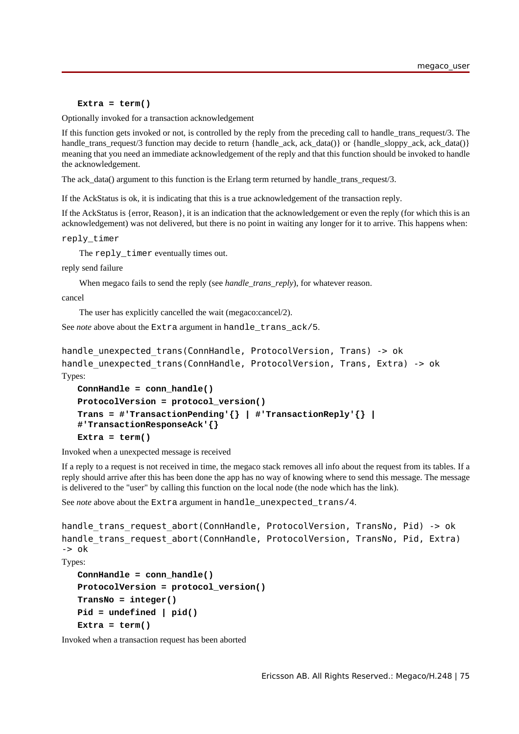#### **Extra = term()**

Optionally invoked for a transaction acknowledgement

If this function gets invoked or not, is controlled by the reply from the preceding call to handle\_trans\_request/3. The handle\_trans\_request/3 function may decide to return {handle\_ack, ack\_data()} or {handle\_sloppy\_ack, ack\_data()} meaning that you need an immediate acknowledgement of the reply and that this function should be invoked to handle the acknowledgement.

The ack\_data() argument to this function is the Erlang term returned by handle\_trans\_request/3.

If the AckStatus is ok, it is indicating that this is a true acknowledgement of the transaction reply.

If the AckStatus is {error, Reason}, it is an indication that the acknowledgement or even the reply (for which this is an acknowledgement) was not delivered, but there is no point in waiting any longer for it to arrive. This happens when:

```
reply_timer
```
The reply\_timer eventually times out.

reply send failure

When megaco fails to send the reply (see *handle\_trans\_reply*), for whatever reason.

cancel

The user has explicitly cancelled the wait (megaco:cancel/2).

See *note* above about the Extra argument in handle trans  $ack/5$ .

```
handle unexpected trans(ConnHandle, ProtocolVersion, Trans) -> ok
handle unexpected trans(ConnHandle, ProtocolVersion, Trans, Extra) -> ok
Types:
```

```
ConnHandle = conn_handle()
ProtocolVersion = protocol_version()
Trans = #'TransactionPending'{} | #'TransactionReply'{} |
#'TransactionResponseAck'{}
Extra = term()
```
Invoked when a unexpected message is received

If a reply to a request is not received in time, the megaco stack removes all info about the request from its tables. If a reply should arrive after this has been done the app has no way of knowing where to send this message. The message is delivered to the "user" by calling this function on the local node (the node which has the link).

See *note* above about the Extra argument in handle unexpected trans/4.

```
handle trans request abort(ConnHandle, ProtocolVersion, TransNo, Pid) -> ok
handle trans request abort(ConnHandle, ProtocolVersion, TransNo, Pid, Extra)
\rightarrow ok
```
Types:

```
ConnHandle = conn_handle()
ProtocolVersion = protocol_version()
TransNo = integer()
Pid = undefined | pid()
Extra = term()
```
Invoked when a transaction request has been aborted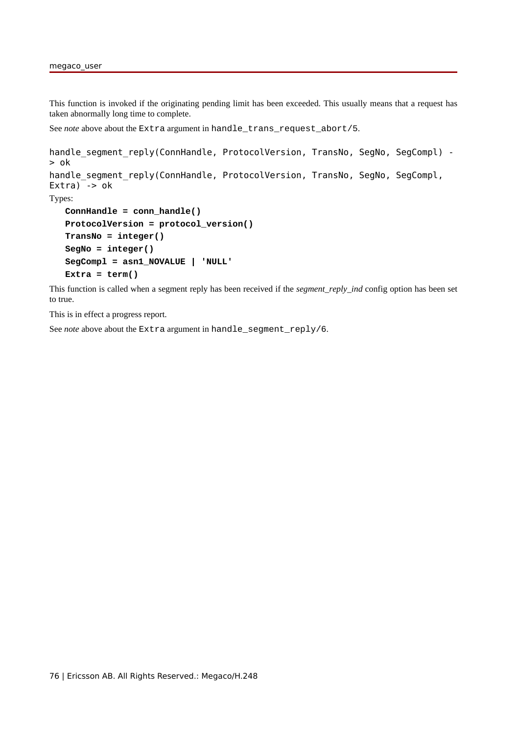This function is invoked if the originating pending limit has been exceeded. This usually means that a request has taken abnormally long time to complete.

See *note* above about the Extra argument in handle\_trans\_request\_abort/5.

```
handle segment reply(ConnHandle, ProtocolVersion, TransNo, SegNo, SegCompl) -
> ok
handle_segment_reply(ConnHandle, ProtocolVersion, TransNo, SegNo, SegCompl,
Extra) -> ok
Types:
   ConnHandle = conn_handle()
   ProtocolVersion = protocol_version()
   TransNo = integer()
   SegNo = integer()
   SegCompl = asn1_NOVALUE | 'NULL'
   Extra = term()
```
This function is called when a segment reply has been received if the *segment\_reply\_ind* config option has been set to true.

This is in effect a progress report.

See *note* above about the Extra argument in handle\_segment\_reply/6.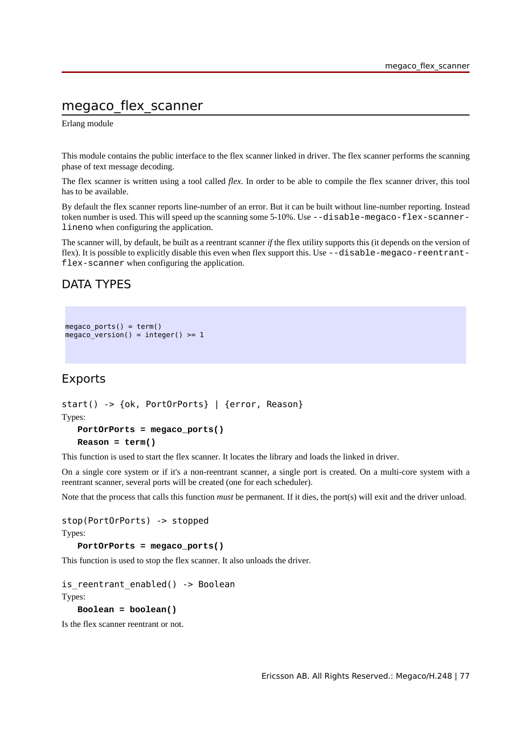## megaco flex scanner

Erlang module

This module contains the public interface to the flex scanner linked in driver. The flex scanner performs the scanning phase of text message decoding.

The flex scanner is written using a tool called *flex*. In order to be able to compile the flex scanner driver, this tool has to be available.

By default the flex scanner reports line-number of an error. But it can be built without line-number reporting. Instead token number is used. This will speed up the scanning some 5-10%. Use --disable-megaco-flex-scannerlineno when configuring the application.

The scanner will, by default, be built as a reentrant scanner *if* the flex utility supports this (it depends on the version of flex). It is possible to explicitly disable this even when flex support this. Use --disable-megaco-reentrantflex-scanner when configuring the application.

## DATA TYPES

```
megaco\_ports() = term()megaco\_version() = integer() >= 1
```
## Exports

```
start() -> {ok, PortOrPorts} | {error, Reason}
Types:
```
**PortOrPorts = megaco\_ports() Reason = term()**

This function is used to start the flex scanner. It locates the library and loads the linked in driver.

On a single core system or if it's a non-reentrant scanner, a single port is created. On a multi-core system with a reentrant scanner, several ports will be created (one for each scheduler).

Note that the process that calls this function *must* be permanent. If it dies, the port(s) will exit and the driver unload.

```
stop(PortOrPorts) -> stopped
Types:
```
**PortOrPorts = megaco\_ports()**

This function is used to stop the flex scanner. It also unloads the driver.

is reentrant enabled() -> Boolean

Types:

**Boolean = boolean()**

Is the flex scanner reentrant or not.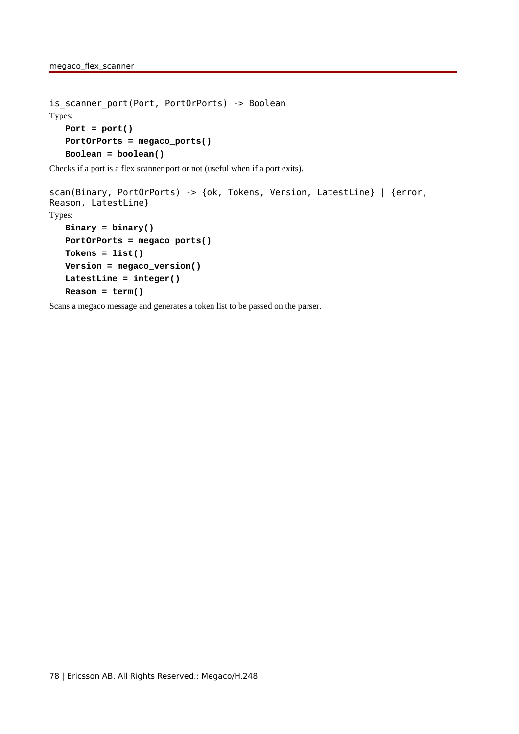```
is_scanner_port(Port, PortOrPorts) -> Boolean
Types:
  Port = port()
   PortOrPorts = megaco_ports()
   Boolean = boolean()
```
Checks if a port is a flex scanner port or not (useful when if a port exits).

```
scan(Binary, PortOrPorts) -> {ok, Tokens, Version, LatestLine} | {error,
Reason, LatestLine}
Types:
  Binary = binary()
  PortOrPorts = megaco_ports()
  Tokens = list()
  Version = megaco_version()
  LatestLine = integer()
  Reason = term()
```
Scans a megaco message and generates a token list to be passed on the parser.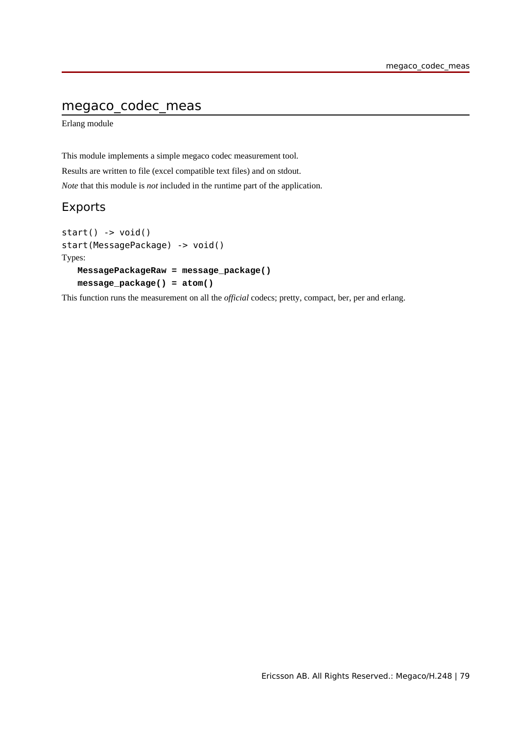# megaco\_codec\_meas

Erlang module

This module implements a simple megaco codec measurement tool. Results are written to file (excel compatible text files) and on stdout. *Note* that this module is *not* included in the runtime part of the application.

## Exports

```
start() -> void()start(MessagePackage) -> void()
Types:
   MessagePackageRaw = message_package()
   message_package() = atom()
```
This function runs the measurement on all the *official* codecs; pretty, compact, ber, per and erlang.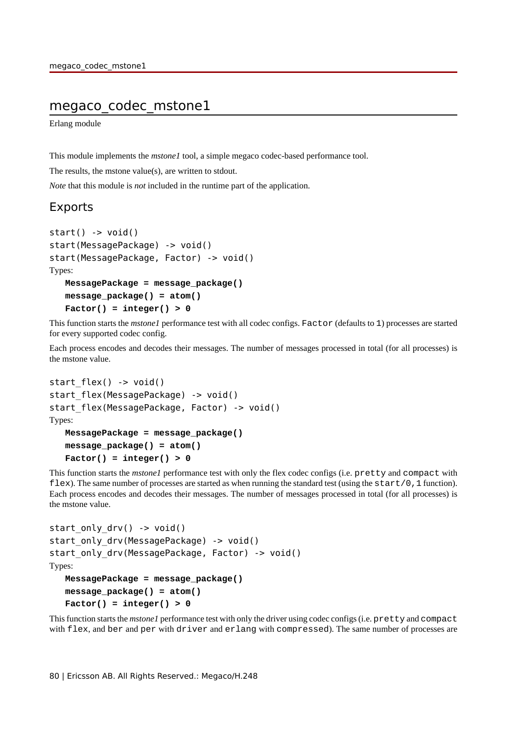## megaco\_codec\_mstone1

Erlang module

This module implements the *mstone1* tool, a simple megaco codec-based performance tool.

The results, the mstone value(s), are written to stdout.

*Note* that this module is *not* included in the runtime part of the application.

#### Exports

```
start() -> void()start(MessagePackage) -> void()
start(MessagePackage, Factor) -> void()
Types:
   MessagePackage = message_package()
   message_package() = atom()
   Factor() = integer() > 0
```
This function starts the *mstone1* performance test with all codec configs. Factor (defaults to 1) processes are started for every supported codec config.

Each process encodes and decodes their messages. The number of messages processed in total (for all processes) is the mstone value.

```
start flex() -> void()start flex(MessagePackage) -> void()
start flex(MessagePackage, Factor) -> void()
Types:
   MessagePackage = message_package()
   message_package() = atom()
```

```
Factor() = integer() > 0
```
This function starts the *mstone1* performance test with only the flex codec configs (i.e. pretty and compact with  $f$ lex). The same number of processes are started as when running the standard test (using the start/0,1 function). Each process encodes and decodes their messages. The number of messages processed in total (for all processes) is the mstone value.

```
start only div() -> void()start only drv(MessagePackage) -> void()
start only drv(MessagePackage, Factor) -> void()
Types:
   MessagePackage = message_package()
   message_package() = atom()
   Factor() = integer() > 0
```
This function starts the *mstone1* performance test with only the driver using codec configs (i.e. pretty and compact with flex, and ber and per with driver and erlang with compressed). The same number of processes are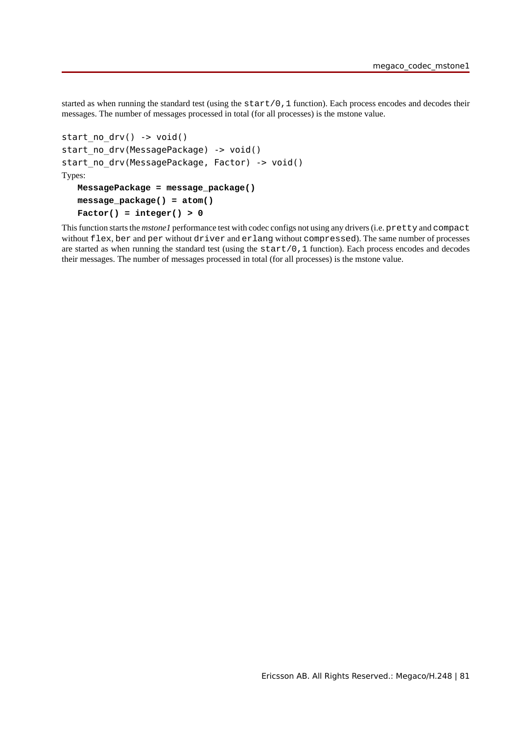started as when running the standard test (using the  $start/0$ , 1 function). Each process encodes and decodes their messages. The number of messages processed in total (for all processes) is the mstone value.

```
start_no_drv() -> void()
start no drv(MessagePackage) -> void()
start no drv(MessagePackage, Factor) -> void()
Types:
   MessagePackage = message_package()
   message_package() = atom()
   Factor() = integer() > 0
```
This function starts the *mstone1* performance test with codec configs not using any drivers (i.e. pretty and compact without flex, ber and per without driver and erlang without compressed). The same number of processes are started as when running the standard test (using the start/0,1 function). Each process encodes and decodes their messages. The number of messages processed in total (for all processes) is the mstone value.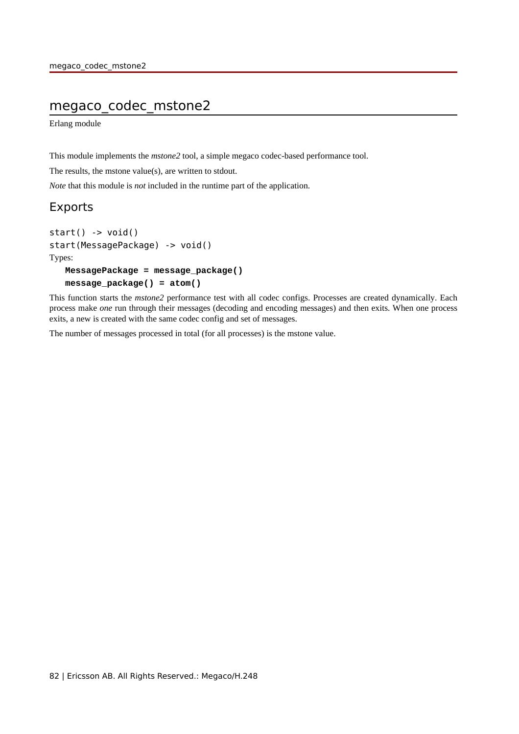## megaco\_codec\_mstone2

Erlang module

This module implements the *mstone2* tool, a simple megaco codec-based performance tool.

The results, the mstone value(s), are written to stdout.

*Note* that this module is *not* included in the runtime part of the application.

### Exports

```
start() -> void()start(MessagePackage) -> void()
Types:
   MessagePackage = message_package()
   message_package() = atom()
```
This function starts the *mstone2* performance test with all codec configs. Processes are created dynamically. Each process make *one* run through their messages (decoding and encoding messages) and then exits. When one process exits, a new is created with the same codec config and set of messages.

The number of messages processed in total (for all processes) is the mstone value.